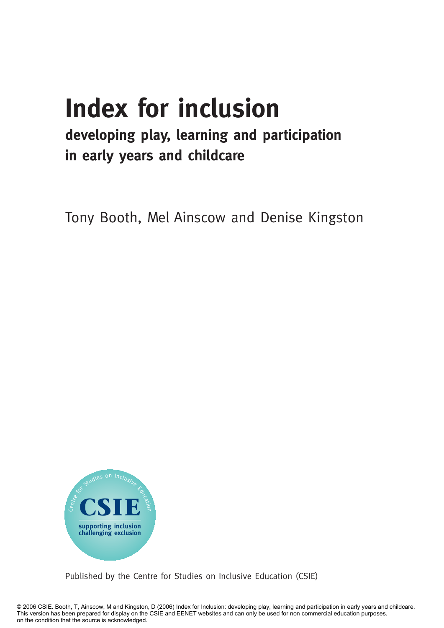# **Index for inclusion**

# **developing play, learning and participation in early years and childcare**

Tony Booth, Mel Ainscow and Denise Kingston



Published by the Centre for Studies on Inclusive Education (CSIE)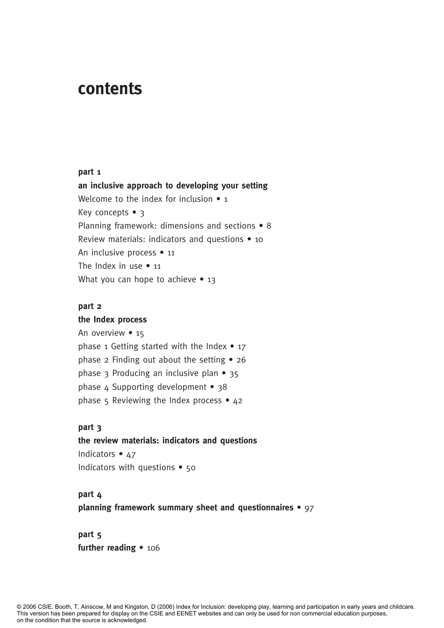## **contents**

#### **part 1**

**an inclusive approach to developing your setting** Welcome to the index for inclusion • 1 Key concepts • 3 Planning framework: dimensions and sections • 8 Review materials: indicators and questions • 10 An inclusive process • 11 The Index in use  $\bullet$  11 What you can hope to achieve  $\bullet$  13

#### **part 2**

#### **the Index process**

An overview • 15 phase 1 Getting started with the Index • 17 phase 2 Finding out about the setting • 26 phase 3 Producing an inclusive plan • 35 phase 4 Supporting development • 38 phase 5 Reviewing the Index process  $\bullet$  42

#### **part 3**

**the review materials: indicators and questions** Indicators • 47 Indicators with questions • 50

#### **part 4**

**planning framework summary sheet and questionnaires** • 97

**part 5** further reading • 106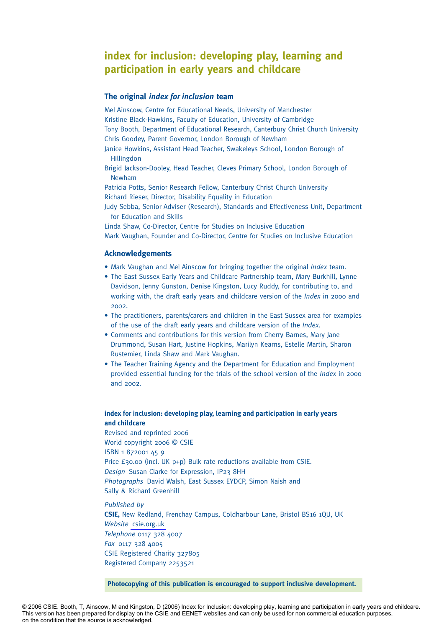## **index for inclusion: developing play, learning and participation in early years and childcare**

#### **The original** *index for inclusion* **team**

Mel Ainscow, Centre for Educational Needs, University of Manchester Kristine Black-Hawkins, Faculty of Education, University of Cambridge Tony Booth, Department of Educational Research, Canterbury Christ Church University Chris Goodey, Parent Governor, London Borough of Newham Janice Howkins, Assistant Head Teacher, Swakeleys School, London Borough of Hillingdon Brigid Jackson-Dooley, Head Teacher, Cleves Primary School, London Borough of Newham Patricia Potts, Senior Research Fellow, Canterbury Christ Church University Richard Rieser, Director, Disability Equality in Education

Judy Sebba, Senior Adviser (Research), Standards and Effectiveness Unit, Department for Education and Skills

Linda Shaw, Co-Director, Centre for Studies on Inclusive Education Mark Vaughan, Founder and Co-Director, Centre for Studies on Inclusive Education

#### **Acknowledgements**

- Mark Vaughan and Mel Ainscow for bringing together the original *Index* team.
- The East Sussex Early Years and Childcare Partnership team, Mary Burkhill, Lynne Davidson, Jenny Gunston, Denise Kingston, Lucy Ruddy, for contributing to, and working with, the draft early years and childcare version of the *Index* in 2000 and 2002.
- The practitioners, parents/carers and children in the East Sussex area for examples of the use of the draft early years and childcare version of the *Index*.
- Comments and contributions for this version from Cherry Barnes, Mary Jane Drummond, Susan Hart, Justine Hopkins, Marilyn Kearns, Estelle Martin, Sharon Rustemier, Linda Shaw and Mark Vaughan.
- The Teacher Training Agency and the Department for Education and Employment provided essential funding for the trials of the school version of the *Index* in 2000 and 2002.

#### **index for inclusion: developing play, learning and participation in early years and childcare**

Revised and reprinted 2006 World copyright 2006 © CSIE ISBN 1 872001 45 9 Price £30.00 (incl. UK p+p) Bulk rate reductions available from CSIE. *Design* Susan Clarke for Expression, IP23 8HH *Photographs* David Walsh, East Sussex EYDCP, Simon Naish and Sally & Richard Greenhill

#### *Published by*

**CSIE,** New Redland, Frenchay Campus, Coldharbour Lane, Bristol BS16 1QU, UK *Website* [csie.org.uk](www.csie.org.uk) *Telephone* 0117 328 4007 *Fax* 0117 328 4005 CSIE Registered Charity 327805 Registered Company 2253521

**Photocopying of this publication is encouraged to support inclusive development.**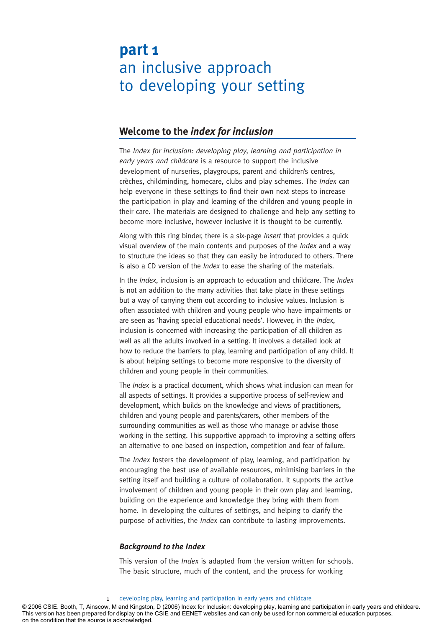# **part 1**  an inclusive approach to developing your setting

## **Welcome to the** *index for inclusion*

The *Index for inclusion: developing play, learning and participation in early years and childcare* is a resource to support the inclusive development of nurseries, playgroups, parent and children's centres, crèches, childminding, homecare, clubs and play schemes. The *Index* can help everyone in these settings to find their own next steps to increase the participation in play and learning of the children and young people in their care. The materials are designed to challenge and help any setting to become more inclusive, however inclusive it is thought to be currently.

Along with this ring binder, there is a six-page *Insert* that provides a quick visual overview of the main contents and purposes of the *Index* and a way to structure the ideas so that they can easily be introduced to others. There is also a CD version of the *Index* to ease the sharing of the materials.

In the *Index*, inclusion is an approach to education and childcare. The *Index* is not an addition to the many activities that take place in these settings but a way of carrying them out according to inclusive values. Inclusion is often associated with children and young people who have impairments or are seen as 'having special educational needs'. However, in the *Index*, inclusion is concerned with increasing the participation of all children as well as all the adults involved in a setting. It involves a detailed look at how to reduce the barriers to play, learning and participation of any child. It is about helping settings to become more responsive to the diversity of children and young people in their communities.

The *Index* is a practical document, which shows what inclusion can mean for all aspects of settings. It provides a supportive process of self-review and development, which builds on the knowledge and views of practitioners, children and young people and parents/carers, other members of the surrounding communities as well as those who manage or advise those working in the setting. This supportive approach to improving a setting offers an alternative to one based on inspection, competition and fear of failure.

The *Index* fosters the development of play, learning, and participation by encouraging the best use of available resources, minimising barriers in the setting itself and building a culture of collaboration. It supports the active involvement of children and young people in their own play and learning, building on the experience and knowledge they bring with them from home. In developing the cultures of settings, and helping to clarify the purpose of activities, the *Index* can contribute to lasting improvements.

#### *Background to the Index*

This version of the *Index* is adapted from the version written for schools. The basic structure, much of the content, and the process for working

#### 1 developing play, learning and participation in early years and childcare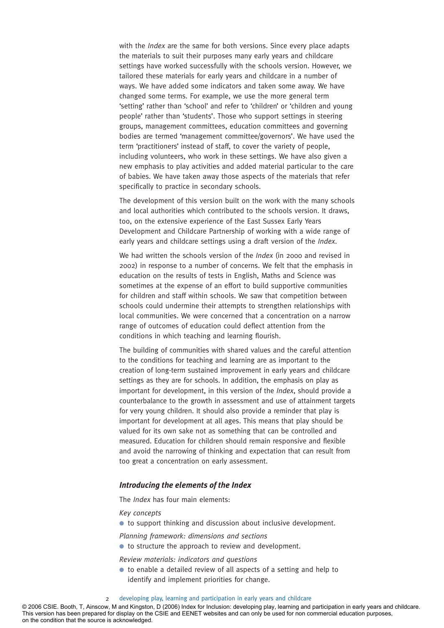with the *Index* are the same for both versions. Since every place adapts the materials to suit their purposes many early years and childcare settings have worked successfully with the schools version. However, we tailored these materials for early years and childcare in a number of ways. We have added some indicators and taken some away. We have changed some terms. For example, we use the more general term 'setting' rather than 'school' and refer to 'children' or 'children and young people' rather than 'students'. Those who support settings in steering groups, management committees, education committees and governing bodies are termed 'management committee/governors'. We have used the term 'practitioners' instead of staff, to cover the variety of people, including volunteers, who work in these settings. We have also given a new emphasis to play activities and added material particular to the care of babies. We have taken away those aspects of the materials that refer specifically to practice in secondary schools.

The development of this version built on the work with the many schools and local authorities which contributed to the schools version. It draws, too, on the extensive experience of the East Sussex Early Years Development and Childcare Partnership of working with a wide range of early years and childcare settings using a draft version of the *Index*.

We had written the schools version of the *Index* (in 2000 and revised in 2002) in response to a number of concerns. We felt that the emphasis in education on the results of tests in English, Maths and Science was sometimes at the expense of an effort to build supportive communities for children and staff within schools. We saw that competition between schools could undermine their attempts to strengthen relationships with local communities. We were concerned that a concentration on a narrow range of outcomes of education could deflect attention from the conditions in which teaching and learning flourish.

The building of communities with shared values and the careful attention to the conditions for teaching and learning are as important to the creation of long-term sustained improvement in early years and childcare settings as they are for schools. In addition, the emphasis on play as important for development, in this version of the *Index*, should provide a counterbalance to the growth in assessment and use of attainment targets for very young children. It should also provide a reminder that play is important for development at all ages. This means that play should be valued for its own sake not as something that can be controlled and measured. Education for children should remain responsive and flexible and avoid the narrowing of thinking and expectation that can result from too great a concentration on early assessment.

#### *Introducing the elements of the Index*

The *Index* has four main elements:

#### *Key concepts*

● to support thinking and discussion about inclusive development.

*Planning framework: dimensions and sections* 

● to structure the approach to review and development.

#### *Review materials: indicators and questions*

- to enable a detailed review of all aspects of a setting and help to identify and implement priorities for change.
- 2 developing play, learning and participation in early years and childcare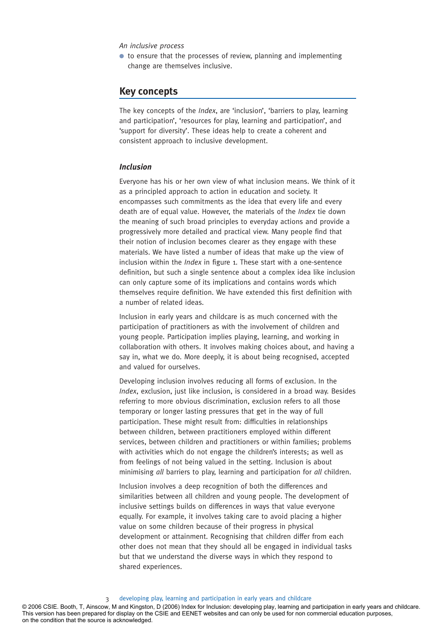#### *An inclusive process*

 $\bullet$  to ensure that the processes of review, planning and implementing change are themselves inclusive.

#### **Key concepts**

The key concepts of the *Index*, are 'inclusion', 'barriers to play, learning and participation', 'resources for play, learning and participation', and 'support for diversity'. These ideas help to create a coherent and consistent approach to inclusive development.

#### *Inclusion*

Everyone has his or her own view of what inclusion means. We think of it as a principled approach to action in education and society. It encompasses such commitments as the idea that every life and every death are of equal value. However, the materials of the *Index* tie down the meaning of such broad principles to everyday actions and provide a progressively more detailed and practical view. Many people find that their notion of inclusion becomes clearer as they engage with these materials. We have listed a number of ideas that make up the view of inclusion within the *Index* in figure 1. These start with a one-sentence definition, but such a single sentence about a complex idea like inclusion can only capture some of its implications and contains words which themselves require definition. We have extended this first definition with a number of related ideas.

Inclusion in early years and childcare is as much concerned with the participation of practitioners as with the involvement of children and young people. Participation implies playing, learning, and working in collaboration with others. It involves making choices about, and having a say in, what we do. More deeply, it is about being recognised, accepted and valued for ourselves.

Developing inclusion involves reducing all forms of exclusion. In the *Index*, exclusion, just like inclusion, is considered in a broad way. Besides referring to more obvious discrimination, exclusion refers to all those temporary or longer lasting pressures that get in the way of full participation. These might result from: difficulties in relationships between children, between practitioners employed within different services, between children and practitioners or within families; problems with activities which do not engage the children's interests; as well as from feelings of not being valued in the setting. Inclusion is about minimising *all* barriers to play, learning and participation for *all* children.

Inclusion involves a deep recognition of both the differences and similarities between all children and young people. The development of inclusive settings builds on differences in ways that value everyone equally. For example, it involves taking care to avoid placing a higher value on some children because of their progress in physical development or attainment. Recognising that children differ from each other does not mean that they should all be engaged in individual tasks but that we understand the diverse ways in which they respond to shared experiences.

#### 3 developing play, learning and participation in early years and childcare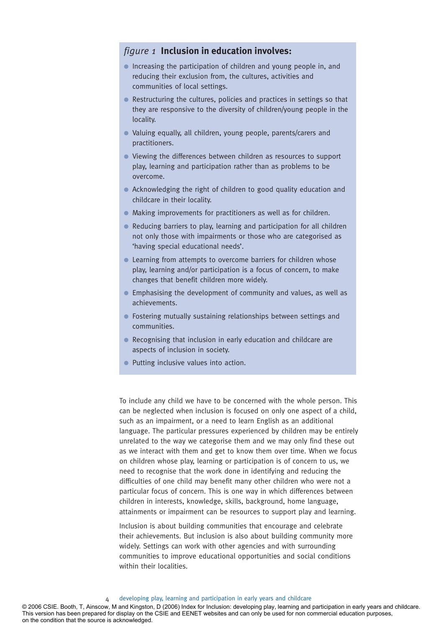#### <span id="page-7-0"></span>*figure 1* **Inclusion in education involves:**

- Increasing the participation of children and young people in, and reducing their exclusion from, the cultures, activities and communities of local settings.
- Restructuring the cultures, policies and practices in settings so that they are responsive to the diversity of children/young people in the locality.
- Valuing equally, all children, young people, parents/carers and practitioners.
- Viewing the differences between children as resources to support play, learning and participation rather than as problems to be overcome.
- Acknowledging the right of children to good quality education and childcare in their locality.
- Making improvements for practitioners as well as for children.
- Reducing barriers to play, learning and participation for all children not only those with impairments or those who are categorised as 'having special educational needs'.
- Learning from attempts to overcome barriers for children whose play, learning and/or participation is a focus of concern, to make changes that benefit children more widely.
- $\bullet$  Emphasising the development of community and values, as well as achievements.
- Fostering mutually sustaining relationships between settings and communities.
- Recognising that inclusion in early education and childcare are aspects of inclusion in society.
- Putting inclusive values into action.

To include any child we have to be concerned with the whole person. This can be neglected when inclusion is focused on only one aspect of a child, such as an impairment, or a need to learn English as an additional language. The particular pressures experienced by children may be entirely unrelated to the way we categorise them and we may only find these out as we interact with them and get to know them over time. When we focus on children whose play, learning or participation is of concern to us, we need to recognise that the work done in identifying and reducing the difficulties of one child may benefit many other children who were not a particular focus of concern. This is one way in which differences between children in interests, knowledge, skills, background, home language, attainments or impairment can be resources to support play and learning.

Inclusion is about building communities that encourage and celebrate their achievements. But inclusion is also about building community more widely. Settings can work with other agencies and with surrounding communities to improve educational opportunities and social conditions within their localities.

#### 4 developing play, learning and participation in early years and childcare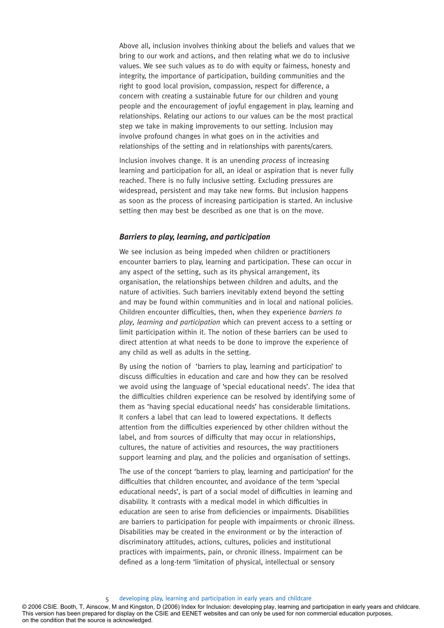Above all, inclusion involves thinking about the beliefs and values that we bring to our work and actions, and then relating what we do to inclusive values. We see such values as to do with equity or fairness, honesty and integrity, the importance of participation, building communities and the right to good local provision, compassion, respect for difference, a concern with creating a sustainable future for our children and young people and the encouragement of joyful engagement in play, learning and relationships. Relating our actions to our values can be the most practical step we take in making improvements to our setting. Inclusion may involve profound changes in what goes on in the activities and relationships of the setting and in relationships with parents/carers.

Inclusion involves change. It is an unending *process* of increasing learning and participation for all, an ideal or aspiration that is never fully reached. There is no fully inclusive setting. Excluding pressures are widespread, persistent and may take new forms. But inclusion happens as soon as the process of increasing participation is started. An inclusive setting then may best be described as one that is on the move.

#### *Barriers to play, learning, and participation*

We see inclusion as being impeded when children or practitioners encounter barriers to play, learning and participation. These can occur in any aspect of the setting, such as its physical arrangement, its organisation, the relationships between children and adults, and the nature of activities. Such barriers inevitably extend beyond the setting and may be found within communities and in local and national policies. Children encounter difficulties, then, when they experience *barriers to play, learning and participation* which can prevent access to a setting or limit participation within it. The notion of these barriers can be used to direct attention at what needs to be done to improve the experience of any child as well as adults in the setting.

By using the notion of 'barriers to play, learning and participation' to discuss difficulties in education and care and how they can be resolved we avoid using the language of 'special educational needs'. The idea that the difficulties children experience can be resolved by identifying some of them as 'having special educational needs' has considerable limitations. It confers a label that can lead to lowered expectations. It deflects attention from the difficulties experienced by other children without the label, and from sources of difficulty that may occur in relationships, cultures, the nature of activities and resources, the way practitioners support learning and play, and the policies and organisation of settings.

The use of the concept 'barriers to play, learning and participation' for the difficulties that children encounter, and avoidance of the term 'special educational needs', is part of a social model of difficulties in learning and disability. It contrasts with a medical model in which difficulties in education are seen to arise from deficiencies or impairments. Disabilities are barriers to participation for people with impairments or chronic illness. Disabilities may be created in the environment or by the interaction of discriminatory attitudes, actions, cultures, policies and institutional practices with impairments, pain, or chronic illness. Impairment can be defined as a long-term 'limitation of physical, intellectual or sensory

#### 5 developing play, learning and participation in early years and childcare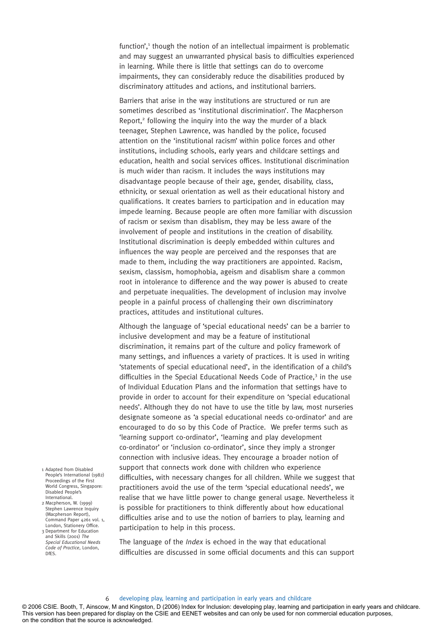<span id="page-9-0"></span>function',<sup>1</sup> though the notion of an intellectual impairment is problematic and may suggest an unwarranted physical basis to difficulties experienced in learning. While there is little that settings can do to overcome impairments, they can considerably reduce the disabilities produced by discriminatory attitudes and actions, and institutional barriers.

Barriers that arise in the way institutions are structured or run are sometimes described as 'institutional discrimination'. The Macpherson Report, $2$  following the inquiry into the way the murder of a black teenager, Stephen Lawrence, was handled by the police, focused attention on the 'institutional racism' within police forces and other institutions, including schools, early years and childcare settings and education, health and social services offices. Institutional discrimination is much wider than racism. It includes the ways institutions may disadvantage people because of their age, gender, disability, class, ethnicity, or sexual orientation as well as their educational history and qualifications. It creates barriers to participation and in education may impede learning. Because people are often more familiar with discussion of racism or sexism than disablism, they may be less aware of the involvement of people and institutions in the creation of disability. Institutional discrimination is deeply embedded within cultures and influences the way people are perceived and the responses that are made to them, including the way practitioners are appointed. Racism, sexism, classism, homophobia, ageism and disablism share a common root in intolerance to difference and the way power is abused to create and perpetuate inequalities. The development of inclusion may involve people in a painful process of challenging their own discriminatory practices, attitudes and institutional cultures.

Although the language of 'special educational needs' can be a barrier to inclusive development and may be a feature of institutional discrimination, it remains part of the culture and policy framework of many settings, and influences a variety of practices. It is used in writing 'statements of special educational need', in the identification of a child's difficulties in the Special Educational Needs Code of Practice.<sup>3</sup> in the use of Individual Education Plans and the information that settings have to provide in order to account for their expenditure on 'special educational needs'. Although they do not have to use the title by law, most nurseries designate someone as 'a special educational needs co-ordinator' and are encouraged to do so by this Code of Practice. We prefer terms such as 'learning support co-ordinator', 'learning and play development co-ordinator' or 'inclusion co-ordinator', since they imply a stronger connection with inclusive ideas. They encourage a broader notion of support that connects work done with children who experience difficulties, with necessary changes for all children. While we suggest that practitioners avoid the use of the term 'special educational needs', we realise that we have little power to change general usage. Nevertheless it is possible for practitioners to think differently about how educational difficulties arise and to use the notion of barriers to play, learning and participation to help in this process.

The language of the *Index* is echoed in the way that educational difficulties are discussed in some official documents and this can support

- 1 Adapted from Disabled People's International (1982) Proceedings of the First World Congress, Singapore: Disabled People's International.
- 2 Macpherson, W. (1999) Stephen Lawrence Inquiry (Macpherson Report), Command Paper 4261 vol. 1, London, Stationery Office. 3 Department for Education and Skills (2001) *The Special Educational Needs Code of Practice*, London, DfES.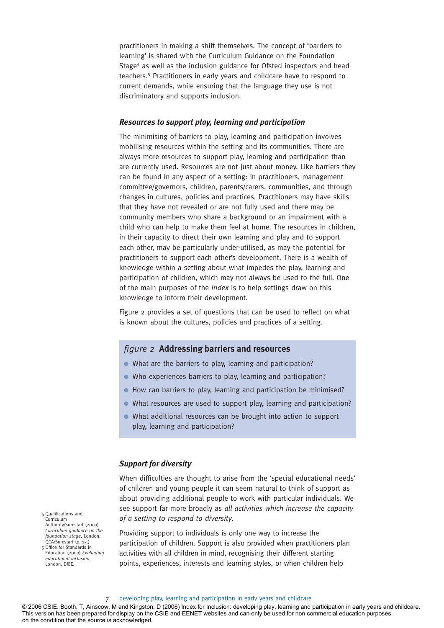practitioners in making a shift themselves. The concept of 'barriers to learning' is shared with the Curriculum Guidance on the Foundation Stage<sup>4</sup> as well as the inclusion guidance for Ofsted inspectors and head teachers.5 Practitioners in early years and childcare have to respond to current demands, while ensuring that the language they use is not discriminatory and supports inclusion.

#### *Resources to support play, learning and participation*

The minimising of barriers to play, learning and participation involves mobilising resources within the setting and its communities. There are always more resources to support play, learning and participation than are currently used. Resources are not just about money. Like barriers they can be found in any aspect of a setting: in practitioners, management committee/governors, children, parents/carers, communities, and through changes in cultures, policies and practices. Practitioners may have skills that they have not revealed or are not fully used and there may be community members who share a background or an impairment with a child who can help to make them feel at home. The resources in children, in their capacity to direct their own learning and play and to support each other, may be particularly under-utilised, as may the potential for practitioners to support each other's development. There is a wealth of knowledge within a setting about what impedes the play, learning and participation of children, which may not always be used to the full. One of the main purposes of the *Index* is to help settings draw on this knowledge to inform their development.

Figure 2 provides a set of questions that can be used to reflect on what is known about the cultures, policies and practices of a setting.

#### *figure 2* **Addressing barriers and resources**

- What are the barriers to play, learning and participation?
- Who experiences barriers to play, learning and participation?
- How can barriers to play, learning and participation be minimised?
- What resources are used to support play, learning and participation?
- What additional resources can be brought into action to support play, learning and participation?

#### *Support for diversity*

When difficulties are thought to arise from the 'special educational needs' of children and young people it can seem natural to think of support as about providing additional people to work with particular individuals. We see support far more broadly as *all activities which increase the capacity of a setting to respond to diversity.*

Providing support to individuals is only one way to increase the participation of children. Support is also provided when practitioners plan activities with all children in mind, recognising their different starting points, experiences, interests and learning styles, or when children help

4 Qualifications and Curriculum Authority/Surestart (2000) *Curriculum guidance on the foundation stage*, London, QCA/Surestart (p. 17.) 5 Office for Standards in

Education (2000) *Evaluating educational inclusion*, London, DfEE.

#### 7 developing play, learning and participation in early years and childcare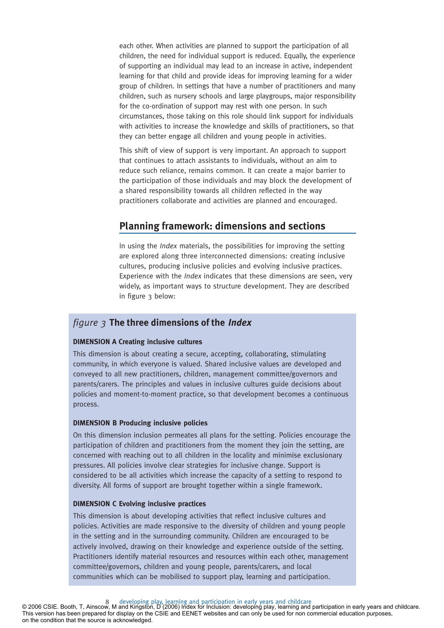<span id="page-11-0"></span>each other. When activities are planned to support the participation of all children, the need for individual support is reduced. Equally, the experience of supporting an individual may lead to an increase in active, independent learning for that child and provide ideas for improving learning for a wider group of children. In settings that have a number of practitioners and many children, such as nursery schools and large playgroups, major responsibility for the co-ordination of support may rest with one person. In such circumstances, those taking on this role should link support for individuals with activities to increase the knowledge and skills of practitioners, so that they can better engage all children and young people in activities.

This shift of view of support is very important. An approach to support that continues to attach assistants to individuals, without an aim to reduce such reliance, remains common. It can create a major barrier to the participation of those individuals and may block the development of a shared responsibility towards all children reflected in the way practitioners collaborate and activities are planned and encouraged.

## **Planning framework: dimensions and sections**

In using the *Index* materials, the possibilities for improving the setting are explored along three interconnected dimensions: creating inclusive cultures, producing inclusive policies and evolving inclusive practices. Experience with the *Index* indicates that these dimensions are seen, very widely, as important ways to structure development. They are described in figure 3 below:

## *figure 3* **The three dimensions of the** *Index*

#### **DIMENSION A Creating inclusive cultures**

This dimension is about creating a secure, accepting, collaborating, stimulating community, in which everyone is valued. Shared inclusive values are developed and conveyed to all new practitioners, children, management committee/governors and parents/carers. The principles and values in inclusive cultures guide decisions about policies and moment-to-moment practice, so that development becomes a continuous process.

#### **DIMENSION B Producing inclusive policies**

On this dimension inclusion permeates all plans for the setting. Policies encourage the participation of children and practitioners from the moment they join the setting, are concerned with reaching out to all children in the locality and minimise exclusionary pressures. All policies involve clear strategies for inclusive change. Support is considered to be all activities which increase the capacity of a setting to respond to diversity. All forms of support are brought together within a single framework.

#### **DIMENSION C Evolving inclusive practices**

This dimension is about developing activities that reflect inclusive cultures and policies. Activities are made responsive to the diversity of children and young people in the setting and in the surrounding community. Children are encouraged to be actively involved, drawing on their knowledge and experience outside of the setting. Practitioners identify material resources and resources within each other, management committee/governors, children and young people, parents/carers, and local communities which can be mobilised to support play, learning and participation.

8 developing play, learning and participation in early years and childcare<br>© 2006 CSIE. Booth, T, Ainscow, M and Kingston, D (2006) Index for Inclusion: developing play, learning and participation in early years and childc This version has been prepared for display on the CSIE and EENET websites and can only be used for non commercial education purposes, on the condition that the source is acknowledged.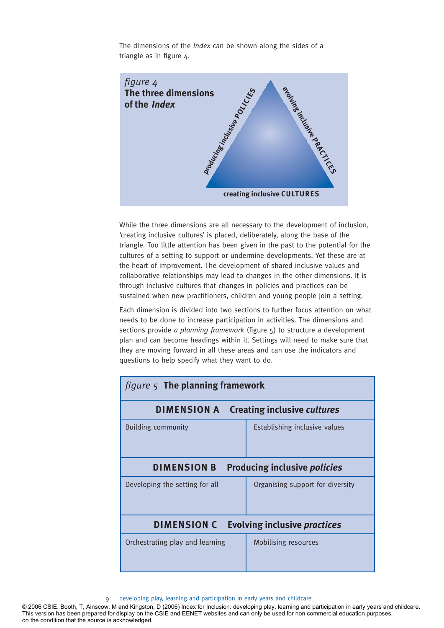

The dimensions of the *Index* can be shown along the sides of a triangle as in figure 4.

While the three dimensions are all necessary to the development of inclusion, 'creating inclusive cultures' is placed, deliberately, along the base of the triangle. Too little attention has been given in the past to the potential for the cultures of a setting to support or undermine developments. Yet these are at the heart of improvement. The development of shared inclusive values and collaborative relationships may lead to changes in the other dimensions. It is through inclusive cultures that changes in policies and practices can be sustained when new practitioners, children and young people join a setting.

Each dimension is divided into two sections to further focus attention on what needs to be done to increase participation in activities. The dimensions and sections provide *a planning framework* (figure 5) to structure a development plan and can become headings within it. Settings will need to make sure that they are moving forward in all these areas and can use the indicators and questions to help specify what they want to do.

| figure $\zeta$ The planning framework                     |                                  |
|-----------------------------------------------------------|----------------------------------|
| <b>DIMENSION A</b> Creating inclusive cultures            |                                  |
| Building community                                        | Establishing inclusive values    |
| <b>Producing inclusive policies</b><br><b>DIMENSION B</b> |                                  |
| Developing the setting for all                            | Organising support for diversity |
| <b>DIMENSION C</b> Evolving inclusive practices           |                                  |
| Orchestrating play and learning                           | Mobilising resources             |

9 developing play, learning and participation in early years and childcare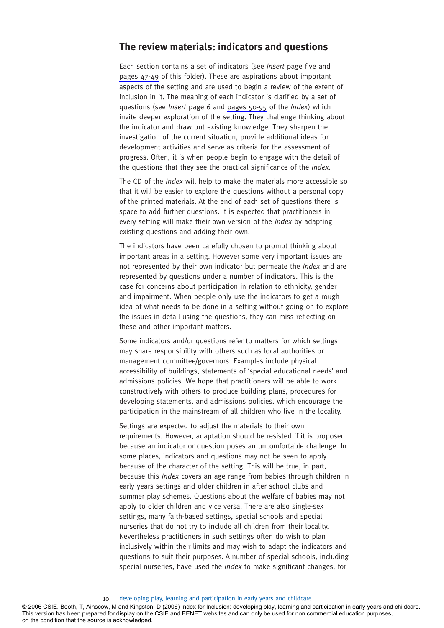## **The review materials: indicators and questions**

Each section contains a set of indicators (see *Insert* page five and pages 47-49 of this folder). These are aspirations about important aspects of the setting and are used to begin a review of the extent of inclusion in it. The meaning of each indicator is clarified by a set of questions (see *Insert* page 6 and [pages 50-95](#page-53-0) of the *Index*) which invite deeper exploration of the setting. They challenge thinking about the indicator and draw out existing knowledge. They sharpen the investigation of the current situation, provide additional ideas for development activities and serve as criteria for the assessment of progress. Often, it is when people begin to engage with the detail of the questions that they see the practical significance of the *Index*.

The CD of the *Index* will help to make the materials more accessible so that it will be easier to explore the questions without a personal copy of the printed materials. At the end of each set of questions there is space to add further questions. It is expected that practitioners in every setting will make their own version of the *Index* by adapting existing questions and adding their own.

The indicators have been carefully chosen to prompt thinking about important areas in a setting. However some very important issues are not represented by their own indicator but permeate the *Index* and are represented by questions under a number of indicators. This is the case for concerns about participation in relation to ethnicity, gender and impairment. When people only use the indicators to get a rough idea of what needs to be done in a setting without going on to explore the issues in detail using the questions, they can miss reflecting on these and other important matters.

Some indicators and/or questions refer to matters for which settings may share responsibility with others such as local authorities or management committee/governors. Examples include physical accessibility of buildings, statements of 'special educational needs' and admissions policies. We hope that practitioners will be able to work constructively with others to produce building plans, procedures for developing statements, and admissions policies, which encourage the participation in the mainstream of all children who live in the locality.

Settings are expected to adjust the materials to their own requirements. However, adaptation should be resisted if it is proposed because an indicator or question poses an uncomfortable challenge. In some places, indicators and questions may not be seen to apply because of the character of the setting. This will be true, in part, because this *Index* covers an age range from babies through children in early years settings and older children in after school clubs and summer play schemes. Questions about the welfare of babies may not apply to older children and vice versa. There are also single-sex settings, many faith-based settings, special schools and special nurseries that do not try to include all children from their locality. Nevertheless practitioners in such settings often do wish to plan inclusively within their limits and may wish to adapt the indicators and questions to suit their purposes. A number of special schools, including special nurseries, have used the *Index* to make significant changes, for

#### 10 developing play, learning and participation in early years and childcare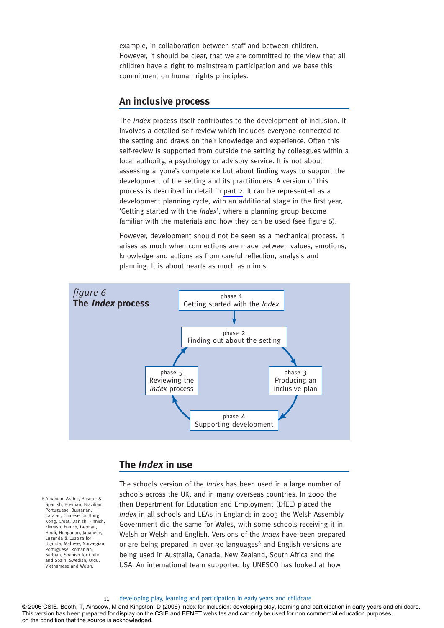example, in collaboration between staff and between children. However, it should be clear, that we are committed to the view that all children have a right to mainstream participation and we base this commitment on human rights principles.

## **An inclusive process**

The *Index* process itself contributes to the development of inclusion. It involves a detailed self-review which includes everyone connected to the setting and draws on their knowledge and experience. Often this self-review is supported from outside the setting by colleagues within a local authority, a psychology or advisory service. It is not about assessing anyone's competence but about finding ways to support the development of the setting and its practitioners. A version of this process is described in detail in [part 2.](#page-17-0) It can be represented as a development planning cycle, with an additional stage in the first year, 'Getting started with the *Index*', where a planning group become familiar with the materials and how they can be used (see figure 6).

However, development should not be seen as a mechanical process. It arises as much when connections are made between values, emotions, knowledge and actions as from careful reflection, analysis and planning. It is about hearts as much as minds.



## **The** *Index* **in use**

6 Albanian, Arabic, Basque & Spanish, Bosnian, Brazilian Portuguese, Bulgarian, Catalan, Chinese for Hong Kong, Croat, Danish, Finnish, Flemish, French, German, Hindi, Hungarian, Japanese, Luganda & Lusoga for Uganda, Maltese, Norwegian, Portuguese, Romanian, Serbian, Spanish for Chile and Spain, Swedish, Urdu, Vietnamese and Welsh.

The schools version of the *Index* has been used in a large number of schools across the UK, and in many overseas countries. In 2000 the then Department for Education and Employment (DfEE) placed the *Index* in all schools and LEAs in England; in 2003 the Welsh Assembly Government did the same for Wales, with some schools receiving it in Welsh or Welsh and English. Versions of the *Index* have been prepared or are being prepared in over 30 languages $6$  and English versions are being used in Australia, Canada, New Zealand, South Africa and the USA. An international team supported by UNESCO has looked at how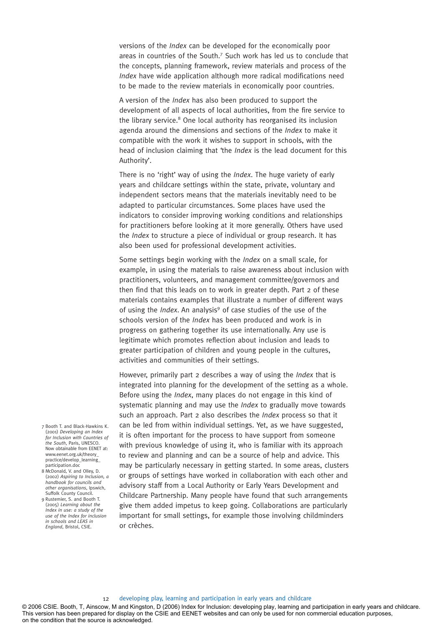versions of the *Index* can be developed for the economically poor areas in countries of the South.<sup>7</sup> Such work has led us to conclude that the concepts, planning framework, review materials and process of the *Index* have wide application although more radical modifications need to be made to the review materials in economically poor countries.

A version of the *Index* has also been produced to support the development of all aspects of local authorities, from the fire service to the library service.<sup>8</sup> One local authority has reorganised its inclusion agenda around the dimensions and sections of the *Index* to make it compatible with the work it wishes to support in schools, with the head of inclusion claiming that 'the *Index* is the lead document for this Authority'.

There is no 'right' way of using the *Index*. The huge variety of early years and childcare settings within the state, private, voluntary and independent sectors means that the materials inevitably need to be adapted to particular circumstances. Some places have used the indicators to consider improving working conditions and relationships for practitioners before looking at it more generally. Others have used the *Index* to structure a piece of individual or group research. It has also been used for professional development activities.

Some settings begin working with the *Index* on a small scale, for example, in using the materials to raise awareness about inclusion with practitioners, volunteers, and management committee/governors and then find that this leads on to work in greater depth. Part 2 of these materials contains examples that illustrate a number of different ways of using the *Index*. An analysis<sup>9</sup> of case studies of the use of the schools version of the *Index* has been produced and work is in progress on gathering together its use internationally. Any use is legitimate which promotes reflection about inclusion and leads to greater participation of children and young people in the cultures, activities and communities of their settings.

However, primarily part 2 describes a way of using the *Index* that is integrated into planning for the development of the setting as a whole. Before using the *Index*, many places do not engage in this kind of systematic planning and may use the *Index* to gradually move towards such an approach. Part 2 also describes the *Index* process so that it can be led from within individual settings. Yet, as we have suggested, it is often important for the process to have support from someone with previous knowledge of using it, who is familiar with its approach to review and planning and can be a source of help and advice. This may be particularly necessary in getting started. In some areas, clusters or groups of settings have worked in collaboration with each other and advisory staff from a Local Authority or Early Years Development and Childcare Partnership. Many people have found that such arrangements give them added impetus to keep going. Collaborations are particularly important for small settings, for example those involving childminders or crèches.

- 7 Booth T. and Black-Hawkins K. (2001) *Developing an Index for Inclusion with Countries of the South*, Paris, UNESCO. Now obtainable from EENET at: www.eenet.org.uk/theory\_ practice/develop\_learning participation.doc
- 8 McDonald, V. and Olley, D. (2002) *Aspiring to Inclusion, a handbook for councils and other organisations*, Ipswich, Suffolk County Council.
- 9 Rustemier, S. and Booth T. (2005) *Learning about the Index in use: a study of the use of the Index for inclusion in schools and LEAS in England*, Bristol, CSIE.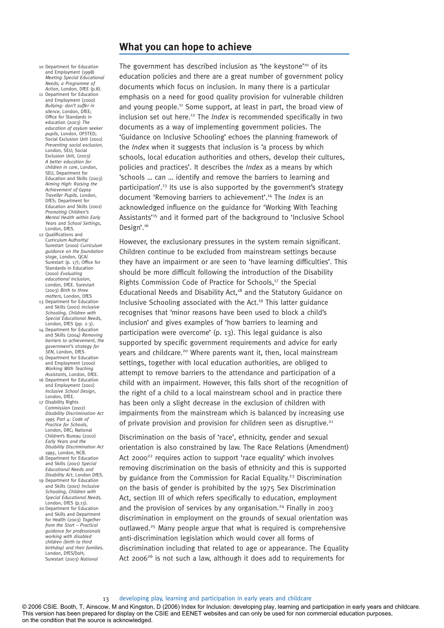## **What you can hope to achieve**

- 10 Department for Education and Employment (1998) *Meeting Special Educational Needs; a Programme of Action*, London, DfEE (p.8).
- 11 Department for Education and Employment (2000) *Bullying: don't suffer in silence*, London, DfEE; Office for Standards in education (2003) *The education of asylum seeker pupils*, London, OFSTED; Social Exclusion Unit (2001) *Preventing social exclusion*, London, SEU; Social Exclusion Unit, (2003) *A better education for children in care*, London, SEU, Department for Education and Skills (2003) *Aiming High: Raising the Achievement of Gypsy Traveller Pupils*, London, DfES; Department for Education and Skills (2001) *Promoting Children's Mental Health within Early Years and School Settings*, London, DfES.
- 12 Qualifications and Curriculum Authority/ Surestart (2000) *Curriculum guidance on the foundation stage*, London, QCA/ Surestart (p. 17); Office for Standards in Education (2000) *Evaluating educational inclusion*, London, DfEE. Surestart (2003) *Birth to three matters*, London, DfES
- 13 Department for Education and Skills (2001) *Inclusive Schooling, Children with Special Educational Needs*, London, DfES (pp. 2-3).
- 14 Department for Education and Skills (2004) *Removing barriers to achievement, the government's strategy for SEN*, London, DfES.
- 15 Department for Education and Employment (2000) *Working With Teaching Assistants*, London, DfEE.
- 16 Department for Education and Employment (2001) *Inclusive School Design*, London, DfEE.
- 17 Disability Rights Commission (2002) *Disability Discrimination Act 1995 Part 4: Code of Practice for Schools*, London, DRC; National Children's Bureau (2002) *Early Years and the Disability Discrimination Act 1995*, London, NCB.
- 18 Department for Education and Skills (2001) *Special Educational Needs and Disability Act*, London DfES.
- 19 Department for Education and Skills (2001) *Inclusive Schooling, Children with Special Educational Needs*, London, DfES (p.13).
- 20 Department for Education and Skills and Department for Health (2003) *Together from the Start – Practical guidance for professionals working with disabled children (birth to third birthday) and their families*, London, DfES/DoH; Surestart (2003) *National*

The government has described inclusion as 'the keystone'<sup>10</sup> of its education policies and there are a great number of government policy documents which focus on inclusion. In many there is a particular emphasis on a need for good quality provision for vulnerable children and young people.<sup>11</sup> Some support, at least in part, the broad view of inclusion set out here.<sup>12</sup> The *Index* is recommended specifically in two documents as a way of implementing government policies. The 'Guidance on Inclusive Schooling' echoes the planning framework of the *Index* when it suggests that inclusion is 'a process by which schools, local education authorities and others, develop their cultures, policies and practices'. It describes the *Index* as a means by which 'schools … can … identify and remove the barriers to learning and participation'.13 Its use is also supported by the government's strategy document 'Removing barriers to achievement'.14 The *Index* is an acknowledged influence on the guidance for 'Working With Teaching Assistants'<sup>15</sup> and it formed part of the background to 'Inclusive School Design'.<sup>16</sup>

However, the exclusionary pressures in the system remain significant. Children continue to be excluded from mainstream settings because they have an impairment or are seen to 'have learning difficulties'. This should be more difficult following the introduction of the Disability Rights Commission Code of Practice for Schools,<sup>17</sup> the Special Educational Needs and Disability Act,<sup>18</sup> and the Statutory Guidance on Inclusive Schooling associated with the Act.<sup>19</sup> This latter guidance recognises that 'minor reasons have been used to block a child's inclusion' and gives examples of 'how barriers to learning and participation were overcome' (p. 13). This legal guidance is also supported by specific government requirements and advice for early years and childcare.<sup>20</sup> Where parents want it, then, local mainstream settings, together with local education authorities, are obliged to attempt to remove barriers to the attendance and participation of a child with an impairment. However, this falls short of the recognition of the right of a child to a local mainstream school and in practice there has been only a slight decrease in the exclusion of children with impairments from the mainstream which is balanced by increasing use of private provision and provision for children seen as disruptive.<sup>21</sup>

Discrimination on the basis of 'race', ethnicity, gender and sexual orientation is also constrained by law. The Race Relations (Amendment) Act  $2000^{22}$  requires action to support 'race equality' which involves removing discrimination on the basis of ethnicity and this is supported by guidance from the Commission for Racial Equality.<sup>23</sup> Discrimination on the basis of gender is prohibited by the 1975 Sex Discrimination Act, section III of which refers specifically to education, employment and the provision of services by any organisation.<sup>24</sup> Finally in 2003 discrimination in employment on the grounds of sexual orientation was outlawed.<sup>25</sup> Many people argue that what is required is comprehensive anti-discrimination legislation which would cover all forms of discrimination including that related to age or appearance. The Equality Act 2006<sup>26</sup> is not such a law, although it does add to requirements for

#### 13 developing play, learning and participation in early years and childcare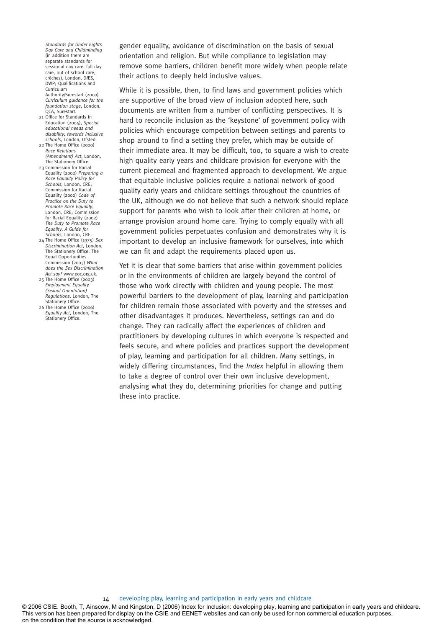<span id="page-17-0"></span>*Standards for Under Eights Day Care and Childminding* (in addition there are separate standards for sessional day care, full day care, out of school care, crèches), London, DfES, DWP; Qualifications and Curriculum Authority/Surestart (2000) *Curriculum guidance for the foundation stage*, London, QCA, Surestart.

- 21 Office for Standards in Education (2004), *Special educational needs and disability; towards inclusive schools*, London, Ofsted.
- 22 The Home Office (2000) *Race Relations (Amendment) Act*, London, The Stationery Office.
- 23 Commission for Racial Equality (2002) *Preparing a Race Equality Policy for Schools*, London, CRE; Commission for Racial Equality (2002) *Code of Practice on the Duty to Promote Race Equality*, London, CRE; Commission for Racial Equality (2002) *The Duty to Promote Race Equality, A Guide for Schools*, London, CRE.
- 24 The Home Office (1975) *Sex Discrimination Act*, London, The Stationery Office; The Equal Opportunities Commission (2003) *What does the Sex Discrimination Act say?* [www.eoc.org.uk.](http://www.eoc.org.uk)
- 25 The Home Office (2003) *Employment Equality (Sexual Orientation) Regulations*, London, The Stationery Office.
- 26 The Home Office (2006) *Equality Act*, London, The Stationery Office.

gender equality, avoidance of discrimination on the basis of sexual orientation and religion. But while compliance to legislation may remove some barriers, children benefit more widely when people relate their actions to deeply held inclusive values.

While it is possible, then, to find laws and government policies which are supportive of the broad view of inclusion adopted here, such documents are written from a number of conflicting perspectives. It is hard to reconcile inclusion as the 'keystone' of government policy with policies which encourage competition between settings and parents to shop around to find a setting they prefer, which may be outside of their immediate area. It may be difficult, too, to square a wish to create high quality early years and childcare provision for everyone with the current piecemeal and fragmented approach to development. We argue that equitable inclusive policies require a national network of good quality early years and childcare settings throughout the countries of the UK, although we do not believe that such a network should replace support for parents who wish to look after their children at home, or arrange provision around home care. Trying to comply equally with all government policies perpetuates confusion and demonstrates why it is important to develop an inclusive framework for ourselves, into which we can fit and adapt the requirements placed upon us.

Yet it is clear that some barriers that arise within government policies or in the environments of children are largely beyond the control of those who work directly with children and young people. The most powerful barriers to the development of play, learning and participation for children remain those associated with poverty and the stresses and other disadvantages it produces. Nevertheless, settings can and do change. They can radically affect the experiences of children and practitioners by developing cultures in which everyone is respected and feels secure, and where policies and practices support the development of play, learning and participation for all children. Many settings, in widely differing circumstances, find the *Index* helpful in allowing them to take a degree of control over their own inclusive development, analysing what they do, determining priorities for change and putting these into practice.

14 developing play, learning and participation in early years and childcare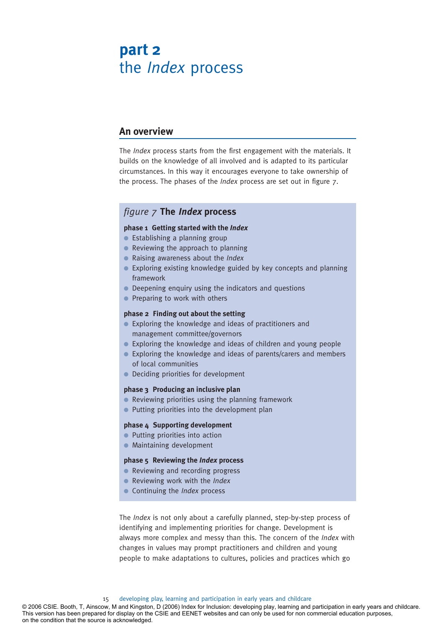# **part 2**  the *Index* process

## **An overview**

The *Index* process starts from the first engagement with the materials. It builds on the knowledge of all involved and is adapted to its particular circumstances. In this way it encourages everyone to take ownership of the process. The phases of the *Index* process are set out in figure 7.

## *figure 7* **The** *Index* **process**

#### **phase 1 Getting started with the** *Index*

- Establishing a planning group
- Reviewing the approach to planning
- Raising awareness about the *Index*
- Exploring existing knowledge guided by key concepts and planning framework
- Deepening enquiry using the indicators and questions
- Preparing to work with others

#### **phase 2 Finding out about the setting**

- Exploring the knowledge and ideas of practitioners and management committee/governors
- Exploring the knowledge and ideas of children and young people
- Exploring the knowledge and ideas of parents/carers and members of local communities
- Deciding priorities for development

#### **phase 3 Producing an inclusive plan**

- Reviewing priorities using the planning framework
- Putting priorities into the development plan

#### **phase 4 Supporting development**

- Putting priorities into action
- Maintaining development

#### **phase 5 Reviewing the** *Index* **process**

- Reviewing and recording progress
- Reviewing work with the *Index*
- Continuing the *Index* process

The *Index* is not only about a carefully planned, step-by-step process of identifying and implementing priorities for change. Development is always more complex and messy than this. The concern of the *Index* with changes in values may prompt practitioners and children and young people to make adaptations to cultures, policies and practices which go

<sup>© 2006</sup> CSIE. Booth, T, Ainscow, M and Kingston, D (2006) Index for Inclusion: developing play, learning and participation in early years and childcare. This version has been prepared for display on the CSIE and EENET websites and can only be used for non commercial education purposes, on the condition that the source is acknowledged.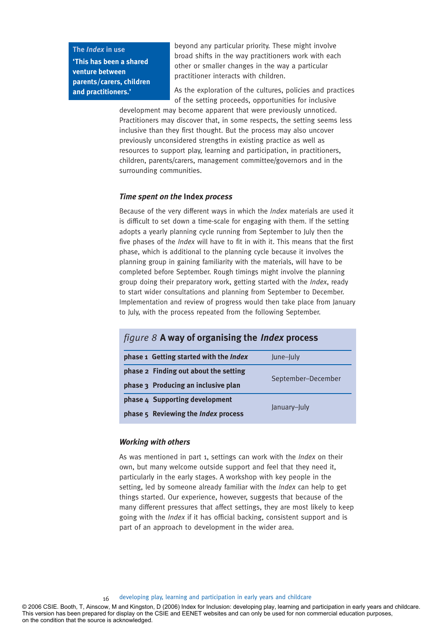**The** *Index* **in use 'This has been a shared venture between parents/carers, children and practitioners.'**

beyond any particular priority. These might involve broad shifts in the way practitioners work with each other or smaller changes in the way a particular practitioner interacts with children.

As the exploration of the cultures, policies and practices of the setting proceeds, opportunities for inclusive

development may become apparent that were previously unnoticed. Practitioners may discover that, in some respects, the setting seems less inclusive than they first thought. But the process may also uncover previously unconsidered strengths in existing practice as well as resources to support play, learning and participation, in practitioners, children, parents/carers, management committee/governors and in the surrounding communities.

#### *Time spent on the* **Index** *process*

Because of the very different ways in which the *Index* materials are used it is difficult to set down a time-scale for engaging with them. If the setting adopts a yearly planning cycle running from September to July then the five phases of the *Index* will have to fit in with it. This means that the first phase, which is additional to the planning cycle because it involves the planning group in gaining familiarity with the materials, will have to be completed before September. Rough timings might involve the planning group doing their preparatory work, getting started with the *Index*, ready to start wider consultations and planning from September to December. Implementation and review of progress would then take place from January to July, with the process repeated from the following September.

#### *figure 8* **A way of organising the** *Index* **process**

| phase 1 Getting started with the Index | June-July          |  |
|----------------------------------------|--------------------|--|
| phase 2 Finding out about the setting  |                    |  |
| phase 3 Producing an inclusive plan    | September-December |  |
| phase 4 Supporting development         |                    |  |
| phase 5 Reviewing the Index process    | January-July       |  |

#### *Working with others*

As was mentioned in part 1, settings can work with the *Index* on their own, but many welcome outside support and feel that they need it, particularly in the early stages. A workshop with key people in the setting, led by someone already familiar with the *Index* can help to get things started. Our experience, however, suggests that because of the many different pressures that affect settings, they are most likely to keep going with the *Index* if it has official backing, consistent support and is part of an approach to development in the wider area.

<sup>© 2006</sup> CSIE. Booth, T, Ainscow, M and Kingston, D (2006) Index for Inclusion: developing play, learning and participation in early years and childcare. This version has been prepared for display on the CSIE and EENET websites and can only be used for non commercial education purposes, on the condition that the source is acknowledged.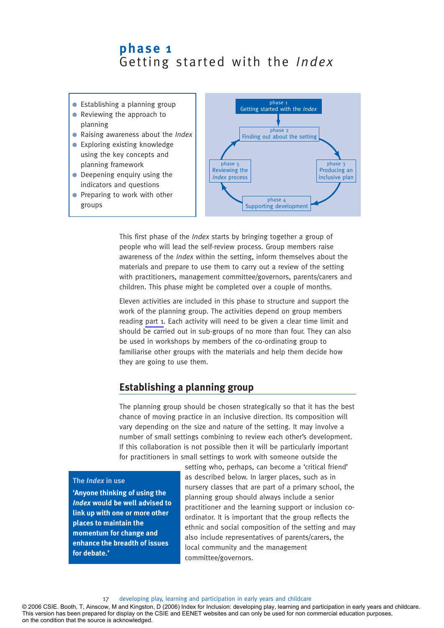## **phase 1** Getting started with the *Index*

- **Establishing a planning group**
- Reviewing the approach to planning
- Raising awareness about the *Index*
- Exploring existing knowledge using the key concepts and planning framework
- Deepening enquiry using the indicators and questions
- Preparing to work with other groups



This first phase of the *Index* starts by bringing together a group of people who will lead the self-review process. Group members raise awareness of the *Index* within the setting, inform themselves about the materials and prepare to use them to carry out a review of the setting with practitioners, management committee/governors, parents/carers and children. This phase might be completed over a couple of months.

Eleven activities are included in this phase to structure and support the work of the planning group. The activities depend on group members reading part 1. Each activity will need to be given a clear time limit and should be carried out in sub-groups of no more than four. They can also be used in workshops by members of the co-ordinating group to familiarise other groups with the materials and help them decide how they are going to use them.

## **Establishing a planning group**

The planning group should be chosen strategically so that it has the best chance of moving practice in an inclusive direction. Its composition will vary depending on the size and nature of the setting. It may involve a number of small settings combining to review each other's development. If this collaboration is not possible then it will be particularly important for practitioners in small settings to work with someone outside the

#### **The** *Index* **in use**

**'Anyone thinking of using the** *Index* **would be well advised to link up with one or more other places to maintain the momentum for change and enhance the breadth of issues for debate.'**

setting who, perhaps, can become a 'critical friend' as described below. In larger places, such as in nursery classes that are part of a primary school, the planning group should always include a senior practitioner and the learning support or inclusion coordinator. It is important that the group reflects the ethnic and social composition of the setting and may also include representatives of parents/carers, the local community and the management committee/governors.

#### 17 developing play, learning and participation in early years and childcare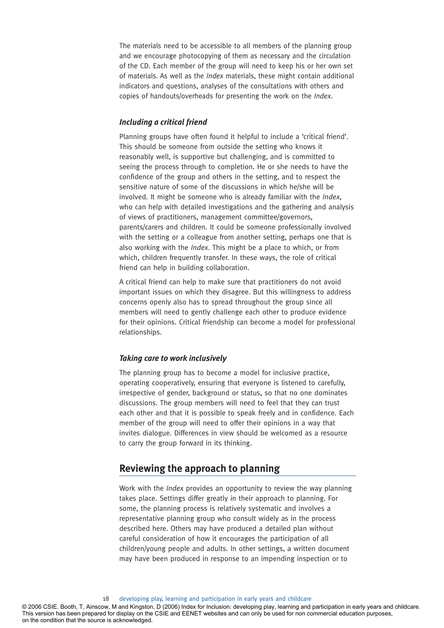The materials need to be accessible to all members of the planning group and we encourage photocopying of them as necessary and the circulation of the CD. Each member of the group will need to keep his or her own set of materials. As well as the *Index* materials, these might contain additional indicators and questions, analyses of the consultations with others and copies of handouts/overheads for presenting the work on the *Index*.

#### *Including a critical friend*

Planning groups have often found it helpful to include a 'critical friend'. This should be someone from outside the setting who knows it reasonably well, is supportive but challenging, and is committed to seeing the process through to completion. He or she needs to have the confidence of the group and others in the setting, and to respect the sensitive nature of some of the discussions in which he/she will be involved. It might be someone who is already familiar with the *Index*, who can help with detailed investigations and the gathering and analysis of views of practitioners, management committee/governors, parents/carers and children. It could be someone professionally involved with the setting or a colleague from another setting, perhaps one that is also working with the *Index*. This might be a place to which, or from which, children frequently transfer. In these ways, the role of critical friend can help in building collaboration.

A critical friend can help to make sure that practitioners do not avoid important issues on which they disagree. But this willingness to address concerns openly also has to spread throughout the group since all members will need to gently challenge each other to produce evidence for their opinions. Critical friendship can become a model for professional relationships.

#### *Taking care to work inclusively*

The planning group has to become a model for inclusive practice, operating cooperatively, ensuring that everyone is listened to carefully, irrespective of gender, background or status, so that no one dominates discussions. The group members will need to feel that they can trust each other and that it is possible to speak freely and in confidence. Each member of the group will need to offer their opinions in a way that invites dialogue. Differences in view should be welcomed as a resource to carry the group forward in its thinking.

#### **Reviewing the approach to planning**

Work with the *Index* provides an opportunity to review the way planning takes place. Settings differ greatly in their approach to planning. For some, the planning process is relatively systematic and involves a representative planning group who consult widely as in the process described here. Others may have produced a detailed plan without careful consideration of how it encourages the participation of all children/young people and adults. In other settings, a written document may have been produced in response to an impending inspection or to

<sup>© 2006</sup> CSIE. Booth, T, Ainscow, M and Kingston, D (2006) Index for Inclusion: developing play, learning and participation in early years and childcare. This version has been prepared for display on the CSIE and EENET websites and can only be used for non commercial education purposes, on the condition that the source is acknowledged.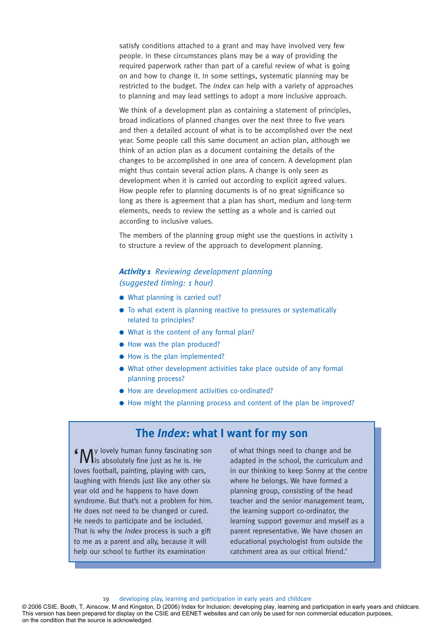satisfy conditions attached to a grant and may have involved very few people. In these circumstances plans may be a way of providing the required paperwork rather than part of a careful review of what is going on and how to change it. In some settings, systematic planning may be restricted to the budget. The *Index* can help with a variety of approaches to planning and may lead settings to adopt a more inclusive approach.

We think of a development plan as containing a statement of principles, broad indications of planned changes over the next three to five years and then a detailed account of what is to be accomplished over the next year. Some people call this same document an action plan, although we think of an action plan as a document containing the details of the changes to be accomplished in one area of concern. A development plan might thus contain several action plans. A change is only seen as development when it is carried out according to explicit agreed values. How people refer to planning documents is of no great significance so long as there is agreement that a plan has short, medium and long-term elements, needs to review the setting as a whole and is carried out according to inclusive values.

The members of the planning group might use the questions in activity 1 to structure a review of the approach to development planning.

## *Activity 1 Reviewing development planning (suggested timing: 1 hour)*

- What planning is carried out?
- To what extent is planning reactive to pressures or systematically related to principles?
- What is the content of any formal plan?
- How was the plan produced?
- How is the plan implemented?
- What other development activities take place outside of any formal planning process?
- How are development activities co-ordinated?
- How might the planning process and content of the plan be improved?

## **The** *Index***: what I want for my son**

'My lovely human funny fascinating son is absolutely fine just as he is. He loves football, painting, playing with cars, laughing with friends just like any other six year old and he happens to have down syndrome. But that's not a problem for him. He does not need to be changed or cured. He needs to participate and be included. That is why the *Index* process is such a gift to me as a parent and ally, because it will help our school to further its examination

of what things need to change and be adapted in the school, the curriculum and in our thinking to keep Sonny at the centre where he belongs. We have formed a planning group, consisting of the head teacher and the senior management team, the learning support co-ordinator, the learning support governor and myself as a parent representative. We have chosen an educational psychologist from outside the catchment area as our critical friend.'

19 developing play, learning and participation in early years and childcare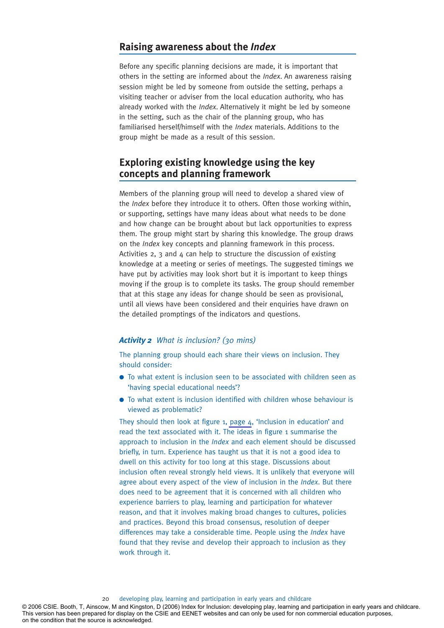## **Raising awareness about the** *Index*

Before any specific planning decisions are made, it is important that others in the setting are informed about the *Index*. An awareness raising session might be led by someone from outside the setting, perhaps a visiting teacher or adviser from the local education authority, who has already worked with the *Index*. Alternatively it might be led by someone in the setting, such as the chair of the planning group, who has familiarised herself/himself with the *Index* materials. Additions to the group might be made as a result of this session.

## **Exploring existing knowledge using the key concepts and planning framework**

Members of the planning group will need to develop a shared view of the *Index* before they introduce it to others. Often those working within, or supporting, settings have many ideas about what needs to be done and how change can be brought about but lack opportunities to express them. The group might start by sharing this knowledge. The group draws on the *Index* key concepts and planning framework in this process. Activities 2, 3 and 4 can help to structure the discussion of existing knowledge at a meeting or series of meetings. The suggested timings we have put by activities may look short but it is important to keep things moving if the group is to complete its tasks. The group should remember that at this stage any ideas for change should be seen as provisional, until all views have been considered and their enquiries have drawn on the detailed promptings of the indicators and questions.

#### *Activity 2 What is inclusion? (30 mins)*

The planning group should each share their views on inclusion. They should consider:

- To what extent is inclusion seen to be associated with children seen as 'having special educational needs'?
- To what extent is inclusion identified with children whose behaviour is viewed as problematic?

They should then look at figure 1, [page 4](#page-7-0), 'Inclusion in education' and read the text associated with it. The ideas in figure 1 summarise the approach to inclusion in the *Index* and each element should be discussed briefly, in turn. Experience has taught us that it is not a good idea to dwell on this activity for too long at this stage. Discussions about inclusion often reveal strongly held views. It is unlikely that everyone will agree about every aspect of the view of inclusion in the *Index*. But there does need to be agreement that it is concerned with all children who experience barriers to play, learning and participation for whatever reason, and that it involves making broad changes to cultures, policies and practices. Beyond this broad consensus, resolution of deeper differences may take a considerable time. People using the *Index* have found that they revise and develop their approach to inclusion as they work through it.

<sup>© 2006</sup> CSIE. Booth, T, Ainscow, M and Kingston, D (2006) Index for Inclusion: developing play, learning and participation in early years and childcare. This version has been prepared for display on the CSIE and EENET websites and can only be used for non commercial education purposes, on the condition that the source is acknowledged.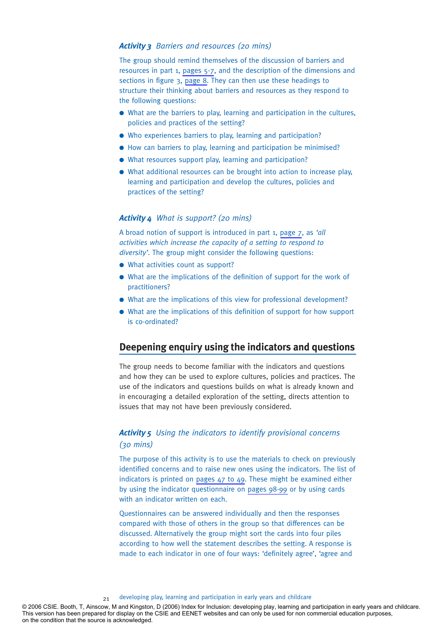#### *Activity 3 Barriers and resources (20 mins)*

The group should remind themselves of the discussion of barriers and resources in part 1, [pages 5-7](#page-7-0), and the description of the dimensions and sections in figure 3, [page 8.](#page-11-0) They can then use these headings to structure their thinking about barriers and resources as they respond to the following questions:

- What are the barriers to play, learning and participation in the cultures, policies and practices of the setting?
- Who experiences barriers to play, learning and participation?
- How can barriers to play, learning and participation be minimised?
- What resources support play, learning and participation?
- What additional resources can be brought into action to increase play, learning and participation and develop the cultures, policies and practices of the setting?

#### *Activity 4 What is support? (20 mins)*

A broad notion of support is introduced in part 1, [page 7,](#page-9-0) as *'all activities which increase the capacity of a setting to respond to diversity'*. The group might consider the following questions:

- What activities count as support?
- What are the implications of the definition of support for the work of practitioners?
- What are the implications of this view for professional development?
- What are the implications of this definition of support for how support is co-ordinated?

## **Deepening enquiry using the indicators and questions**

The group needs to become familiar with the indicators and questions and how they can be used to explore cultures, policies and practices. The use of the indicators and questions builds on what is already known and in encouraging a detailed exploration of the setting, directs attention to issues that may not have been previously considered.

## *Activity 5 Using the indicators to identify provisional concerns (30 mins)*

The purpose of this activity is to use the materials to check on previously identified concerns and to raise new ones using the indicators. The list of indicators is printed on pages  $47$  to  $49$ . These might be examined either by using the indicator questionnaire on [pages 98-99](#page-101-0) or by using cards with an indicator written on each.

Questionnaires can be answered individually and then the responses compared with those of others in the group so that differences can be discussed. Alternatively the group might sort the cards into four piles according to how well the statement describes the setting. A response is made to each indicator in one of four ways: 'definitely agree', 'agree and

#### 21 developing play, learning and participation in early years and childcare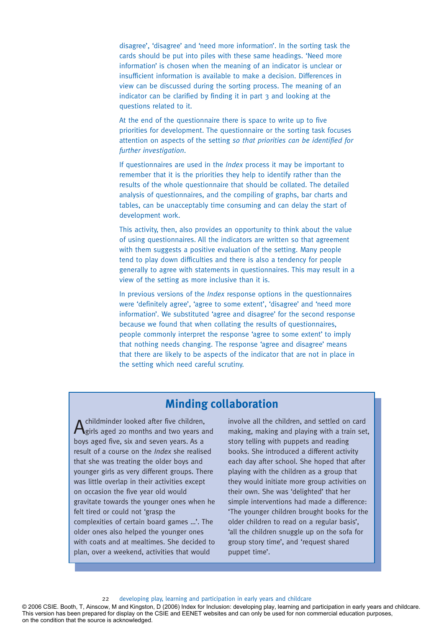disagree', 'disagree' and 'need more information'. In the sorting task the cards should be put into piles with these same headings. 'Need more information' is chosen when the meaning of an indicator is unclear or insufficient information is available to make a decision. Differences in view can be discussed during the sorting process. The meaning of an indicator can be clarified by finding it in part 3 and looking at the questions related to it.

At the end of the questionnaire there is space to write up to five priorities for development. The questionnaire or the sorting task focuses attention on aspects of the setting *so that priorities can be identified for further investigation*.

If questionnaires are used in the *Index* process it may be important to remember that it is the priorities they help to identify rather than the results of the whole questionnaire that should be collated. The detailed analysis of questionnaires, and the compiling of graphs, bar charts and tables, can be unacceptably time consuming and can delay the start of development work.

This activity, then, also provides an opportunity to think about the value of using questionnaires. All the indicators are written so that agreement with them suggests a positive evaluation of the setting. Many people tend to play down difficulties and there is also a tendency for people generally to agree with statements in questionnaires. This may result in a view of the setting as more inclusive than it is.

In previous versions of the *Index* response options in the questionnaires were 'definitely agree', 'agree to some extent', 'disagree' and 'need more information'. We substituted 'agree and disagree' for the second response because we found that when collating the results of questionnaires, people commonly interpret the response 'agree to some extent' to imply that nothing needs changing. The response 'agree and disagree' means that there are likely to be aspects of the indicator that are not in place in the setting which need careful scrutiny.

## **Minding collaboration**

Achildminder looked after five children,<br>girls aged 20 months and two years and boys aged five, six and seven years. As a result of a course on the *Index* she realised that she was treating the older boys and younger girls as very different groups. There was little overlap in their activities except on occasion the five year old would gravitate towards the younger ones when he felt tired or could not 'grasp the complexities of certain board games …'. The older ones also helped the younger ones with coats and at mealtimes. She decided to plan, over a weekend, activities that would

involve all the children, and settled on card making, making and playing with a train set, story telling with puppets and reading books. She introduced a different activity each day after school. She hoped that after playing with the children as a group that they would initiate more group activities on their own. She was 'delighted' that her simple interventions had made a difference: 'The younger children brought books for the older children to read on a regular basis', 'all the children snuggle up on the sofa for group story time', and 'request shared puppet time'.

#### 22 developing play, learning and participation in early years and childcare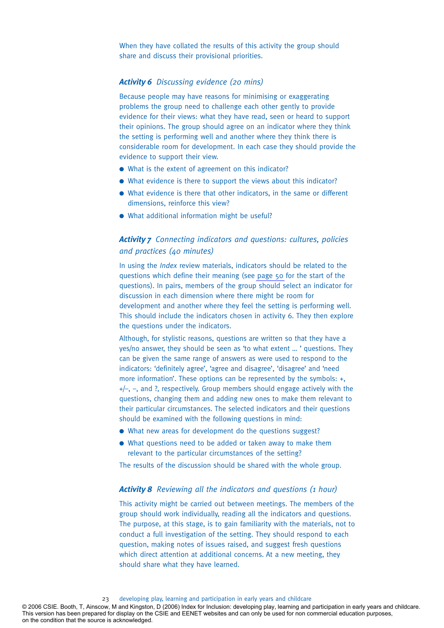When they have collated the results of this activity the group should share and discuss their provisional priorities.

#### *Activity 6 Discussing evidence (20 mins)*

Because people may have reasons for minimising or exaggerating problems the group need to challenge each other gently to provide evidence for their views: what they have read, seen or heard to support their opinions. The group should agree on an indicator where they think the setting is performing well and another where they think there is considerable room for development. In each case they should provide the evidence to support their view.

- What is the extent of agreement on this indicator?
- What evidence is there to support the views about this indicator?
- What evidence is there that other indicators, in the same or different dimensions, reinforce this view?
- What additional information might be useful?

#### *Activity 7 Connecting indicators and questions: cultures, policies and practices (40 minutes)*

In using the *Index* review materials, indicators should be related to the questions which define their meaning (see [page 50](#page-53-0) for the start of the questions). In pairs, members of the group should select an indicator for discussion in each dimension where there might be room for development and another where they feel the setting is performing well. This should include the indicators chosen in activity 6. They then explore the questions under the indicators.

Although, for stylistic reasons, questions are written so that they have a yes/no answer, they should be seen as 'to what extent … ' questions. They can be given the same range of answers as were used to respond to the indicators: 'definitely agree', 'agree and disagree', 'disagree' and 'need more information'. These options can be represented by the symbols: +, +/–, –, and ?, respectively. Group members should engage actively with the questions, changing them and adding new ones to make them relevant to their particular circumstances. The selected indicators and their questions should be examined with the following questions in mind:

- What new areas for development do the questions suggest?
- What questions need to be added or taken away to make them relevant to the particular circumstances of the setting?

The results of the discussion should be shared with the whole group.

#### *Activity 8 Reviewing all the indicators and questions (1 hour)*

This activity might be carried out between meetings. The members of the group should work individually, reading all the indicators and questions. The purpose, at this stage, is to gain familiarity with the materials, not to conduct a full investigation of the setting. They should respond to each question, making notes of issues raised, and suggest fresh questions which direct attention at additional concerns. At a new meeting, they should share what they have learned.

<sup>© 2006</sup> CSIE. Booth, T, Ainscow, M and Kingston, D (2006) Index for Inclusion: developing play, learning and participation in early years and childcare. This version has been prepared for display on the CSIE and EENET websites and can only be used for non commercial education purposes, on the condition that the source is acknowledged.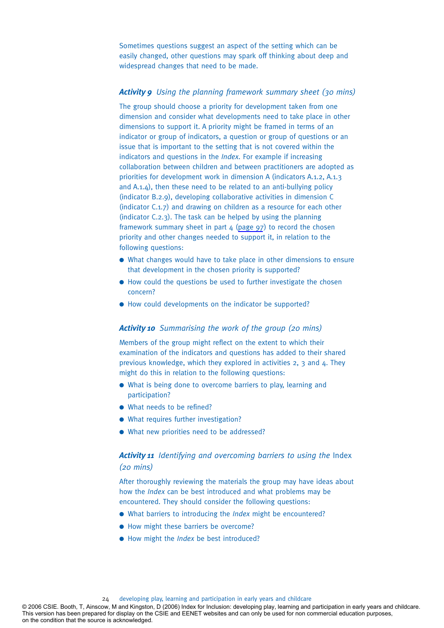Sometimes questions suggest an aspect of the setting which can be easily changed, other questions may spark off thinking about deep and widespread changes that need to be made.

#### *Activity 9 Using the planning framework summary sheet (30 mins)*

The group should choose a priority for development taken from one dimension and consider what developments need to take place in other dimensions to support it. A priority might be framed in terms of an indicator or group of indicators, a question or group of questions or an issue that is important to the setting that is not covered within the indicators and questions in the *Index*. For example if increasing collaboration between children and between practitioners are adopted as priorities for development work in dimension A (indicators A.1.2, A.1.3 and A.1.4), then these need to be related to an anti-bullying policy (indicator B.2.9), developing collaborative activities in dimension C (indicator C.1.7) and drawing on children as a resource for each other (indicator C.2.3). The task can be helped by using the planning framework summary sheet in part  $4$  (page 97) to record the chosen priority and other changes needed to support it, in relation to the following questions:

- What changes would have to take place in other dimensions to ensure that development in the chosen priority is supported?
- How could the questions be used to further investigate the chosen concern?
- How could developments on the indicator be supported?

#### *Activity 10 Summarising the work of the group (20 mins)*

Members of the group might reflect on the extent to which their examination of the indicators and questions has added to their shared previous knowledge, which they explored in activities 2, 3 and 4. They might do this in relation to the following questions:

- What is being done to overcome barriers to play, learning and participation?
- What needs to be refined?
- What requires further investigation?
- What new priorities need to be addressed?

#### *Activity 11 Identifying and overcoming barriers to using the* Index *(20 mins)*

After thoroughly reviewing the materials the group may have ideas about how the *Index* can be best introduced and what problems may be encountered. They should consider the following questions:

- What barriers to introducing the *Index* might be encountered?
- How might these barriers be overcome?
- How might the *Index* be best introduced?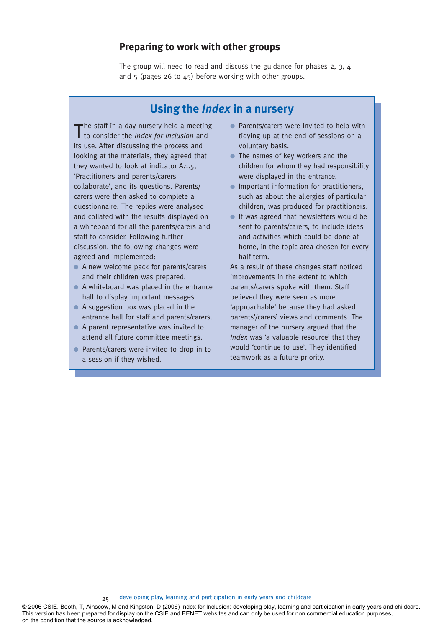## **Preparing to work with other groups**

The group will need to read and discuss the guidance for phases 2, 3, 4 and 5 [\(pages 26 to 45\)](#page-29-0) before working with other groups.

## **Using the** *Index* **in a nursery**

The staff in a day nursery held a meeting to consider the *Index for inclusion* and its use. After discussing the process and looking at the materials, they agreed that they wanted to look at indicator A.1.5, 'Practitioners and parents/carers collaborate', and its questions. Parents/ carers were then asked to complete a questionnaire. The replies were analysed and collated with the results displayed on a whiteboard for all the parents/carers and staff to consider. Following further discussion, the following changes were agreed and implemented:

- A new welcome pack for parents/carers and their children was prepared.
- A whiteboard was placed in the entrance hall to display important messages.
- A suggestion box was placed in the entrance hall for staff and parents/carers.
- A parent representative was invited to attend all future committee meetings.
- Parents/carers were invited to drop in to a session if they wished.
- Parents/carers were invited to help with tidying up at the end of sessions on a voluntary basis.
- The names of key workers and the children for whom they had responsibility were displayed in the entrance.
- Important information for practitioners, such as about the allergies of particular children, was produced for practitioners.
- It was agreed that newsletters would be sent to parents/carers, to include ideas and activities which could be done at home, in the topic area chosen for every half term.

As a result of these changes staff noticed improvements in the extent to which parents/carers spoke with them. Staff believed they were seen as more 'approachable' because they had asked parents'/carers' views and comments. The manager of the nursery argued that the *Index* was 'a valuable resource' that they would 'continue to use'. They identified teamwork as a future priority.

<sup>© 2006</sup> CSIE. Booth, T, Ainscow, M and Kingston, D (2006) Index for Inclusion: developing play, learning and participation in early years and childcare. This version has been prepared for display on the CSIE and EENET websites and can only be used for non commercial education purposes, on the condition that the source is acknowledged.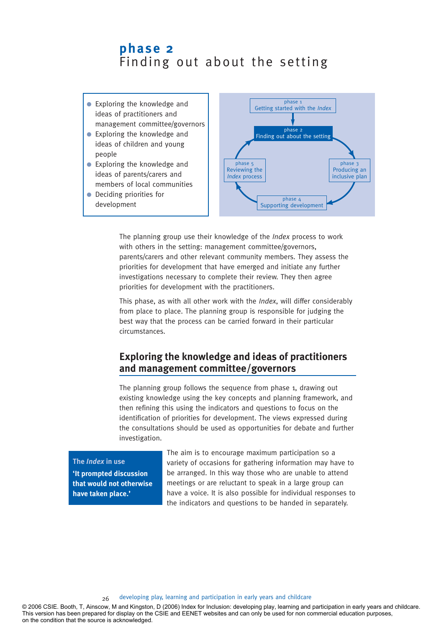## <span id="page-29-0"></span>**phase 2** Finding out about the setting

- ideas of practitioners and management committee/governors
- Exploring the knowledge and ideas of children and young people
- Exploring the knowledge and ideas of parents/carers and members of local communities
- Deciding priorities for development



The planning group use their knowledge of the *Index* process to work with others in the setting: management committee/governors, parents/carers and other relevant community members. They assess the priorities for development that have emerged and initiate any further investigations necessary to complete their review. They then agree priorities for development with the practitioners.

This phase, as with all other work with the *Index*, will differ considerably from place to place. The planning group is responsible for judging the best way that the process can be carried forward in their particular circumstances.

## **Exploring the knowledge and ideas of practitioners and management committee/governors**

The planning group follows the sequence from phase 1, drawing out existing knowledge using the key concepts and planning framework, and then refining this using the indicators and questions to focus on the identification of priorities for development. The views expressed during the consultations should be used as opportunities for debate and further investigation.

**The** *Index* **in use 'It prompted discussion that would not otherwise have taken place.'**

The aim is to encourage maximum participation so a variety of occasions for gathering information may have to be arranged. In this way those who are unable to attend meetings or are reluctant to speak in a large group can have a voice. It is also possible for individual responses to the indicators and questions to be handed in separately.

#### 26 developing play, learning and participation in early years and childcare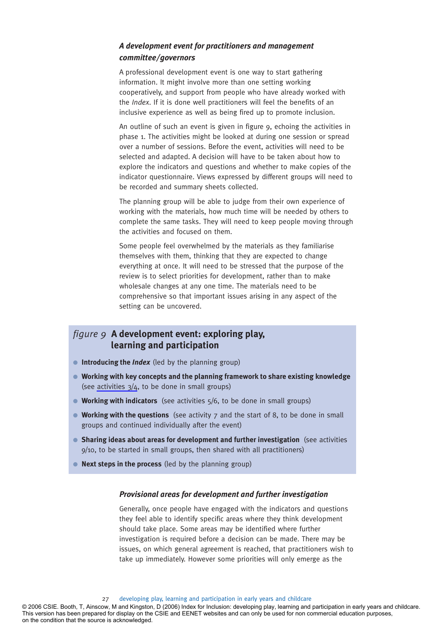#### *A development event for practitioners and management committee/governors*

A professional development event is one way to start gathering information. It might involve more than one setting working cooperatively, and support from people who have already worked with the *Index*. If it is done well practitioners will feel the benefits of an inclusive experience as well as being fired up to promote inclusion.

An outline of such an event is given in figure 9, echoing the activities in phase 1. The activities might be looked at during one session or spread over a number of sessions. Before the event, activities will need to be selected and adapted. A decision will have to be taken about how to explore the indicators and questions and whether to make copies of the indicator questionnaire. Views expressed by different groups will need to be recorded and summary sheets collected.

The planning group will be able to judge from their own experience of working with the materials, how much time will be needed by others to complete the same tasks. They will need to keep people moving through the activities and focused on them.

Some people feel overwhelmed by the materials as they familiarise themselves with them, thinking that they are expected to change everything at once. It will need to be stressed that the purpose of the review is to select priorities for development, rather than to make wholesale changes at any one time. The materials need to be comprehensive so that important issues arising in any aspect of the setting can be uncovered.

## *figure 9* **A development event: exploring play, learning and participation**

- **Introducing the** *Index* (led by the planning group)
- **Working with key concepts and the planning framework to share existing knowledge** (see activities 3/4, to be done in small groups)
- **Working with indicators** (see activities 5/6, to be done in small groups)
- **Working with the questions** (see activity 7 and the start of 8, to be done in small groups and continued individually after the event)
- **Sharing ideas about areas for development and further investigation** (see activities 9/10, to be started in small groups, then shared with all practitioners)
- **Next steps in the process** (led by the planning group)

#### *Provisional areas for development and further investigation*

Generally, once people have engaged with the indicators and questions they feel able to identify specific areas where they think development should take place. Some areas may be identified where further investigation is required before a decision can be made. There may be issues, on which general agreement is reached, that practitioners wish to take up immediately. However some priorities will only emerge as the

<sup>© 2006</sup> CSIE. Booth, T, Ainscow, M and Kingston, D (2006) Index for Inclusion: developing play, learning and participation in early years and childcare. This version has been prepared for display on the CSIE and EENET websites and can only be used for non commercial education purposes, on the condition that the source is acknowledged.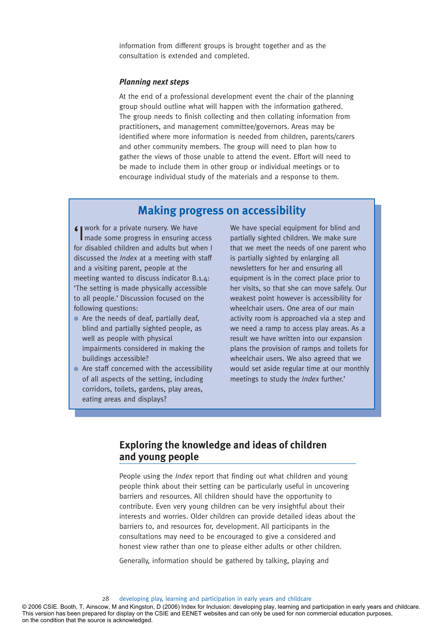information from different groups is brought together and as the consultation is extended and completed.

#### *Planning next steps*

At the end of a professional development event the chair of the planning group should outline what will happen with the information gathered. The group needs to finish collecting and then collating information from practitioners, and management committee/governors. Areas may be identified where more information is needed from children, parents/carers and other community members. The group will need to plan how to gather the views of those unable to attend the event. Effort will need to be made to include them in other group or individual meetings or to encourage individual study of the materials and a response to them.

## **Making progress on accessibility**

'Iwork for a private nursery. We have made some progress in ensuring access for disabled children and adults but when I discussed the *Index* at a meeting with staff and a visiting parent, people at the meeting wanted to discuss indicator B.1.4: 'The setting is made physically accessible to all people.' Discussion focused on the following questions:

- Are the needs of deaf, partially deaf, blind and partially sighted people, as well as people with physical impairments considered in making the buildings accessible?
- Are staff concerned with the accessibility of all aspects of the setting, including corridors, toilets, gardens, play areas, eating areas and displays?

We have special equipment for blind and partially sighted children. We make sure that we meet the needs of one parent who is partially sighted by enlarging all newsletters for her and ensuring all equipment is in the correct place prior to her visits, so that she can move safely. Our weakest point however is accessibility for wheelchair users. One area of our main activity room is approached via a step and we need a ramp to access play areas. As a result we have written into our expansion plans the provision of ramps and toilets for wheelchair users. We also agreed that we would set aside regular time at our monthly meetings to study the *Index* further.'

## **Exploring the knowledge and ideas of children and young people**

People using the *Index* report that finding out what children and young people think about their setting can be particularly useful in uncovering barriers and resources. All children should have the opportunity to contribute. Even very young children can be very insightful about their interests and worries. Older children can provide detailed ideas about the barriers to, and resources for, development. All participants in the consultations may need to be encouraged to give a considered and honest view rather than one to please either adults or other children.

Generally, information should be gathered by talking, playing and

#### 28 developing play, learning and participation in early years and childcare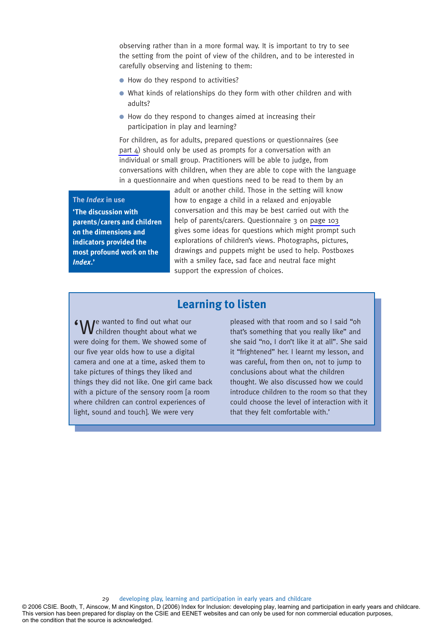observing rather than in a more formal way. It is important to try to see the setting from the point of view of the children, and to be interested in carefully observing and listening to them:

- How do they respond to activities?
- What kinds of relationships do they form with other children and with adults?
- How do they respond to changes aimed at increasing their participation in play and learning?

For children, as for adults, prepared questions or questionnaires (see [part 4\)](#page-99-0) should only be used as prompts for a conversation with an individual or small group. Practitioners will be able to judge, from conversations with children, when they are able to cope with the language in a questionnaire and when questions need to be read to them by an

#### **The** *Index* **in use**

**'The discussion with parents/carers and children on the dimensions and indicators provided the most profound work on the** *Index***.'**

adult or another child. Those in the setting will know how to engage a child in a relaxed and enjoyable conversation and this may be best carried out with the help of parents/carers. Questionnaire 3 on [page 103](#page-105-0) gives some ideas for questions which might prompt such explorations of children's views. Photographs, pictures, drawings and puppets might be used to help. Postboxes with a smiley face, sad face and neutral face might support the expression of choices.

## **Learning to listen**

'We wanted to find out what our children thought about what we were doing for them. We showed some of our five year olds how to use a digital camera and one at a time, asked them to take pictures of things they liked and things they did not like. One girl came back with a picture of the sensory room [a room where children can control experiences of light, sound and touch]. We were very

pleased with that room and so I said "oh that's something that you really like" and she said "no, I don't like it at all". She said it "frightened" her. I learnt my lesson, and was careful, from then on, not to jump to conclusions about what the children thought. We also discussed how we could introduce children to the room so that they could choose the level of interaction with it that they felt comfortable with.'

#### 29 developing play, learning and participation in early years and childcare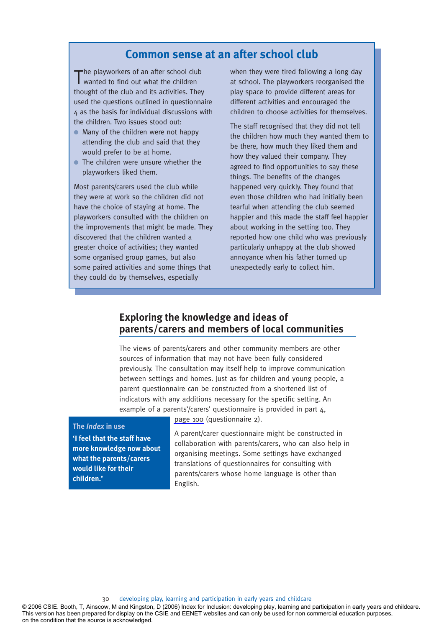## **Common sense at an after school club**

The playworkers of an after school club<br>wanted to find out what the children wanted to find out what the children thought of the club and its activities. They used the questions outlined in questionnaire 4 as the basis for individual discussions with the children. Two issues stood out:

- Many of the children were not happy attending the club and said that they would prefer to be at home.
- The children were unsure whether the playworkers liked them.

Most parents/carers used the club while they were at work so the children did not have the choice of staying at home. The playworkers consulted with the children on the improvements that might be made. They discovered that the children wanted a greater choice of activities; they wanted some organised group games, but also some paired activities and some things that they could do by themselves, especially

when they were tired following a long day at school. The playworkers reorganised the play space to provide different areas for different activities and encouraged the children to choose activities for themselves.

The staff recognised that they did not tell the children how much they wanted them to be there, how much they liked them and how they valued their company. They agreed to find opportunities to say these things. The benefits of the changes happened very quickly. They found that even those children who had initially been tearful when attending the club seemed happier and this made the staff feel happier about working in the setting too. They reported how one child who was previously particularly unhappy at the club showed annoyance when his father turned up unexpectedly early to collect him.

## **Exploring the knowledge and ideas of parents/carers and members of local communities**

The views of parents/carers and other community members are other sources of information that may not have been fully considered previously. The consultation may itself help to improve communication between settings and homes. Just as for children and young people, a parent questionnaire can be constructed from a shortened list of indicators with any additions necessary for the specific setting. An example of a parents'/carers' questionnaire is provided in part 4,

[page 100](#page-103-0) (questionnaire 2).

## **The** *Index* **in use**

**'I feel that the staff have more knowledge now about what the parents/carers would like for their children.'**

A parent/carer questionnaire might be constructed in collaboration with parents/carers, who can also help in organising meetings. Some settings have exchanged translations of questionnaires for consulting with parents/carers whose home language is other than English.

30 developing play, learning and participation in early years and childcare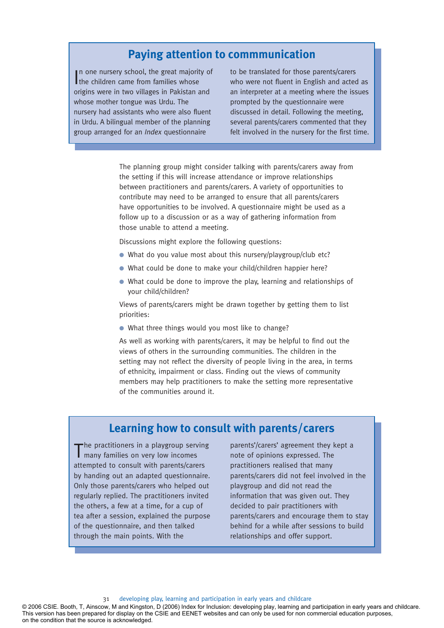## **Paying attention to commmunication**

In one nursery school, the great majori<br>the children came from families whose In one nursery school, the great majority of origins were in two villages in Pakistan and whose mother tongue was Urdu. The nursery had assistants who were also fluent in Urdu. A bilingual member of the planning group arranged for an *Index* questionnaire

to be translated for those parents/carers who were not fluent in English and acted as an interpreter at a meeting where the issues prompted by the questionnaire were discussed in detail. Following the meeting, several parents/carers commented that they felt involved in the nursery for the first time.

The planning group might consider talking with parents/carers away from the setting if this will increase attendance or improve relationships between practitioners and parents/carers. A variety of opportunities to contribute may need to be arranged to ensure that all parents/carers have opportunities to be involved. A questionnaire might be used as a follow up to a discussion or as a way of gathering information from those unable to attend a meeting.

Discussions might explore the following questions:

- What do you value most about this nursery/playgroup/club etc?
- What could be done to make your child/children happier here?
- What could be done to improve the play, learning and relationships of your child/children?

Views of parents/carers might be drawn together by getting them to list priorities:

● What three things would you most like to change?

As well as working with parents/carers, it may be helpful to find out the views of others in the surrounding communities. The children in the setting may not reflect the diversity of people living in the area, in terms of ethnicity, impairment or class. Finding out the views of community members may help practitioners to make the setting more representative of the communities around it.

## **Learning how to consult with parents/carers**

The practitioners in a playgroup serving<br>
many families on very low incomes attempted to consult with parents/carers by handing out an adapted questionnaire. Only those parents/carers who helped out regularly replied. The practitioners invited the others, a few at a time, for a cup of tea after a session, explained the purpose of the questionnaire, and then talked through the main points. With the

parents'/carers' agreement they kept a note of opinions expressed. The practitioners realised that many parents/carers did not feel involved in the playgroup and did not read the information that was given out. They decided to pair practitioners with parents/carers and encourage them to stay behind for a while after sessions to build relationships and offer support.

31 developing play, learning and participation in early years and childcare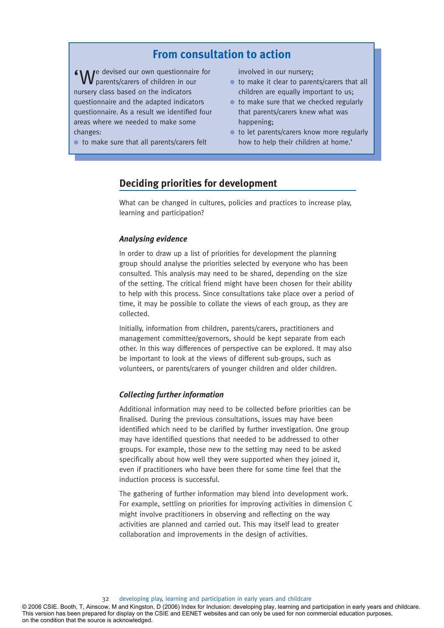## **From consultation to action**

re devised our own questionnaire for parents/carers of children in our nursery class based on the indicators questionnaire and the adapted indicators questionnaire. As a result we identified four areas where we needed to make some changes:

● to make sure that all parents/carers felt

involved in our nursery;

- to make it clear to parents/carers that all children are equally important to us;
- to make sure that we checked regularly that parents/carers knew what was happening;
- to let parents/carers know more regularly how to help their children at home.'

## **Deciding priorities for development**

What can be changed in cultures, policies and practices to increase play, learning and participation?

#### *Analysing evidence*

In order to draw up a list of priorities for development the planning group should analyse the priorities selected by everyone who has been consulted. This analysis may need to be shared, depending on the size of the setting. The critical friend might have been chosen for their ability to help with this process. Since consultations take place over a period of time, it may be possible to collate the views of each group, as they are collected.

Initially, information from children, parents/carers, practitioners and management committee/governors, should be kept separate from each other. In this way differences of perspective can be explored. It may also be important to look at the views of different sub-groups, such as volunteers, or parents/carers of younger children and older children.

#### *Collecting further information*

Additional information may need to be collected before priorities can be finalised. During the previous consultations, issues may have been identified which need to be clarified by further investigation. One group may have identified questions that needed to be addressed to other groups. For example, those new to the setting may need to be asked specifically about how well they were supported when they joined it, even if practitioners who have been there for some time feel that the induction process is successful.

The gathering of further information may blend into development work. For example, settling on priorities for improving activities in dimension C might involve practitioners in observing and reflecting on the way activities are planned and carried out. This may itself lead to greater collaboration and improvements in the design of activities.

<sup>© 2006</sup> CSIE. Booth, T, Ainscow, M and Kingston, D (2006) Index for Inclusion: developing play, learning and participation in early years and childcare. This version has been prepared for display on the CSIE and EENET websites and can only be used for non commercial education purposes, on the condition that the source is acknowledged.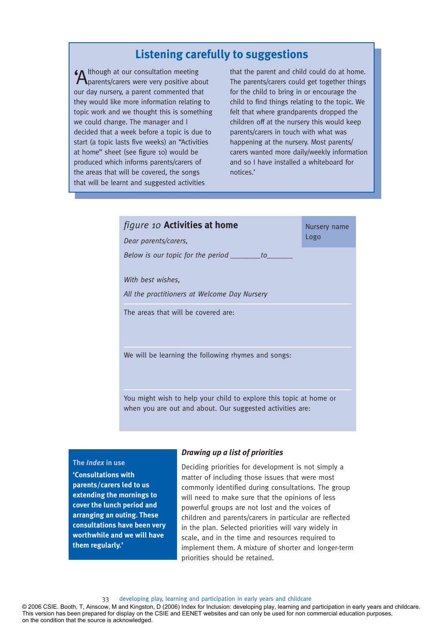## **Listening carefully to suggestions**

'Although at our consultation meeting parents/carers were very positive about our day nursery, a parent commented that they would like more information relating to topic work and we thought this is something we could change. The manager and I decided that a week before a topic is due to start (a topic lasts five weeks) an "Activities at home" sheet (see figure 10) would be produced which informs parents/carers of the areas that will be covered, the songs that will be learnt and suggested activities

that the parent and child could do at home. The parents/carers could get together things for the child to bring in or encourage the child to find things relating to the topic. We felt that where grandparents dropped the children off at the nursery this would keep parents/carers in touch with what was happening at the nursery. Most parents/ carers wanted more daily/weekly information and so I have installed a whiteboard for notices.'

Nursery name

Logo

### *figure 10* **Activities at home**

*Dear parents/carers,*

*Below is our topic for the period \_\_\_\_\_\_\_\_to\_\_\_\_\_\_\_* 

*With best wishes,*

*All the practitioners at Welcome Day Nursery*

The areas that will be covered are:

We will be learning the following rhymes and songs:

You might wish to help your child to explore this topic at home or when you are out and about. Our suggested activities are:

#### **The** *Index* **in use**

**'Consultations with parents/carers led to us extending the mornings to cover the lunch period and arranging an outing. These consultations have been very worthwhile and we will have them regularly.'**

#### *Drawing up a list of priorities*

Deciding priorities for development is not simply a matter of including those issues that were most commonly identified during consultations. The group will need to make sure that the opinions of less powerful groups are not lost and the voices of children and parents/carers in particular are reflected in the plan. Selected priorities will vary widely in scale, and in the time and resources required to implement them. A mixture of shorter and longer-term priorities should be retained.

#### 33 developing play, learning and participation in early years and childcare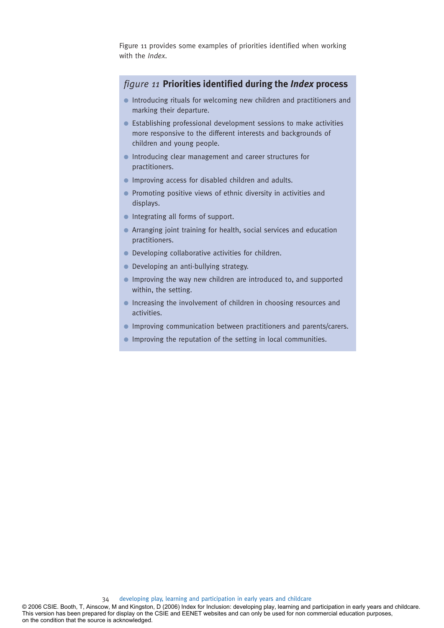Figure 11 provides some examples of priorities identified when working with the *Index*.

### *figure 11* **Priorities identified during the** *Index* **process**

- Introducing rituals for welcoming new children and practitioners and marking their departure.
- Establishing professional development sessions to make activities more responsive to the different interests and backgrounds of children and young people.
- Introducing clear management and career structures for practitioners.
- Improving access for disabled children and adults.
- Promoting positive views of ethnic diversity in activities and displays.
- Integrating all forms of support.
- Arranging joint training for health, social services and education practitioners.
- Developing collaborative activities for children.
- Developing an anti-bullying strategy.
- Improving the way new children are introduced to, and supported within, the setting.
- Increasing the involvement of children in choosing resources and activities.
- Improving communication between practitioners and parents/carers.
- Improving the reputation of the setting in local communities.

34 developing play, learning and participation in early years and childcare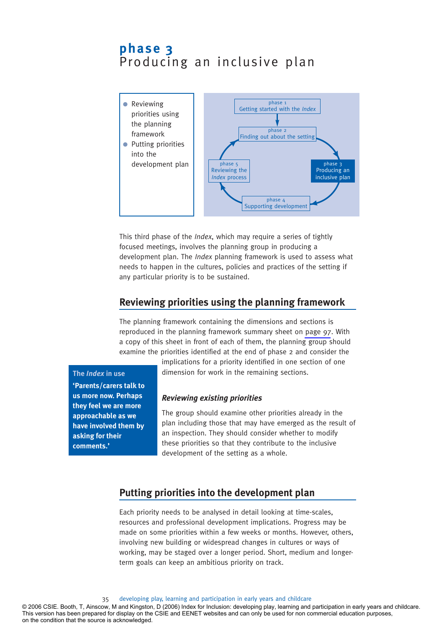# **phase 3** Producing an inclusive plan



This third phase of the *Index*, which may require a series of tightly focused meetings, involves the planning group in producing a development plan. The *Index* planning framework is used to assess what needs to happen in the cultures, policies and practices of the setting if any particular priority is to be sustained.

### **Reviewing priorities using the planning framework**

The planning framework containing the dimensions and sections is reproduced in the planning framework summary sheet on page 97. With a copy of this sheet in front of each of them, the planning group should examine the priorities identified at the end of phase 2 and consider the

> implications for a priority identified in one section of one dimension for work in the remaining sections.

### **The** *Index* **in use**

**'Parents/carers talk to us more now. Perhaps they feel we are more approachable as we have involved them by asking for their comments.'**

### *Reviewing existing priorities*

The group should examine other priorities already in the plan including those that may have emerged as the result of an inspection. They should consider whether to modify these priorities so that they contribute to the inclusive development of the setting as a whole.

### **Putting priorities into the development plan**

Each priority needs to be analysed in detail looking at time-scales, resources and professional development implications. Progress may be made on some priorities within a few weeks or months. However, others, involving new building or widespread changes in cultures or ways of working, may be staged over a longer period. Short, medium and longerterm goals can keep an ambitious priority on track.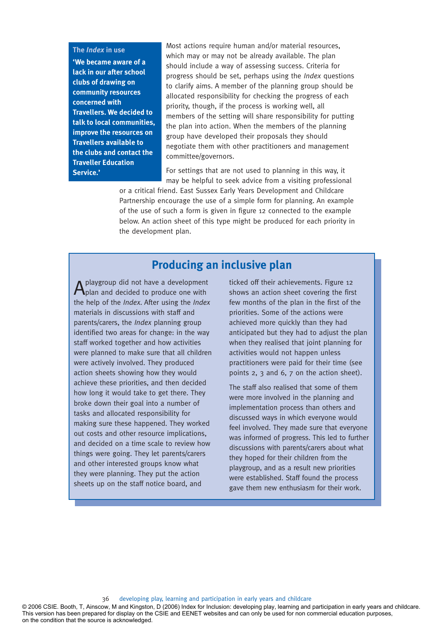#### **The** *Index* **in use**

**'We became aware of a lack in our after school clubs of drawing on community resources concerned with Travellers. We decided to talk to local communities, improve the resources on Travellers available to the clubs and contact the Traveller Education Service.'**

Most actions require human and/or material resources, which may or may not be already available. The plan should include a way of assessing success. Criteria for progress should be set, perhaps using the *Index* questions to clarify aims. A member of the planning group should be allocated responsibility for checking the progress of each priority, though, if the process is working well, all members of the setting will share responsibility for putting the plan into action. When the members of the planning group have developed their proposals they should negotiate them with other practitioners and management committee/governors.

For settings that are not used to planning in this way, it may be helpful to seek advice from a visiting professional

or a critical friend. East Sussex Early Years Development and Childcare Partnership encourage the use of a simple form for planning. An example of the use of such a form is given in figure 12 connected to the example below. An action sheet of this type might be produced for each priority in the development plan.

## **Producing an inclusive plan**

A playgroup did not have a development<br>Aplan and decided to produce one with the help of the *Index*. After using the *Index* materials in discussions with staff and parents/carers, the *Index* planning group identified two areas for change: in the way staff worked together and how activities were planned to make sure that all children were actively involved. They produced action sheets showing how they would achieve these priorities, and then decided how long it would take to get there. They broke down their goal into a number of tasks and allocated responsibility for making sure these happened. They worked out costs and other resource implications, and decided on a time scale to review how things were going. They let parents/carers and other interested groups know what they were planning. They put the action sheets up on the staff notice board, and

ticked off their achievements. Figure 12 shows an action sheet covering the first few months of the plan in the first of the priorities. Some of the actions were achieved more quickly than they had anticipated but they had to adjust the plan when they realised that joint planning for activities would not happen unless practitioners were paid for their time (see points 2, 3 and 6, 7 on the action sheet).

The staff also realised that some of them were more involved in the planning and implementation process than others and discussed ways in which everyone would feel involved. They made sure that everyone was informed of progress. This led to further discussions with parents/carers about what they hoped for their children from the playgroup, and as a result new priorities were established. Staff found the process gave them new enthusiasm for their work.

36 developing play, learning and participation in early years and childcare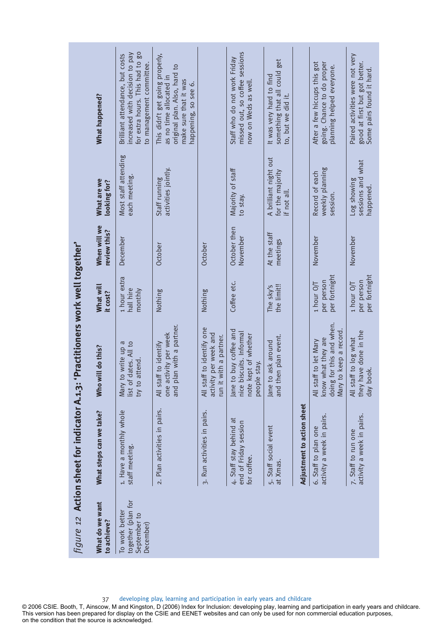|                                                                   | $11$ gure 12 Action sneet for indicator A.1.3:                  | <b>Fractifioners work well logerner</b>                                                                        |                                           |                              |                                                          |                                                                                                                                             |
|-------------------------------------------------------------------|-----------------------------------------------------------------|----------------------------------------------------------------------------------------------------------------|-------------------------------------------|------------------------------|----------------------------------------------------------|---------------------------------------------------------------------------------------------------------------------------------------------|
| What do we want<br>to achieve?                                    | What steps can we take?                                         | will do this?<br>Who v                                                                                         | What will<br>it cost?                     | When will we<br>review this? | What are we<br>looking for?                              | What happened?                                                                                                                              |
| together (plan for<br>To work better<br>September to<br>December) | 1. Have a monthly whole<br>staff meeting.                       | dates. All to<br>to write up a<br>attend.<br>list of<br>try to<br>Mary                                         | 1 hour extra<br>hall hire<br>monthly      | December                     | Most staff attending<br>each meeting                     | for extra hours. This had to go<br>increased with decision to pay<br>Brilliant attendance, but costs<br>to management committee.            |
|                                                                   | 2. Plan activities in pairs.                                    | and plan with a partner.<br>one activity per week<br>All staff to identify                                     | Nothing                                   | October                      | activities jointly.<br>Staff running                     | This didn't get going properly,<br>original plan. Also, hard to<br>as no time allocated in<br>make sure that it was<br>happening, so see 6. |
|                                                                   | 3. Run activities in pairs.                                     | All staff to identify one<br>activity per week and<br>run it with a partner.                                   | Nothing                                   | October                      |                                                          |                                                                                                                                             |
|                                                                   | 4. Staff stay behind at<br>end of Friday session<br>for coffee. | lane to buy coffee and<br>nice biscuits. Informal<br>kept of whether<br>people stay.<br>note I                 | Coffee etc.                               | October then<br>November     | Majority of staff<br>to stay.                            | missed out, so coffee sessions<br>Staff who do not work Friday<br>now on Weds as well.                                                      |
|                                                                   | 5. Staff social event<br>at Xmas.                               | and then plan event.<br>lane to ask around                                                                     | The sky's<br>the limit!!                  | At the staff<br>meetings     | A brilliant night out<br>for the majority<br>if not all. | something that all could get<br>It was very hard to find<br>to, but we did it.                                                              |
|                                                                   | Adjustment to action sheet                                      |                                                                                                                |                                           |                              |                                                          |                                                                                                                                             |
|                                                                   | activity a week in pairs.<br>6. Staff to plan one               | for this and when.<br>to keep a record.<br>know what they are<br>All staff to let Mary<br>doing<br><b>Mary</b> | per fortnight<br>per person<br>1 hour O/T | November                     | weekly planning<br>Record of each<br>session.            | After a few hiccups this got<br>going. Chance to do proper<br>planning helped everyone.                                                     |
|                                                                   | activity a week in pairs.<br>7. Staff to run one                | they have done in the<br>All staff to log what<br>day book.                                                    | per fortnight<br>per person<br>1 hour O/T | November                     | sessions and what<br>Log showing<br>happened             | Paired activities were not very<br>good at first but got better.<br>Some pairs found it hard                                                |

*figure 12* **Action sheet for indicator A.1.3: 'Practitioners work well together'** Š E

37 developing play, learning and participation in early years and childcare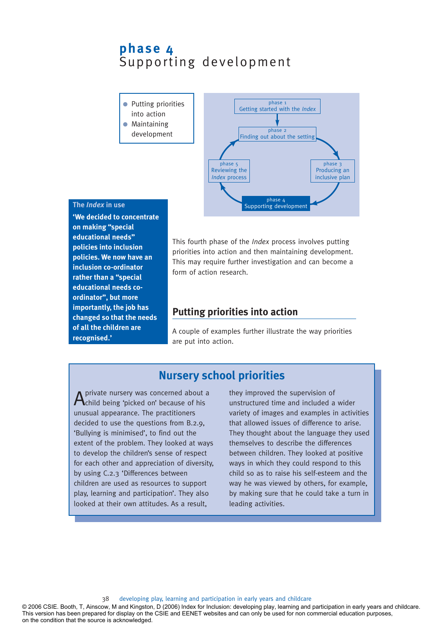# **phase 4** Supporting development





### **The** *Index* **in use**

**'We decided to concentrate on making "special educational needs" policies into inclusion policies. We now have an inclusion co-ordinator rather than a "special educational needs coordinator", but more importantly, the job has changed so that the needs of all the children are recognised.'**

This fourth phase of the *Index* process involves putting priorities into action and then maintaining development. This may require further investigation and can become a form of action research.

### **Putting priorities into action**

A couple of examples further illustrate the way priorities are put into action.

## **Nursery school priorities**

 $\mathsf{A}\!\!$ child being 'picked on' because of his<br> unusual appearance. The practitioners decided to use the questions from B.2.9, 'Bullying is minimised', to find out the extent of the problem. They looked at ways to develop the children's sense of respect for each other and appreciation of diversity, by using C.2.3 'Differences between children are used as resources to support play, learning and participation'. They also looked at their own attitudes. As a result,

they improved the supervision of unstructured time and included a wider variety of images and examples in activities that allowed issues of difference to arise. They thought about the language they used themselves to describe the differences between children. They looked at positive ways in which they could respond to this child so as to raise his self-esteem and the way he was viewed by others, for example, by making sure that he could take a turn in leading activities.

#### 38 developing play, learning and participation in early years and childcare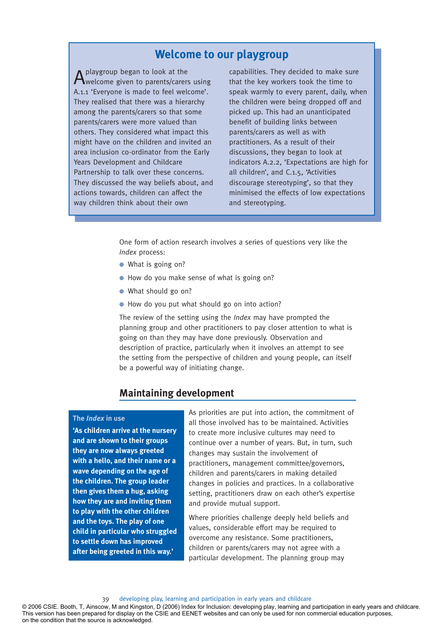## **Welcome to our playgroup**

 $\mathsf{A}$ playgroup began to look at the<br>Welcome given to parents/carers using A.1.1 'Everyone is made to feel welcome'. They realised that there was a hierarchy among the parents/carers so that some parents/carers were more valued than others. They considered what impact this might have on the children and invited an area inclusion co-ordinator from the Early Years Development and Childcare Partnership to talk over these concerns. They discussed the way beliefs about, and actions towards, children can affect the way children think about their own

capabilities. They decided to make sure that the key workers took the time to speak warmly to every parent, daily, when the children were being dropped off and picked up. This had an unanticipated benefit of building links between parents/carers as well as with practitioners. As a result of their discussions, they began to look at indicators A.2.2, 'Expectations are high for all children', and C.1.5, 'Activities discourage stereotyping', so that they minimised the effects of low expectations and stereotyping.

One form of action research involves a series of questions very like the *Index* process:

- What is going on?
- How do you make sense of what is going on?
- What should go on?
- How do you put what should go on into action?

The review of the setting using the *Index* may have prompted the planning group and other practitioners to pay closer attention to what is going on than they may have done previously. Observation and description of practice, particularly when it involves an attempt to see the setting from the perspective of children and young people, can itself be a powerful way of initiating change.

### **Maintaining development**

#### **The** *Index* **in use**

**'As children arrive at the nursery and are shown to their groups they are now always greeted with a hello, and their name or a wave depending on the age of the children. The group leader then gives them a hug, asking how they are and inviting them to play with the other children and the toys. The play of one child in particular who struggled to settle down has improved after being greeted in this way.'**

As priorities are put into action, the commitment of all those involved has to be maintained. Activities to create more inclusive cultures may need to continue over a number of years. But, in turn, such changes may sustain the involvement of practitioners, management committee/governors, children and parents/carers in making detailed changes in policies and practices. In a collaborative setting, practitioners draw on each other's expertise and provide mutual support.

Where priorities challenge deeply held beliefs and values, considerable effort may be required to overcome any resistance. Some practitioners, children or parents/carers may not agree with a particular development. The planning group may

#### 39 developing play, learning and participation in early years and childcare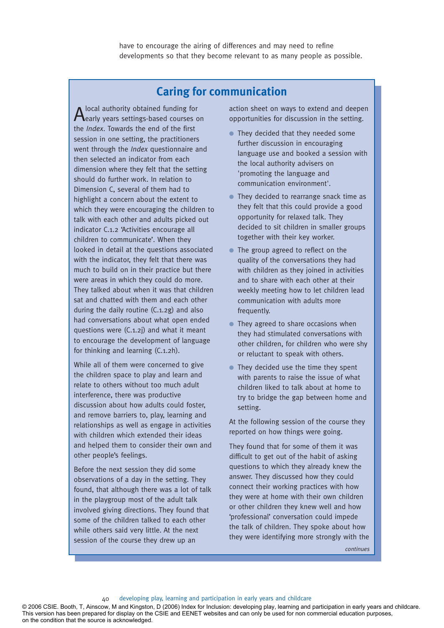have to encourage the airing of differences and may need to refine developments so that they become relevant to as many people as possible.

## **Caring for communication**

 ${\mathsf A}$ local authority obtained funding for<br>early years settings-based courses on the *Index*. Towards the end of the first session in one setting, the practitioners went through the *Index* questionnaire and then selected an indicator from each dimension where they felt that the setting should do further work. In relation to Dimension C, several of them had to highlight a concern about the extent to which they were encouraging the children to talk with each other and adults picked out indicator C.1.2 'Activities encourage all children to communicate'. When they looked in detail at the questions associated with the indicator, they felt that there was much to build on in their practice but there were areas in which they could do more. They talked about when it was that children sat and chatted with them and each other during the daily routine (C.1.2g) and also had conversations about what open ended questions were (C.1.2j) and what it meant to encourage the development of language for thinking and learning (C.1.2h).

While all of them were concerned to give the children space to play and learn and relate to others without too much adult interference, there was productive discussion about how adults could foster, and remove barriers to, play, learning and relationships as well as engage in activities with children which extended their ideas and helped them to consider their own and other people's feelings.

Before the next session they did some observations of a day in the setting. They found, that although there was a lot of talk in the playgroup most of the adult talk involved giving directions. They found that some of the children talked to each other while others said very little. At the next session of the course they drew up an

action sheet on ways to extend and deepen opportunities for discussion in the setting.

- They decided that they needed some further discussion in encouraging language use and booked a session with the local authority advisers on 'promoting the language and communication environment'.
- They decided to rearrange snack time as they felt that this could provide a good opportunity for relaxed talk. They decided to sit children in smaller groups together with their key worker.
- The group agreed to reflect on the quality of the conversations they had with children as they joined in activities and to share with each other at their weekly meeting how to let children lead communication with adults more frequently.
- They agreed to share occasions when they had stimulated conversations with other children, for children who were shy or reluctant to speak with others.
- They decided use the time they spent with parents to raise the issue of what children liked to talk about at home to try to bridge the gap between home and setting.

At the following session of the course they reported on how things were going.

They found that for some of them it was difficult to get out of the habit of asking questions to which they already knew the answer. They discussed how they could connect their working practices with how they were at home with their own children or other children they knew well and how 'professional' conversation could impede the talk of children. They spoke about how they were identifying more strongly with the

*continues*

#### 40 developing play, learning and participation in early years and childcare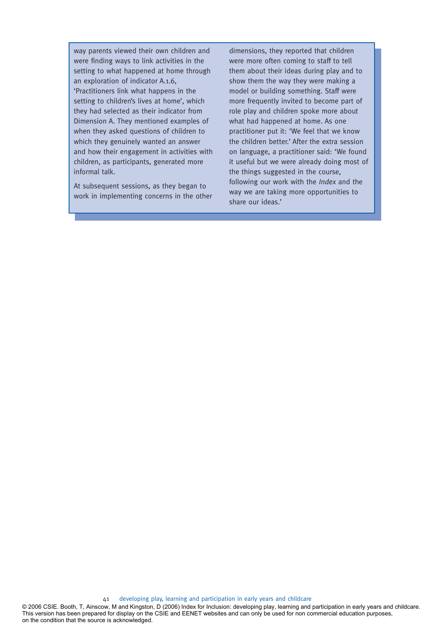way parents viewed their own children and were finding ways to link activities in the setting to what happened at home through an exploration of indicator A.1.6, 'Practitioners link what happens in the setting to children's lives at home', which they had selected as their indicator from Dimension A. They mentioned examples of when they asked questions of children to which they genuinely wanted an answer and how their engagement in activities with children, as participants, generated more informal talk.

At subsequent sessions, as they began to work in implementing concerns in the other dimensions, they reported that children were more often coming to staff to tell them about their ideas during play and to show them the way they were making a model or building something. Staff were more frequently invited to become part of role play and children spoke more about what had happened at home. As one practitioner put it: 'We feel that we know the children better.' After the extra session on language, a practitioner said: 'We found it useful but we were already doing most of the things suggested in the course, following our work with the *Index* and the way we are taking more opportunities to share our ideas.'

41 developing play, learning and participation in early years and childcare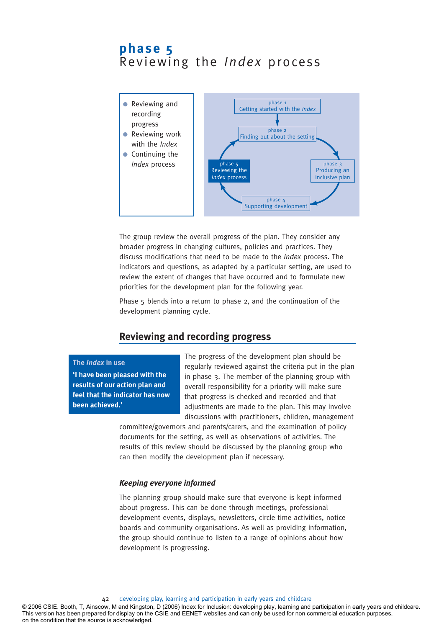# **phase 5** Reviewing the *Index* process



The group review the overall progress of the plan. They consider any broader progress in changing cultures, policies and practices. They discuss modifications that need to be made to the *Index* process. The indicators and questions, as adapted by a particular setting, are used to review the extent of changes that have occurred and to formulate new priorities for the development plan for the following year.

Phase 5 blends into a return to phase 2, and the continuation of the development planning cycle.

### **Reviewing and recording progress**

#### **The** *Index* **in use**

**'I have been pleased with the results of our action plan and feel that the indicator has now been achieved.'**

The progress of the development plan should be regularly reviewed against the criteria put in the plan in phase 3. The member of the planning group with overall responsibility for a priority will make sure that progress is checked and recorded and that adjustments are made to the plan. This may involve discussions with practitioners, children, management

committee/governors and parents/carers, and the examination of policy documents for the setting, as well as observations of activities. The results of this review should be discussed by the planning group who can then modify the development plan if necessary.

#### *Keeping everyone informed*

The planning group should make sure that everyone is kept informed about progress. This can be done through meetings, professional development events, displays, newsletters, circle time activities, notice boards and community organisations. As well as providing information, the group should continue to listen to a range of opinions about how development is progressing.

<sup>© 2006</sup> CSIE. Booth, T, Ainscow, M and Kingston, D (2006) Index for Inclusion: developing play, learning and participation in early years and childcare. This version has been prepared for display on the CSIE and EENET websites and can only be used for non commercial education purposes, on the condition that the source is acknowledged.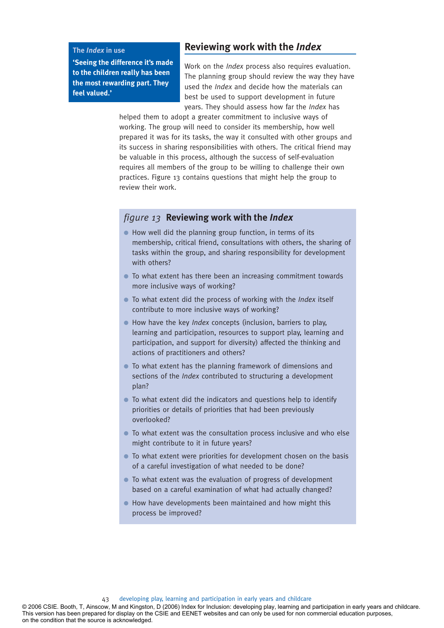#### **The** *Index* **in use**

**'Seeing the difference it's made to the children really has been the most rewarding part. They feel valued.'**

### **Reviewing work with the** *Index*

Work on the *Index* process also requires evaluation. The planning group should review the way they have used the *Index* and decide how the materials can best be used to support development in future years. They should assess how far the *Index* has

helped them to adopt a greater commitment to inclusive ways of working. The group will need to consider its membership, how well prepared it was for its tasks, the way it consulted with other groups and its success in sharing responsibilities with others. The critical friend may be valuable in this process, although the success of self-evaluation requires all members of the group to be willing to challenge their own practices. Figure 13 contains questions that might help the group to review their work.

### *figure 13* **Reviewing work with the** *Index*

- How well did the planning group function, in terms of its membership, critical friend, consultations with others, the sharing of tasks within the group, and sharing responsibility for development with others?
- To what extent has there been an increasing commitment towards more inclusive ways of working?
- To what extent did the process of working with the *Index* itself contribute to more inclusive ways of working?
- How have the key *Index* concepts (inclusion, barriers to play, learning and participation, resources to support play, learning and participation, and support for diversity) affected the thinking and actions of practitioners and others?
- To what extent has the planning framework of dimensions and sections of the *Index* contributed to structuring a development plan?
- To what extent did the indicators and questions help to identify priorities or details of priorities that had been previously overlooked?
- To what extent was the consultation process inclusive and who else might contribute to it in future years?
- To what extent were priorities for development chosen on the basis of a careful investigation of what needed to be done?
- To what extent was the evaluation of progress of development based on a careful examination of what had actually changed?
- How have developments been maintained and how might this process be improved?

<sup>© 2006</sup> CSIE. Booth, T, Ainscow, M and Kingston, D (2006) Index for Inclusion: developing play, learning and participation in early years and childcare. This version has been prepared for display on the CSIE and EENET websites and can only be used for non commercial education purposes, on the condition that the source is acknowledged.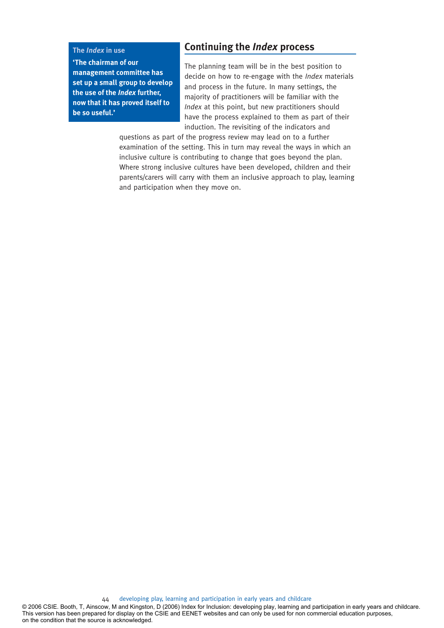#### **The** *Index* **in use**

**'The chairman of our management committee has set up a small group to develop the use of the** *Index* **further, now that it has proved itself to be so useful.'**

### **Continuing the** *Index* **process**

The planning team will be in the best position to decide on how to re-engage with the *Index* materials and process in the future. In many settings, the majority of practitioners will be familiar with the *Index* at this point, but new practitioners should have the process explained to them as part of their induction. The revisiting of the indicators and

questions as part of the progress review may lead on to a further examination of the setting. This in turn may reveal the ways in which an inclusive culture is contributing to change that goes beyond the plan. Where strong inclusive cultures have been developed, children and their parents/carers will carry with them an inclusive approach to play, learning and participation when they move on.

<sup>© 2006</sup> CSIE. Booth, T, Ainscow, M and Kingston, D (2006) Index for Inclusion: developing play, learning and participation in early years and childcare. This version has been prepared for display on the CSIE and EENET websites and can only be used for non commercial education purposes, on the condition that the source is acknowledged.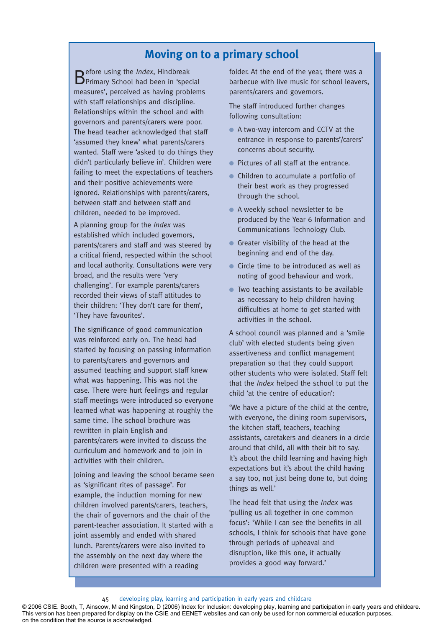# **Moving on to a primary school**

Before using the *Index*, Hindbreak<br> **B** Primary School had been in 'special measures', perceived as having problems with staff relationships and discipline. Relationships within the school and with governors and parents/carers were poor. The head teacher acknowledged that staff 'assumed they knew' what parents/carers wanted. Staff were 'asked to do things they didn't particularly believe in'. Children were failing to meet the expectations of teachers and their positive achievements were ignored. Relationships with parents/carers, between staff and between staff and children, needed to be improved.

A planning group for the *Index* was established which included governors, parents/carers and staff and was steered by a critical friend, respected within the school and local authority. Consultations were very broad, and the results were 'very challenging'. For example parents/carers recorded their views of staff attitudes to their children: 'They don't care for them', 'They have favourites'.

The significance of good communication was reinforced early on. The head had started by focusing on passing information to parents/carers and governors and assumed teaching and support staff knew what was happening. This was not the case. There were hurt feelings and regular staff meetings were introduced so everyone learned what was happening at roughly the same time. The school brochure was rewritten in plain English and parents/carers were invited to discuss the curriculum and homework and to join in activities with their children.

Joining and leaving the school became seen as 'significant rites of passage'. For example, the induction morning for new children involved parents/carers, teachers, the chair of governors and the chair of the parent-teacher association. It started with a joint assembly and ended with shared lunch. Parents/carers were also invited to the assembly on the next day where the children were presented with a reading

folder. At the end of the year, there was a barbecue with live music for school leavers, parents/carers and governors.

The staff introduced further changes following consultation:

- A two-way intercom and CCTV at the entrance in response to parents'/carers' concerns about security.
- Pictures of all staff at the entrance.
- Children to accumulate a portfolio of their best work as they progressed through the school.
- A weekly school newsletter to be produced by the Year 6 Information and Communications Technology Club.
- Greater visibility of the head at the beginning and end of the day.
- Circle time to be introduced as well as noting of good behaviour and work.
- Two teaching assistants to be available as necessary to help children having difficulties at home to get started with activities in the school.

A school council was planned and a 'smile club' with elected students being given assertiveness and conflict management preparation so that they could support other students who were isolated. Staff felt that the *Index* helped the school to put the child 'at the centre of education':

'We have a picture of the child at the centre, with everyone, the dining room supervisors, the kitchen staff, teachers, teaching assistants, caretakers and cleaners in a circle around that child, all with their bit to say. It's about the child learning and having high expectations but it's about the child having a say too, not just being done to, but doing things as well.'

The head felt that using the *Index* was 'pulling us all together in one common focus': 'While I can see the benefits in all schools, I think for schools that have gone through periods of upheaval and disruption, like this one, it actually provides a good way forward.'

#### 45 developing play, learning and participation in early years and childcare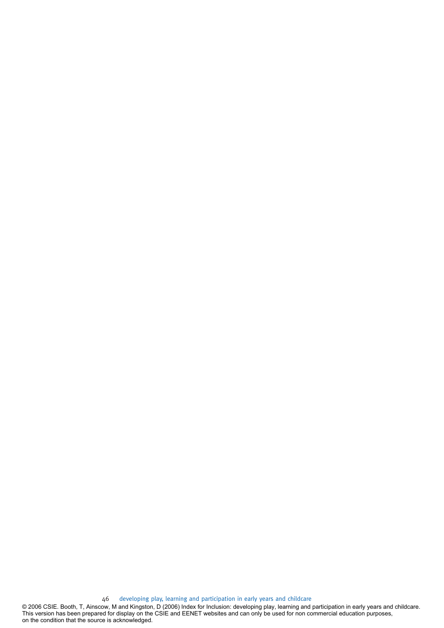46 developing play, learning and participation in early years and childcare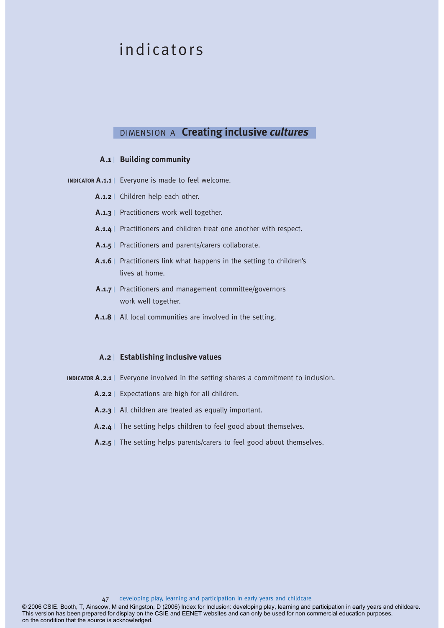# indicators

### DIMENSION A **Creating inclusive** *cultures*

#### **A.1** | **Building community**

**INDICATOR A.1.1** | Everyone is made to feel welcome.

- **A.1.2** | Children help each other.
- **A.1.3** | Practitioners work well together.
- A.1.4 | Practitioners and children treat one another with respect.
- A.1.5 | Practitioners and parents/carers collaborate.
- **A.1.6** | Practitioners link what happens in the setting to children's lives at home.
- A.1.7 | Practitioners and management committee/governors work well together.
- A.1.8 | All local communities are involved in the setting.

#### **A.2** | **Establishing inclusive values**

**INDICATOR A.2.1** | Everyone involved in the setting shares a commitment to inclusion.

- **A.2.2** | Expectations are high for all children.
- **A.2.3** | All children are treated as equally important.
- A.2.4 | The setting helps children to feel good about themselves.
- **A.2.5** | The setting helps parents/carers to feel good about themselves.

47 developing play, learning and participation in early years and childcare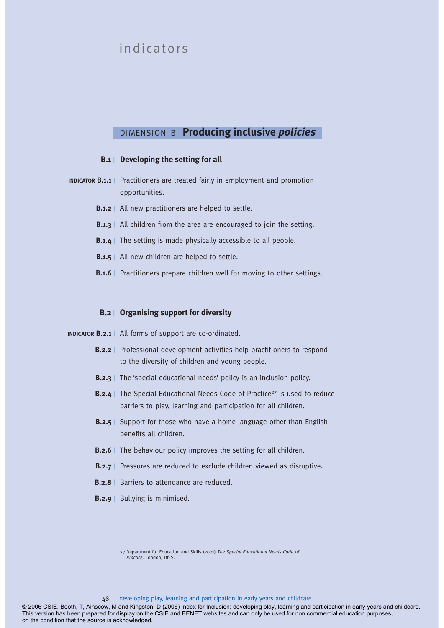## indicators

### DIMENSION B **Producing inclusive** *policies*

#### **B.1** | **Developing the setting for all**

- **INDICATOR B.1.1** | Practitioners are treated fairly in employment and promotion opportunities.
	- **B.1.2** | All new practitioners are helped to settle.
	- **B.1.3** | All children from the area are encouraged to join the setting.
	- **B.1.4** | The setting is made physically accessible to all people.
	- **B.1.5** | All new children are helped to settle.
	- **B.1.6** | Practitioners prepare children well for moving to other settings.

#### **B.2** | **Organising support for diversity**

- **INDICATOR B.2.1** | All forms of support are co-ordinated.
	- **B.2.2** | Professional development activities help practitioners to respond to the diversity of children and young people.
	- **B.2.3** | The 'special educational needs' policy is an inclusion policy.
	- **B.2.4** | The Special Educational Needs Code of Practice<sup>27</sup> is used to reduce barriers to play, learning and participation for all children.
	- **B.2.5** | Support for those who have a home language other than English benefits all children.
	- **B.2.6** | The behaviour policy improves the setting for all children.
	- **B.2.7** | Pressures are reduced to exclude children viewed as disruptive**.**
	- **B.2.8** | Barriers to attendance are reduced.
	- **B.2.9** | Bullying is minimised.
		- 27 Department for Education and Skills (2001) *The Special Educational Needs Code of Practice,* London, DfES.

48 developing play, learning and participation in early years and childcare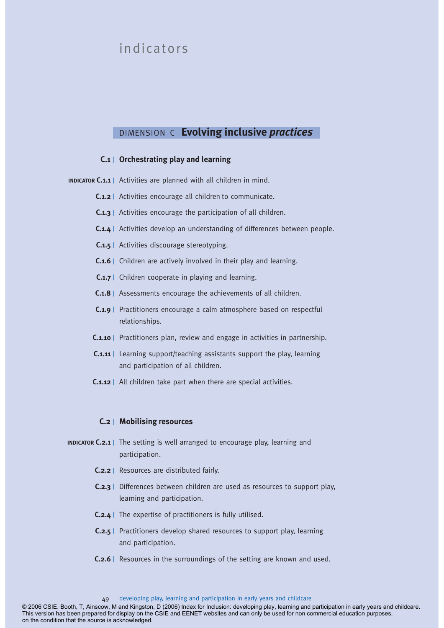# indicators

### DIMENSION C **Evolving inclusive** *practices*

#### **C.1** | **Orchestrating play and learning**

**INDICATOR C.1.1** | Activities are planned with all children in mind.

- **C.1.2** | Activities encourage all children to communicate.
- **C.1.3** | Activities encourage the participation of all children.
- **C.1.4** | Activities develop an understanding of differences between people.
- **C.1.5** | Activities discourage stereotyping.
- **C.1.6** | Children are actively involved in their play and learning.
- **C.1.7** | Children cooperate in playing and learning.
- **C.1.8** | Assessments encourage the achievements of all children.
- **C.1.9** | Practitioners encourage a calm atmosphere based on respectful relationships.
- **C.1.10** | Practitioners plan, review and engage in activities in partnership.
- **C.1.11** Learning support/teaching assistants support the play, learning and participation of all children.
- **C.1.12** | All children take part when there are special activities.

#### **C.2** | **Mobilising resources**

- **INDICATOR C.2.1** | The setting is well arranged to encourage play, learning and participation.
	- **C.2.2** | Resources are distributed fairly.
	- **C.2.3** | Differences between children are used as resources to support play, learning and participation.
	- **C.2.4** | The expertise of practitioners is fully utilised.
	- **C.2.5** | Practitioners develop shared resources to support play, learning and participation.
	- **C.2.6** | Resources in the surroundings of the setting are known and used.

<sup>© 2006</sup> CSIE. Booth, T, Ainscow, M and Kingston, D (2006) Index for Inclusion: developing play, learning and participation in early years and childcare. This version has been prepared for display on the CSIE and EENET websites and can only be used for non commercial education purposes, on the condition that the source is acknowledged.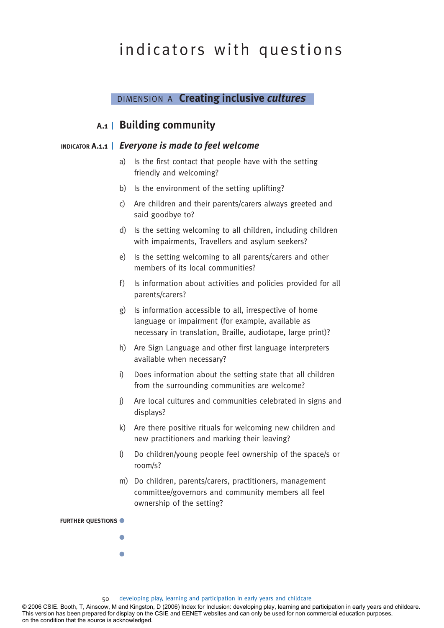## DIMENSION A **Creating inclusive** *cultures*

## **A.1** | **Building community**

### **INDICATOR A.1.1** | *Everyone is made to feel welcome*

- a) Is the first contact that people have with the setting friendly and welcoming?
- b) Is the environment of the setting uplifting?
- c) Are children and their parents/carers always greeted and said goodbye to?
- d) Is the setting welcoming to all children, including children with impairments, Travellers and asylum seekers?
- e) Is the setting welcoming to all parents/carers and other members of its local communities?
- f) Is information about activities and policies provided for all parents/carers?
- g) Is information accessible to all, irrespective of home language or impairment (for example, available as necessary in translation, Braille, audiotape, large print)?
- h) Are Sign Language and other first language interpreters available when necessary?
- i) Does information about the setting state that all children from the surrounding communities are welcome?
- j) Are local cultures and communities celebrated in signs and displays?
- k) Are there positive rituals for welcoming new children and new practitioners and marking their leaving?
- l) Do children/young people feel ownership of the space/s or room/s?
- m) Do children, parents/carers, practitioners, management committee/governors and community members all feel ownership of the setting?

#### **FURTHER QUESTIONS**

- $\bullet$
- 50 developing play, learning and participation in early years and childcare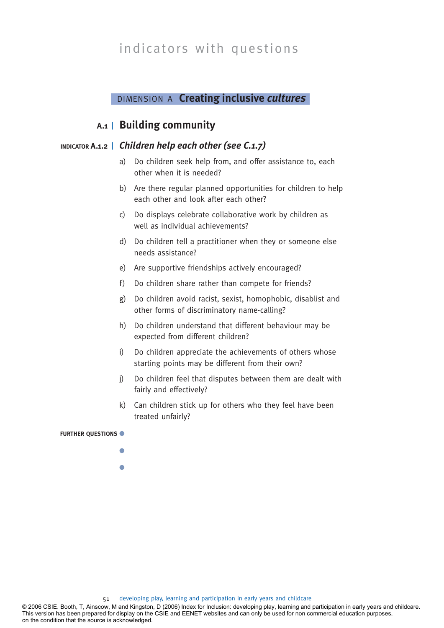## DIMENSION A **Creating inclusive** *cultures*

### **A.1** | **Building community**

### **INDICATOR A.1.2** | *Children help each other (see C.1.7)*

- a) Do children seek help from, and offer assistance to, each other when it is needed?
- b) Are there regular planned opportunities for children to help each other and look after each other?
- c) Do displays celebrate collaborative work by children as well as individual achievements?
- d) Do children tell a practitioner when they or someone else needs assistance?
- e) Are supportive friendships actively encouraged?
- f) Do children share rather than compete for friends?
- g) Do children avoid racist, sexist, homophobic, disablist and other forms of discriminatory name-calling?
- h) Do children understand that different behaviour may be expected from different children?
- i) Do children appreciate the achievements of others whose starting points may be different from their own?
- j) Do children feel that disputes between them are dealt with fairly and effectively?
- k) Can children stick up for others who they feel have been treated unfairly?

#### **FURTHER QUESTIONS**

**。** ●

51 developing play, learning and participation in early years and childcare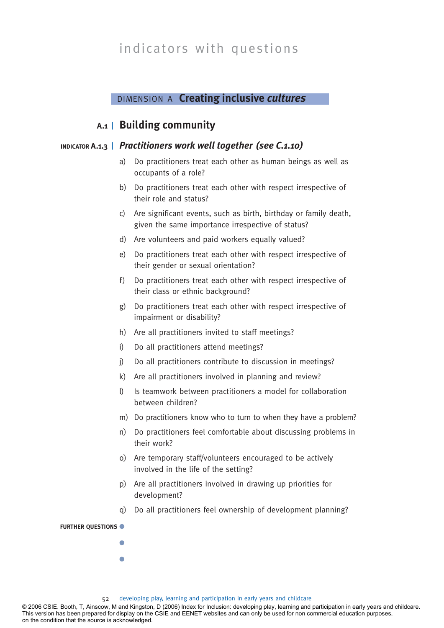### DIMENSION A **Creating inclusive** *cultures*

### **A.1** | **Building community**

### **INDICATOR A.1.3** | *Practitioners work well together (see C.1.10)*

- a) Do practitioners treat each other as human beings as well as occupants of a role?
- b) Do practitioners treat each other with respect irrespective of their role and status?
- c) Are significant events, such as birth, birthday or family death, given the same importance irrespective of status?
- d) Are volunteers and paid workers equally valued?
- e) Do practitioners treat each other with respect irrespective of their gender or sexual orientation?
- f) Do practitioners treat each other with respect irrespective of their class or ethnic background?
- g) Do practitioners treat each other with respect irrespective of impairment or disability?
- h) Are all practitioners invited to staff meetings?
- i) Do all practitioners attend meetings?
- j) Do all practitioners contribute to discussion in meetings?
- k) Are all practitioners involved in planning and review?
- l) Is teamwork between practitioners a model for collaboration between children?
- m) Do practitioners know who to turn to when they have a problem?
- n) Do practitioners feel comfortable about discussing problems in their work?
- o) Are temporary staff/volunteers encouraged to be actively involved in the life of the setting?
- p) Are all practitioners involved in drawing up priorities for development?
- q) Do all practitioners feel ownership of development planning?

**FURTHER QUESTIONS** 

- **。**
- **。**

52 developing play, learning and participation in early years and childcare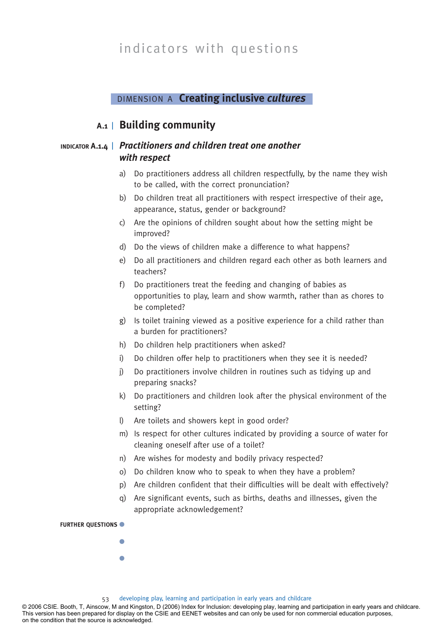## DIMENSION A **Creating inclusive** *cultures*

## **A.1** | **Building community**

### **INDICATOR A.1.4** | *Practitioners and children treat one another with respect*

- a) Do practitioners address all children respectfully, by the name they wish to be called, with the correct pronunciation?
- b) Do children treat all practitioners with respect irrespective of their age, appearance, status, gender or background?
- c) Are the opinions of children sought about how the setting might be improved?
- d) Do the views of children make a difference to what happens?
- e) Do all practitioners and children regard each other as both learners and teachers?
- f) Do practitioners treat the feeding and changing of babies as opportunities to play, learn and show warmth, rather than as chores to be completed?
- g) Is toilet training viewed as a positive experience for a child rather than a burden for practitioners?
- h) Do children help practitioners when asked?
- i) Do children offer help to practitioners when they see it is needed?
- j) Do practitioners involve children in routines such as tidying up and preparing snacks?
- k) Do practitioners and children look after the physical environment of the setting?
- l) Are toilets and showers kept in good order?
- m) Is respect for other cultures indicated by providing a source of water for cleaning oneself after use of a toilet?
- n) Are wishes for modesty and bodily privacy respected?
- o) Do children know who to speak to when they have a problem?
- p) Are children confident that their difficulties will be dealt with effectively?
- q) Are significant events, such as births, deaths and illnesses, given the appropriate acknowledgement?

#### **FURTHER QUESTIONS** ●

- $\bullet$
- ●

53 developing play, learning and participation in early years and childcare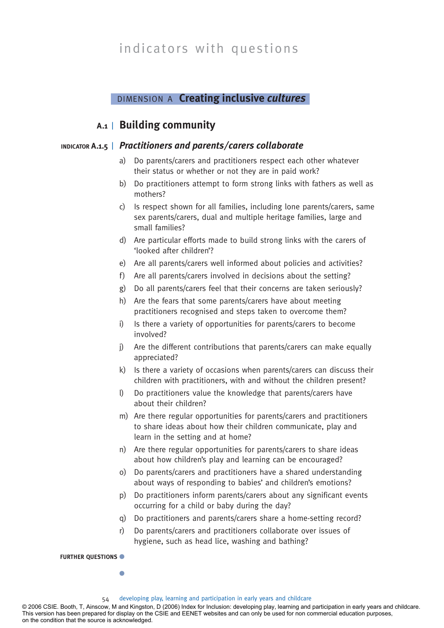### DIMENSION A **Creating inclusive** *cultures*

### **A.1** | **Building community**

### **INDICATOR A.1.5** | *Practitioners and parents/carers collaborate*

- a) Do parents/carers and practitioners respect each other whatever their status or whether or not they are in paid work?
- b) Do practitioners attempt to form strong links with fathers as well as mothers?
- c) Is respect shown for all families, including lone parents/carers, same sex parents/carers, dual and multiple heritage families, large and small families?
- d) Are particular efforts made to build strong links with the carers of 'looked after children'?
- e) Are all parents/carers well informed about policies and activities?
- f) Are all parents/carers involved in decisions about the setting?
- g) Do all parents/carers feel that their concerns are taken seriously?
- h) Are the fears that some parents/carers have about meeting practitioners recognised and steps taken to overcome them?
- i) Is there a variety of opportunities for parents/carers to become involved?
- j) Are the different contributions that parents/carers can make equally appreciated?
- k) Is there a variety of occasions when parents/carers can discuss their children with practitioners, with and without the children present?
- l) Do practitioners value the knowledge that parents/carers have about their children?
- m) Are there regular opportunities for parents/carers and practitioners to share ideas about how their children communicate, play and learn in the setting and at home?
- n) Are there regular opportunities for parents/carers to share ideas about how children's play and learning can be encouraged?
- o) Do parents/carers and practitioners have a shared understanding about ways of responding to babies' and children's emotions?
- p) Do practitioners inform parents/carers about any significant events occurring for a child or baby during the day?
- q) Do practitioners and parents/carers share a home-setting record?
- r) Do parents/carers and practitioners collaborate over issues of hygiene, such as head lice, washing and bathing?

#### **FURTHER QUESTIONS** ●

●

54 developing play, learning and participation in early years and childcare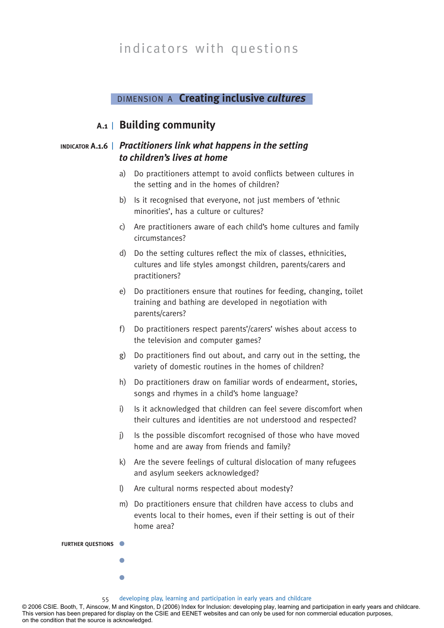### DIMENSION A **Creating inclusive** *cultures*

### **A.1** | **Building community**

### **INDICATOR A.1.6** | *Practitioners link what happens in the setting to children's lives at home*

- a) Do practitioners attempt to avoid conflicts between cultures in the setting and in the homes of children?
- b) Is it recognised that everyone, not just members of 'ethnic minorities', has a culture or cultures?
- c) Are practitioners aware of each child's home cultures and family circumstances?
- d) Do the setting cultures reflect the mix of classes, ethnicities, cultures and life styles amongst children, parents/carers and practitioners?
- e) Do practitioners ensure that routines for feeding, changing, toilet training and bathing are developed in negotiation with parents/carers?
- f) Do practitioners respect parents'/carers' wishes about access to the television and computer games?
- g) Do practitioners find out about, and carry out in the setting, the variety of domestic routines in the homes of children?
- h) Do practitioners draw on familiar words of endearment, stories, songs and rhymes in a child's home language?
- i) Is it acknowledged that children can feel severe discomfort when their cultures and identities are not understood and respected?
- j) Is the possible discomfort recognised of those who have moved home and are away from friends and family?
- k) Are the severe feelings of cultural dislocation of many refugees and asylum seekers acknowledged?
- l) Are cultural norms respected about modesty?
- m) Do practitioners ensure that children have access to clubs and events local to their homes, even if their setting is out of their home area?

**FURTHER QUESTIONS** 

- ●
- 55 developing play, learning and participation in early years and childcare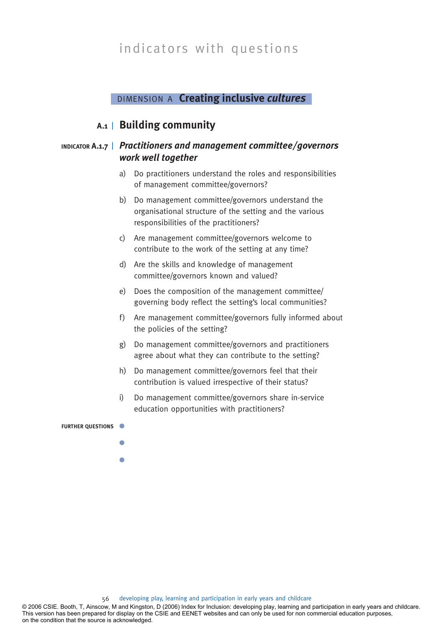### DIMENSION A **Creating inclusive** *cultures*

## **A.1** | **Building community**

### **INDICATOR A.1.7** | *Practitioners and management committee/governors work well together*

- a) Do practitioners understand the roles and responsibilities of management committee/governors?
- b) Do management committee/governors understand the organisational structure of the setting and the various responsibilities of the practitioners?
- c) Are management committee/governors welcome to contribute to the work of the setting at any time?
- d) Are the skills and knowledge of management committee/governors known and valued?
- e) Does the composition of the management committee/ governing body reflect the setting's local communities?
- f) Are management committee/governors fully informed about the policies of the setting?
- g) Do management committee/governors and practitioners agree about what they can contribute to the setting?
- h) Do management committee/governors feel that their contribution is valued irrespective of their status?
- i) Do management committee/governors share in-service education opportunities with practitioners?

**FURTHER QUESTIONS** 

● ●

56 developing play, learning and participation in early years and childcare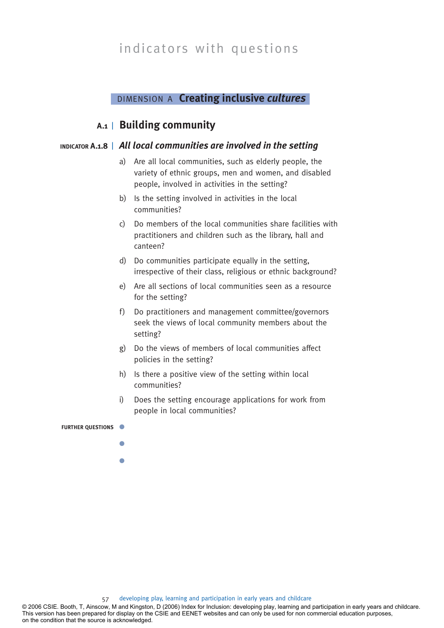### DIMENSION A **Creating inclusive** *cultures*

## **A.1** | **Building community**

### **INDICATOR A.1.8** | *All local communities are involved in the setting*

- a) Are all local communities, such as elderly people, the variety of ethnic groups, men and women, and disabled people, involved in activities in the setting?
- b) Is the setting involved in activities in the local communities?
- c) Do members of the local communities share facilities with practitioners and children such as the library, hall and canteen?
- d) Do communities participate equally in the setting, irrespective of their class, religious or ethnic background?
- e) Are all sections of local communities seen as a resource for the setting?
- f) Do practitioners and management committee/governors seek the views of local community members about the setting?
- g) Do the views of members of local communities affect policies in the setting?
- h) Is there a positive view of the setting within local communities?
- i) Does the setting encourage applications for work from people in local communities?

**FURTHER QUESTIONS** 

● ●

<sup>© 2006</sup> CSIE. Booth, T, Ainscow, M and Kingston, D (2006) Index for Inclusion: developing play, learning and participation in early years and childcare. This version has been prepared for display on the CSIE and EENET websites and can only be used for non commercial education purposes, on the condition that the source is acknowledged.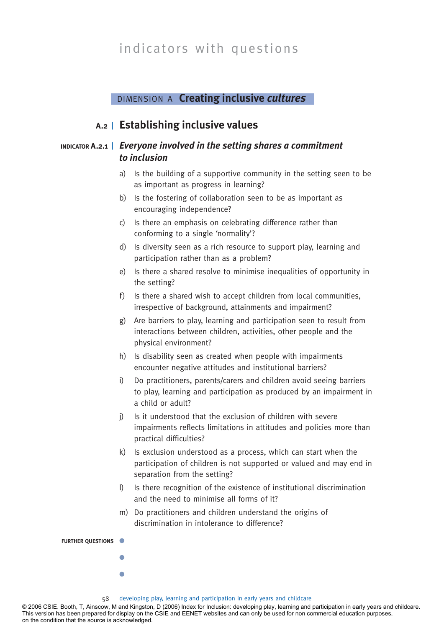## DIMENSION A **Creating inclusive** *cultures*

## **A.2** | **Establishing inclusive values**

### **INDICATOR A.2.1** | *Everyone involved in the setting shares a commitment to inclusion*

- a) Is the building of a supportive community in the setting seen to be as important as progress in learning?
- b) Is the fostering of collaboration seen to be as important as encouraging independence?
- c) Is there an emphasis on celebrating difference rather than conforming to a single 'normality'?
- d) Is diversity seen as a rich resource to support play, learning and participation rather than as a problem?
- e) Is there a shared resolve to minimise inequalities of opportunity in the setting?
- f) Is there a shared wish to accept children from local communities, irrespective of background, attainments and impairment?
- g) Are barriers to play, learning and participation seen to result from interactions between children, activities, other people and the physical environment?
- h) Is disability seen as created when people with impairments encounter negative attitudes and institutional barriers?
- i) Do practitioners, parents/carers and children avoid seeing barriers to play, learning and participation as produced by an impairment in a child or adult?
- j) Is it understood that the exclusion of children with severe impairments reflects limitations in attitudes and policies more than practical difficulties?
- k) Is exclusion understood as a process, which can start when the participation of children is not supported or valued and may end in separation from the setting?
- l) Is there recognition of the existence of institutional discrimination and the need to minimise all forms of it?
- m) Do practitioners and children understand the origins of discrimination in intolerance to difference?

**FURTHER QUESTIONS** 

**。** 

●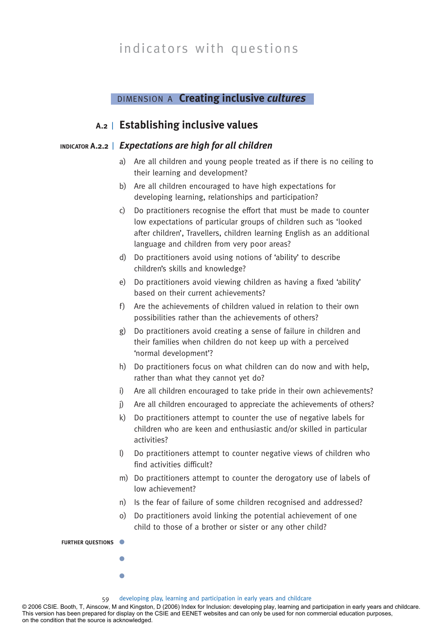## DIMENSION A **Creating inclusive** *cultures*

## **A.2** | **Establishing inclusive values**

### **INDICATOR A.2.2** | *Expectations are high for all children*

- a) Are all children and young people treated as if there is no ceiling to their learning and development?
- b) Are all children encouraged to have high expectations for developing learning, relationships and participation?
- c) Do practitioners recognise the effort that must be made to counter low expectations of particular groups of children such as 'looked after children', Travellers, children learning English as an additional language and children from very poor areas?
- d) Do practitioners avoid using notions of 'ability' to describe children's skills and knowledge?
- e) Do practitioners avoid viewing children as having a fixed 'ability' based on their current achievements?
- f) Are the achievements of children valued in relation to their own possibilities rather than the achievements of others?
- g) Do practitioners avoid creating a sense of failure in children and their families when children do not keep up with a perceived 'normal development'?
- h) Do practitioners focus on what children can do now and with help, rather than what they cannot yet do?
- i) Are all children encouraged to take pride in their own achievements?
- j) Are all children encouraged to appreciate the achievements of others?
- k) Do practitioners attempt to counter the use of negative labels for children who are keen and enthusiastic and/or skilled in particular activities?
- l) Do practitioners attempt to counter negative views of children who find activities difficult?
- m) Do practitioners attempt to counter the derogatory use of labels of low achievement?
- n) Is the fear of failure of some children recognised and addressed?
- o) Do practitioners avoid linking the potential achievement of one child to those of a brother or sister or any other child?

#### **FURTHER QUESTIONS**

**。** 

**。**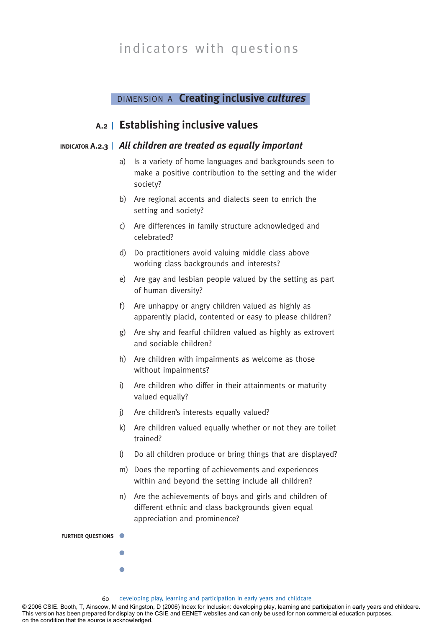## DIMENSION A **Creating inclusive** *cultures*

### **A.2** | **Establishing inclusive values**

### **INDICATOR A.2.3** | *All children are treated as equally important*

- a) Is a variety of home languages and backgrounds seen to make a positive contribution to the setting and the wider society?
- b) Are regional accents and dialects seen to enrich the setting and society?
- c) Are differences in family structure acknowledged and celebrated?
- d) Do practitioners avoid valuing middle class above working class backgrounds and interests?
- e) Are gay and lesbian people valued by the setting as part of human diversity?
- f) Are unhappy or angry children valued as highly as apparently placid, contented or easy to please children?
- g) Are shy and fearful children valued as highly as extrovert and sociable children?
- h) Are children with impairments as welcome as those without impairments?
- i) Are children who differ in their attainments or maturity valued equally?
- j) Are children's interests equally valued?
- k) Are children valued equally whether or not they are toilet trained?
- l) Do all children produce or bring things that are displayed?
- m) Does the reporting of achievements and experiences within and beyond the setting include all children?
- n) Are the achievements of boys and girls and children of different ethnic and class backgrounds given equal appreciation and prominence?

**FURTHER QUESTIONS** 

**。** 

●

60 developing play, learning and participation in early years and childcare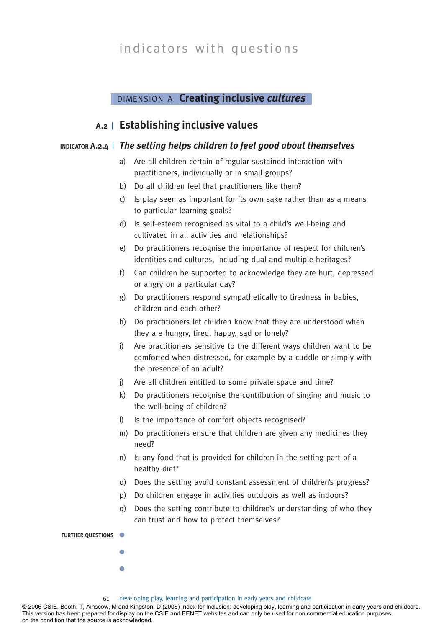## DIMENSION A **Creating inclusive** *cultures*

## **A.2** | **Establishing inclusive values**

### **INDICATOR A.2.4** | *The setting helps children to feel good about themselves*

- a) Are all children certain of regular sustained interaction with practitioners, individually or in small groups?
- b) Do all children feel that practitioners like them?
- c) Is play seen as important for its own sake rather than as a means to particular learning goals?
- d) Is self-esteem recognised as vital to a child's well-being and cultivated in all activities and relationships?
- e) Do practitioners recognise the importance of respect for children's identities and cultures, including dual and multiple heritages?
- f) Can children be supported to acknowledge they are hurt, depressed or angry on a particular day?
- g) Do practitioners respond sympathetically to tiredness in babies, children and each other?
- h) Do practitioners let children know that they are understood when they are hungry, tired, happy, sad or lonely?
- i) Are practitioners sensitive to the different ways children want to be comforted when distressed, for example by a cuddle or simply with the presence of an adult?
- j) Are all children entitled to some private space and time?
- k) Do practitioners recognise the contribution of singing and music to the well-being of children?
- l) Is the importance of comfort objects recognised?
- m) Do practitioners ensure that children are given any medicines they need?
- n) Is any food that is provided for children in the setting part of a healthy diet?
- o) Does the setting avoid constant assessment of children's progress?
- p) Do children engage in activities outdoors as well as indoors?
- q) Does the setting contribute to children's understanding of who they can trust and how to protect themselves?

**FURTHER QUESTIONS** 

●

●

61 developing play, learning and participation in early years and childcare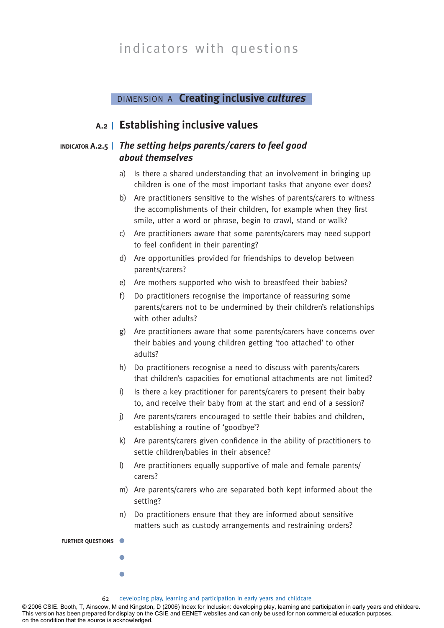## DIMENSION A **Creating inclusive** *cultures*

### **A.2** | **Establishing inclusive values**

### **INDICATOR A.2.5** | *The setting helps parents/carers to feel good about themselves*

- a) Is there a shared understanding that an involvement in bringing up children is one of the most important tasks that anyone ever does?
- b) Are practitioners sensitive to the wishes of parents/carers to witness the accomplishments of their children, for example when they first smile, utter a word or phrase, begin to crawl, stand or walk?
- c) Are practitioners aware that some parents/carers may need support to feel confident in their parenting?
- d) Are opportunities provided for friendships to develop between parents/carers?
- e) Are mothers supported who wish to breastfeed their babies?
- f) Do practitioners recognise the importance of reassuring some parents/carers not to be undermined by their children's relationships with other adults?
- g) Are practitioners aware that some parents/carers have concerns over their babies and young children getting 'too attached' to other adults?
- h) Do practitioners recognise a need to discuss with parents/carers that children's capacities for emotional attachments are not limited?
- i) Is there a key practitioner for parents/carers to present their baby to, and receive their baby from at the start and end of a session?
- j) Are parents/carers encouraged to settle their babies and children, establishing a routine of 'goodbye'?
- k) Are parents/carers given confidence in the ability of practitioners to settle children/babies in their absence?
- l) Are practitioners equally supportive of male and female parents/ carers?
- m) Are parents/carers who are separated both kept informed about the setting?
- n) Do practitioners ensure that they are informed about sensitive matters such as custody arrangements and restraining orders?

**FURTHER QUESTIONS** 

**。** 

●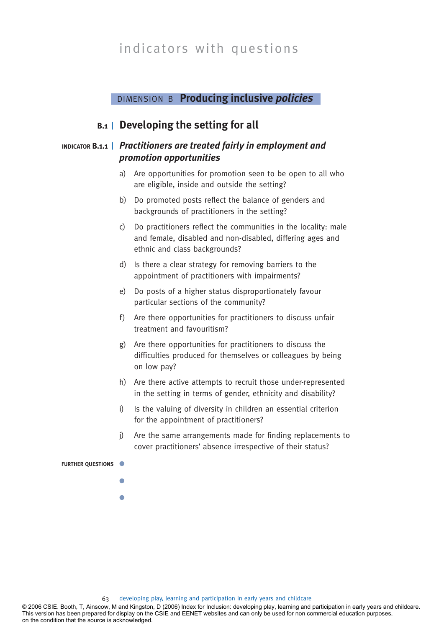### DIMENSION B **Producing inclusive** *policies*

## **B.1** | **Developing the setting for all**

### **INDICATOR B.1.1** | *Practitioners are treated fairly in employment and promotion opportunities*

- a) Are opportunities for promotion seen to be open to all who are eligible, inside and outside the setting?
- b) Do promoted posts reflect the balance of genders and backgrounds of practitioners in the setting?
- c) Do practitioners reflect the communities in the locality: male and female, disabled and non-disabled, differing ages and ethnic and class backgrounds?
- d) Is there a clear strategy for removing barriers to the appointment of practitioners with impairments?
- e) Do posts of a higher status disproportionately favour particular sections of the community?
- f) Are there opportunities for practitioners to discuss unfair treatment and favouritism?
- g) Are there opportunities for practitioners to discuss the difficulties produced for themselves or colleagues by being on low pay?
- h) Are there active attempts to recruit those under-represented in the setting in terms of gender, ethnicity and disability?
- i) Is the valuing of diversity in children an essential criterion for the appointment of practitioners?
- j) Are the same arrangements made for finding replacements to cover practitioners' absence irrespective of their status?

**FURTHER QUESTIONS** 

- **。**
- **。**

<sup>© 2006</sup> CSIE. Booth, T, Ainscow, M and Kingston, D (2006) Index for Inclusion: developing play, learning and participation in early years and childcare. This version has been prepared for display on the CSIE and EENET websites and can only be used for non commercial education purposes, on the condition that the source is acknowledged.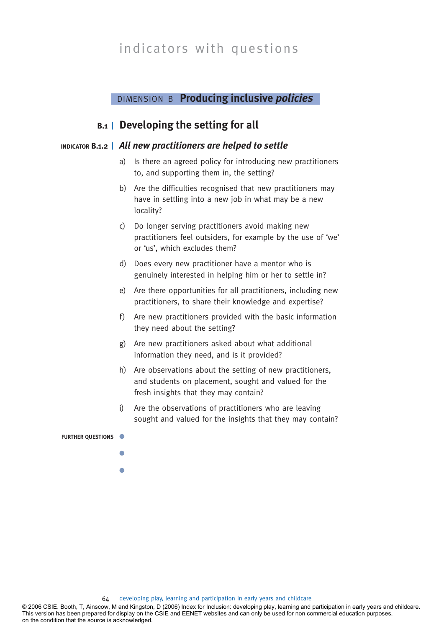### DIMENSION B **Producing inclusive** *policies*

### **B.1** | **Developing the setting for all**

### **INDICATOR B.1.2** | *All new practitioners are helped to settle*

- a) Is there an agreed policy for introducing new practitioners to, and supporting them in, the setting?
- b) Are the difficulties recognised that new practitioners may have in settling into a new job in what may be a new locality?
- c) Do longer serving practitioners avoid making new practitioners feel outsiders, for example by the use of 'we' or 'us', which excludes them?
- d) Does every new practitioner have a mentor who is genuinely interested in helping him or her to settle in?
- e) Are there opportunities for all practitioners, including new practitioners, to share their knowledge and expertise?
- f) Are new practitioners provided with the basic information they need about the setting?
- g) Are new practitioners asked about what additional information they need, and is it provided?
- h) Are observations about the setting of new practitioners, and students on placement, sought and valued for the fresh insights that they may contain?
- i) Are the observations of practitioners who are leaving sought and valued for the insights that they may contain?

**FURTHER QUESTIONS** 

 $\bullet$ ●

64 developing play, learning and participation in early years and childcare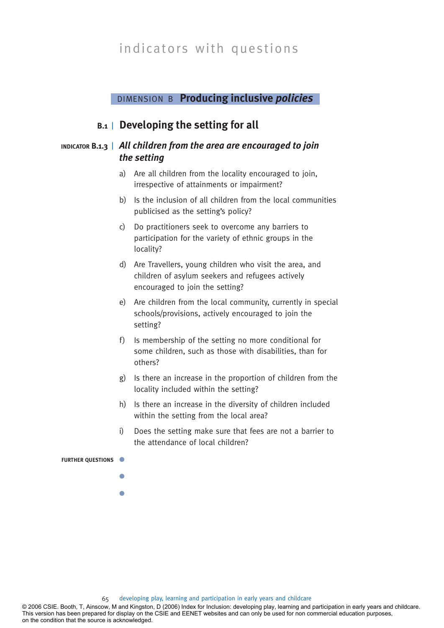### DIMENSION B **Producing inclusive** *policies*

### **B.1** | **Developing the setting for all**

### **INDICATOR B.1.3** | *All children from the area are encouraged to join the setting*

- a) Are all children from the locality encouraged to join, irrespective of attainments or impairment?
- b) Is the inclusion of all children from the local communities publicised as the setting's policy?
- c) Do practitioners seek to overcome any barriers to participation for the variety of ethnic groups in the locality?
- d) Are Travellers, young children who visit the area, and children of asylum seekers and refugees actively encouraged to join the setting?
- e) Are children from the local community, currently in special schools/provisions, actively encouraged to join the setting?
- f) Is membership of the setting no more conditional for some children, such as those with disabilities, than for others?
- g) Is there an increase in the proportion of children from the locality included within the setting?
- h) Is there an increase in the diversity of children included within the setting from the local area?
- i) Does the setting make sure that fees are not a barrier to the attendance of local children?

**FURTHER QUESTIONS** 

- ●
- $\bullet$

65 developing play, learning and participation in early years and childcare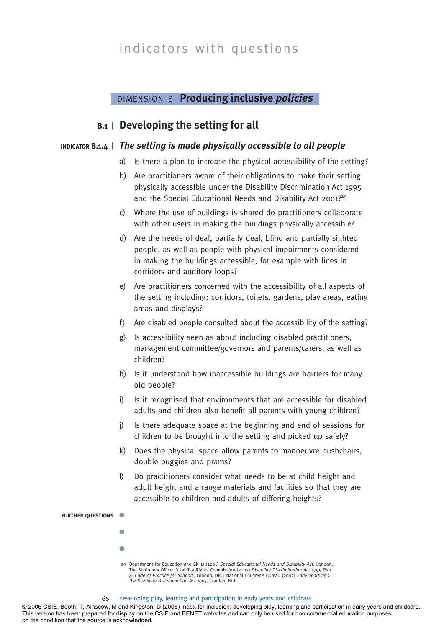## DIMENSION B **Producing inclusive** *policies*

## **B.1** | **Developing the setting for all**

### **INDICATOR B.1.4** | *The setting is made physically accessible to all people*

- a) Is there a plan to increase the physical accessibility of the setting?
- b) Are practitioners aware of their obligations to make their setting physically accessible under the Disability Discrimination Act 1995 and the Special Educational Needs and Disability Act 2001?<sup>29</sup>
- c) Where the use of buildings is shared do practitioners collaborate with other users in making the buildings physically accessible?
- d) Are the needs of deaf, partially deaf, blind and partially sighted people, as well as people with physical impairments considered in making the buildings accessible, for example with lines in corridors and auditory loops?
- e) Are practitioners concerned with the accessibility of all aspects of the setting including: corridors, toilets, gardens, play areas, eating areas and displays?
- f) Are disabled people consulted about the accessibility of the setting?
- g) Is accessibility seen as about including disabled practitioners, management committee/governors and parents/carers, as well as children?
- h) Is it understood how inaccessible buildings are barriers for many old people?
- i) Is it recognised that environments that are accessible for disabled adults and children also benefit all parents with young children?
- j) Is there adequate space at the beginning and end of sessions for children to be brought into the setting and picked up safely?
- k) Does the physical space allow parents to manoeuvre pushchairs, double buggies and prams?
- l) Do practitioners consider what needs to be at child height and adult height and arrange materials and facilities so that they are accessible to children and adults of differing heights?

**FURTHER QUESTIONS** 

**。** 

**。** 

29 Department for Education and Skills (2001) *Special Educational Needs and Disability Act*, London, The Stationery Office; Disability Rights Commission (2002) *Disability Discrimination Act 1995 Part 4: Code of Practice for Schools*, London, DRC; National Children's Bureau (2002) *Early Years and the Disability Discrimination Act 1995*, London, NCB.

#### 66 developing play, learning and participation in early years and childcare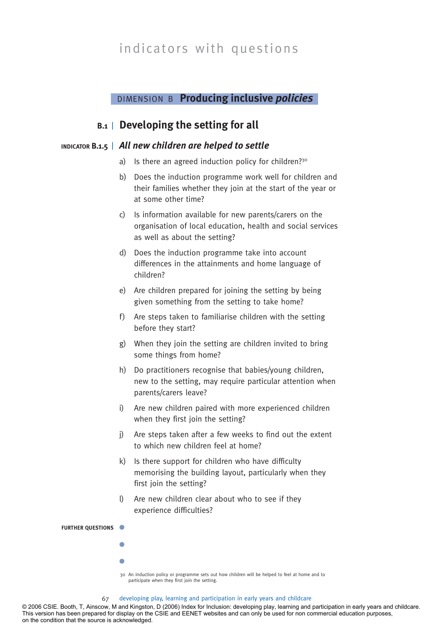## DIMENSION B **Producing inclusive** *policies*

## **B.1** | **Developing the setting for all**

### **INDICATOR B.1.5** | *All new children are helped to settle*

- a) Is there an agreed induction policy for children?<sup>30</sup>
- b) Does the induction programme work well for children and their families whether they join at the start of the year or at some other time?
- c) Is information available for new parents/carers on the organisation of local education, health and social services as well as about the setting?
- d) Does the induction programme take into account differences in the attainments and home language of children?
- e) Are children prepared for joining the setting by being given something from the setting to take home?
- f) Are steps taken to familiarise children with the setting before they start?
- g) When they join the setting are children invited to bring some things from home?
- h) Do practitioners recognise that babies/young children, new to the setting, may require particular attention when parents/carers leave?
- i) Are new children paired with more experienced children when they first join the setting?
- j) Are steps taken after a few weeks to find out the extent to which new children feel at home?
- k) Is there support for children who have difficulty memorising the building layout, particularly when they first join the setting?
- l) Are new children clear about who to see if they experience difficulties?

**FURTHER OUESTIONS** 

**。** 

**。** 

- 30 An induction policy or programme sets out how children will be helped to feel at home and to participate when they first join the setting.
- 67 developing play, learning and participation in early years and childcare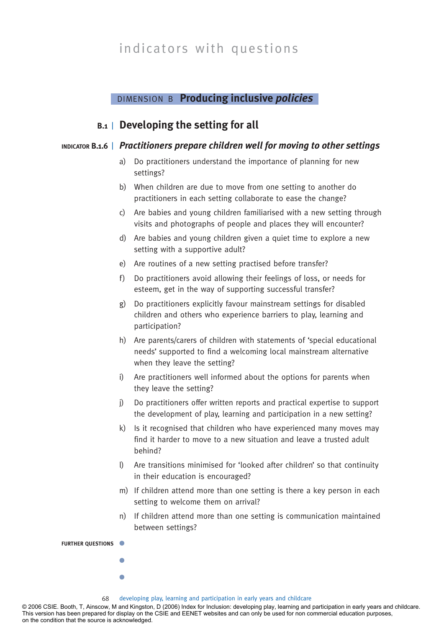## DIMENSION B **Producing inclusive** *policies*

## **B.1** | **Developing the setting for all**

### **INDICATOR B.1.6** | *Practitioners prepare children well for moving to other settings*

- a) Do practitioners understand the importance of planning for new settings?
- b) When children are due to move from one setting to another do practitioners in each setting collaborate to ease the change?
- c) Are babies and young children familiarised with a new setting through visits and photographs of people and places they will encounter?
- d) Are babies and young children given a quiet time to explore a new setting with a supportive adult?
- e) Are routines of a new setting practised before transfer?
- f) Do practitioners avoid allowing their feelings of loss, or needs for esteem, get in the way of supporting successful transfer?
- g) Do practitioners explicitly favour mainstream settings for disabled children and others who experience barriers to play, learning and participation?
- h) Are parents/carers of children with statements of 'special educational needs' supported to find a welcoming local mainstream alternative when they leave the setting?
- i) Are practitioners well informed about the options for parents when they leave the setting?
- j) Do practitioners offer written reports and practical expertise to support the development of play, learning and participation in a new setting?
- k) Is it recognised that children who have experienced many moves may find it harder to move to a new situation and leave a trusted adult behind?
- l) Are transitions minimised for 'looked after children' so that continuity in their education is encouraged?
- m) If children attend more than one setting is there a key person in each setting to welcome them on arrival?
- n) If children attend more than one setting is communication maintained between settings?

**FURTHER QUESTIONS** 

●

●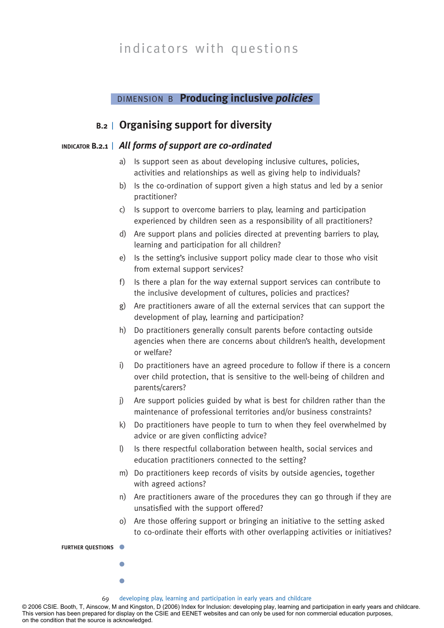## DIMENSION B **Producing inclusive** *policies*

### **B.2** | **Organising support for diversity**

#### **INDICATOR B.2.1** | *All forms of support are co-ordinated*

- a) Is support seen as about developing inclusive cultures, policies, activities and relationships as well as giving help to individuals?
- b) Is the co-ordination of support given a high status and led by a senior practitioner?
- c) Is support to overcome barriers to play, learning and participation experienced by children seen as a responsibility of all practitioners?
- d) Are support plans and policies directed at preventing barriers to play, learning and participation for all children?
- e) Is the setting's inclusive support policy made clear to those who visit from external support services?
- f) Is there a plan for the way external support services can contribute to the inclusive development of cultures, policies and practices?
- g) Are practitioners aware of all the external services that can support the development of play, learning and participation?
- h) Do practitioners generally consult parents before contacting outside agencies when there are concerns about children's health, development or welfare?
- i) Do practitioners have an agreed procedure to follow if there is a concern over child protection, that is sensitive to the well-being of children and parents/carers?
- j) Are support policies guided by what is best for children rather than the maintenance of professional territories and/or business constraints?
- k) Do practitioners have people to turn to when they feel overwhelmed by advice or are given conflicting advice?
- l) Is there respectful collaboration between health, social services and education practitioners connected to the setting?
- m) Do practitioners keep records of visits by outside agencies, together with agreed actions?
- n) Are practitioners aware of the procedures they can go through if they are unsatisfied with the support offered?
- o) Are those offering support or bringing an initiative to the setting asked to co-ordinate their efforts with other overlapping activities or initiatives?

#### **FURTHER QUESTIONS**

**。** 

**。** 

69 developing play, learning and participation in early years and childcare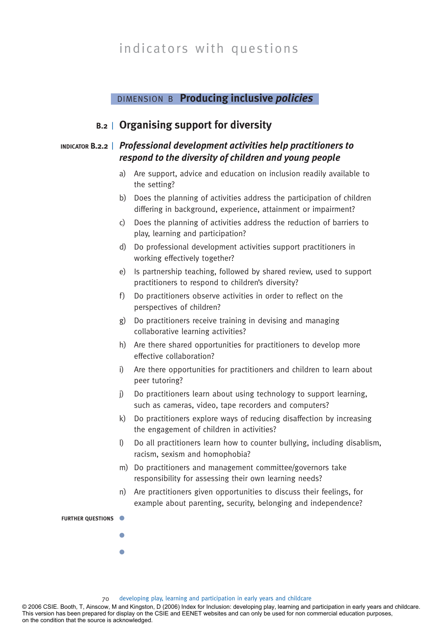### DIMENSION B **Producing inclusive** *policies*

## **B.2** | **Organising support for diversity**

### **INDICATOR B.2.2** | *Professional development activities help practitioners to respond to the diversity of children and young people*

- a) Are support, advice and education on inclusion readily available to the setting?
- b) Does the planning of activities address the participation of children differing in background, experience, attainment or impairment?
- c) Does the planning of activities address the reduction of barriers to play, learning and participation?
- d) Do professional development activities support practitioners in working effectively together?
- e) Is partnership teaching, followed by shared review, used to support practitioners to respond to children's diversity?
- f) Do practitioners observe activities in order to reflect on the perspectives of children?
- g) Do practitioners receive training in devising and managing collaborative learning activities?
- h) Are there shared opportunities for practitioners to develop more effective collaboration?
- i) Are there opportunities for practitioners and children to learn about peer tutoring?
- j) Do practitioners learn about using technology to support learning, such as cameras, video, tape recorders and computers?
- k) Do practitioners explore ways of reducing disaffection by increasing the engagement of children in activities?
- l) Do all practitioners learn how to counter bullying, including disablism, racism, sexism and homophobia?
- m) Do practitioners and management committee/governors take responsibility for assessing their own learning needs?
- n) Are practitioners given opportunities to discuss their feelings, for example about parenting, security, belonging and independence?

**FURTHER QUESTIONS** 

- ●
- ●

70 developing play, learning and participation in early years and childcare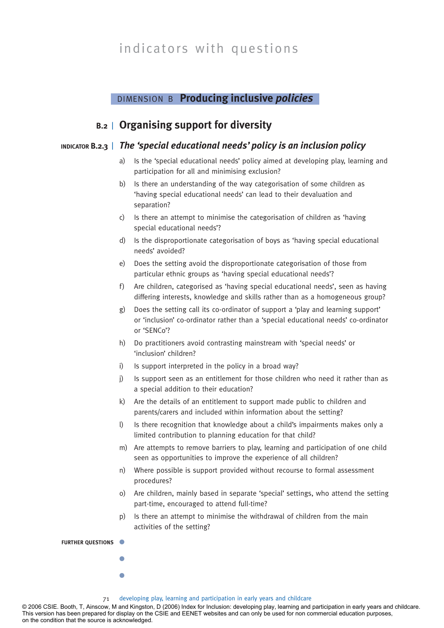### DIMENSION B **Producing inclusive** *policies*

### **B.2** | **Organising support for diversity**

#### **INDICATOR B.2.3** | *The 'special educational needs' policy is an inclusion policy*

- a) Is the 'special educational needs' policy aimed at developing play, learning and participation for all and minimising exclusion?
- b) Is there an understanding of the way categorisation of some children as 'having special educational needs' can lead to their devaluation and separation?
- c) Is there an attempt to minimise the categorisation of children as 'having special educational needs'?
- d) Is the disproportionate categorisation of boys as 'having special educational needs' avoided?
- e) Does the setting avoid the disproportionate categorisation of those from particular ethnic groups as 'having special educational needs'?
- f) Are children, categorised as 'having special educational needs', seen as having differing interests, knowledge and skills rather than as a homogeneous group?
- g) Does the setting call its co-ordinator of support a 'play and learning support' or 'inclusion' co-ordinator rather than a 'special educational needs' co-ordinator or 'SENCo'?
- h) Do practitioners avoid contrasting mainstream with 'special needs' or 'inclusion' children?
- i) Is support interpreted in the policy in a broad way?
- j) Is support seen as an entitlement for those children who need it rather than as a special addition to their education?
- k) Are the details of an entitlement to support made public to children and parents/carers and included within information about the setting?
- l) Is there recognition that knowledge about a child's impairments makes only a limited contribution to planning education for that child?
- m) Are attempts to remove barriers to play, learning and participation of one child seen as opportunities to improve the experience of all children?
- n) Where possible is support provided without recourse to formal assessment procedures?
- o) Are children, mainly based in separate 'special' settings, who attend the setting part-time, encouraged to attend full-time?
- p) Is there an attempt to minimise the withdrawal of children from the main activities of the setting?

**FURTHER QUESTIONS** 

**。** 

**。** 

71 developing play, learning and participation in early years and childcare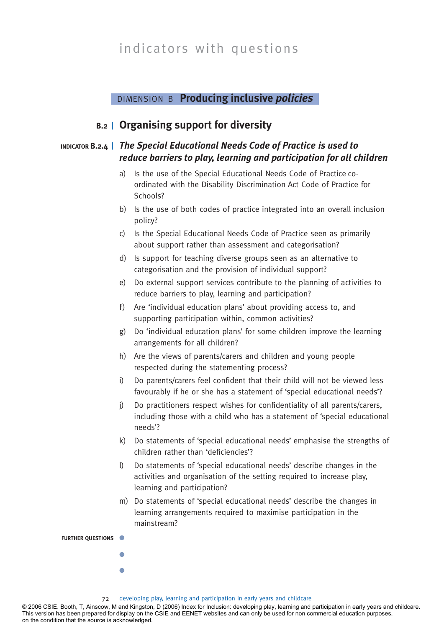### DIMENSION B **Producing inclusive** *policies*

### **B.2** | **Organising support for diversity**

#### **INDICATOR B.2.4** | *The Special Educational Needs Code of Practice is used to reduce barriers to play, learning and participation for all children*

- a) Is the use of the Special Educational Needs Code of Practice coordinated with the Disability Discrimination Act Code of Practice for Schools?
- b) Is the use of both codes of practice integrated into an overall inclusion policy?
- c) Is the Special Educational Needs Code of Practice seen as primarily about support rather than assessment and categorisation?
- d) Is support for teaching diverse groups seen as an alternative to categorisation and the provision of individual support?
- e) Do external support services contribute to the planning of activities to reduce barriers to play, learning and participation?
- f) Are 'individual education plans' about providing access to, and supporting participation within, common activities?
- g) Do 'individual education plans' for some children improve the learning arrangements for all children?
- h) Are the views of parents/carers and children and young people respected during the statementing process?
- i) Do parents/carers feel confident that their child will not be viewed less favourably if he or she has a statement of 'special educational needs'?
- j) Do practitioners respect wishes for confidentiality of all parents/carers, including those with a child who has a statement of 'special educational needs'?
- k) Do statements of 'special educational needs' emphasise the strengths of children rather than 'deficiencies'?
- l) Do statements of 'special educational needs' describe changes in the activities and organisation of the setting required to increase play, learning and participation?
- m) Do statements of 'special educational needs' describe the changes in learning arrangements required to maximise participation in the mainstream?

**FURTHER QUESTIONS** 

- ●
- ●
- 72 developing play, learning and participation in early years and childcare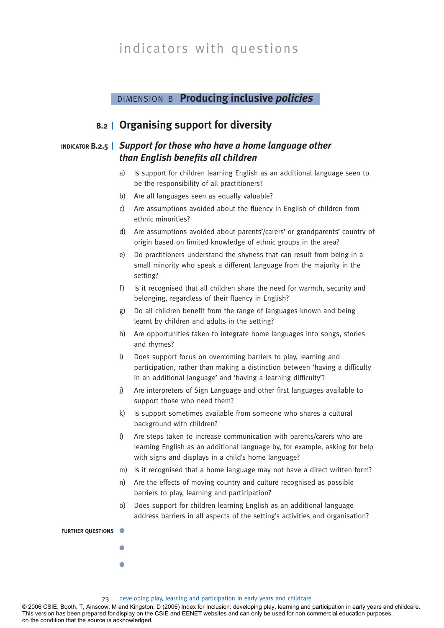### DIMENSION B **Producing inclusive** *policies*

### **B.2** | **Organising support for diversity**

#### **INDICATOR B.2.5** | *Support for those who have a home language other than English benefits all children*

- a) Is support for children learning English as an additional language seen to be the responsibility of all practitioners?
- b) Are all languages seen as equally valuable?
- c) Are assumptions avoided about the fluency in English of children from ethnic minorities?
- d) Are assumptions avoided about parents'/carers' or grandparents' country of origin based on limited knowledge of ethnic groups in the area?
- e) Do practitioners understand the shyness that can result from being in a small minority who speak a different language from the majority in the setting?
- f) Is it recognised that all children share the need for warmth, security and belonging, regardless of their fluency in English?
- g) Do all children benefit from the range of languages known and being learnt by children and adults in the setting?
- h) Are opportunities taken to integrate home languages into songs, stories and rhymes?
- i) Does support focus on overcoming barriers to play, learning and participation, rather than making a distinction between 'having a difficulty in an additional language' and 'having a learning difficulty'?
- j) Are interpreters of Sign Language and other first languages available to support those who need them?
- k) Is support sometimes available from someone who shares a cultural background with children?
- l) Are steps taken to increase communication with parents/carers who are learning English as an additional language by, for example, asking for help with signs and displays in a child's home language?
- m) Is it recognised that a home language may not have a direct written form?
- n) Are the effects of moving country and culture recognised as possible barriers to play, learning and participation?
- o) Does support for children learning English as an additional language address barriers in all aspects of the setting's activities and organisation?

**FURTHER QUESTIONS** 

- **。**
- ●

73 developing play, learning and participation in early years and childcare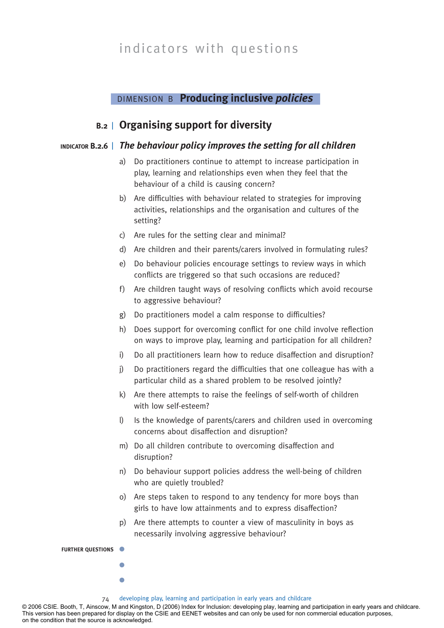### DIMENSION B **Producing inclusive** *policies*

### **B.2** | **Organising support for diversity**

#### **INDICATOR B.2.6** | *The behaviour policy improves the setting for all children*

- a) Do practitioners continue to attempt to increase participation in play, learning and relationships even when they feel that the behaviour of a child is causing concern?
- b) Are difficulties with behaviour related to strategies for improving activities, relationships and the organisation and cultures of the setting?
- c) Are rules for the setting clear and minimal?
- d) Are children and their parents/carers involved in formulating rules?
- e) Do behaviour policies encourage settings to review ways in which conflicts are triggered so that such occasions are reduced?
- f) Are children taught ways of resolving conflicts which avoid recourse to aggressive behaviour?
- g) Do practitioners model a calm response to difficulties?
- h) Does support for overcoming conflict for one child involve reflection on ways to improve play, learning and participation for all children?
- i) Do all practitioners learn how to reduce disaffection and disruption?
- j) Do practitioners regard the difficulties that one colleague has with a particular child as a shared problem to be resolved jointly?
- k) Are there attempts to raise the feelings of self-worth of children with low self-esteem?
- l) Is the knowledge of parents/carers and children used in overcoming concerns about disaffection and disruption?
- m) Do all children contribute to overcoming disaffection and disruption?
- n) Do behaviour support policies address the well-being of children who are quietly troubled?
- o) Are steps taken to respond to any tendency for more boys than girls to have low attainments and to express disaffection?
- p) Are there attempts to counter a view of masculinity in boys as necessarily involving aggressive behaviour?

#### **FURTHER QUESTIONS**

**。** 

**。** 

74 developing play, learning and participation in early years and childcare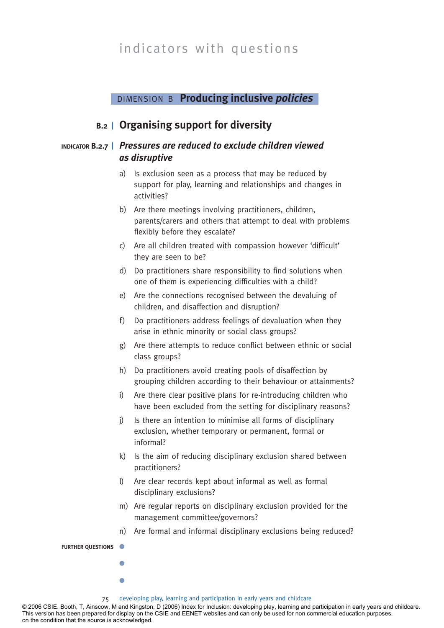## DIMENSION B **Producing inclusive** *policies*

## **B.2** | **Organising support for diversity**

#### **INDICATOR B.2.7** | *Pressures are reduced to exclude children viewed as disruptive*

- a) Is exclusion seen as a process that may be reduced by support for play, learning and relationships and changes in activities?
- b) Are there meetings involving practitioners, children, parents/carers and others that attempt to deal with problems flexibly before they escalate?
- c) Are all children treated with compassion however 'difficult' they are seen to be?
- d) Do practitioners share responsibility to find solutions when one of them is experiencing difficulties with a child?
- e) Are the connections recognised between the devaluing of children, and disaffection and disruption?
- f) Do practitioners address feelings of devaluation when they arise in ethnic minority or social class groups?
- g) Are there attempts to reduce conflict between ethnic or social class groups?
- h) Do practitioners avoid creating pools of disaffection by grouping children according to their behaviour or attainments?
- i) Are there clear positive plans for re-introducing children who have been excluded from the setting for disciplinary reasons?
- j) Is there an intention to minimise all forms of disciplinary exclusion, whether temporary or permanent, formal or informal?
- k) Is the aim of reducing disciplinary exclusion shared between practitioners?
- l) Are clear records kept about informal as well as formal disciplinary exclusions?
- m) Are regular reports on disciplinary exclusion provided for the management committee/governors?
- n) Are formal and informal disciplinary exclusions being reduced?

#### **FURTHER QUESTIONS**

**。** 

**。** 

75 developing play, learning and participation in early years and childcare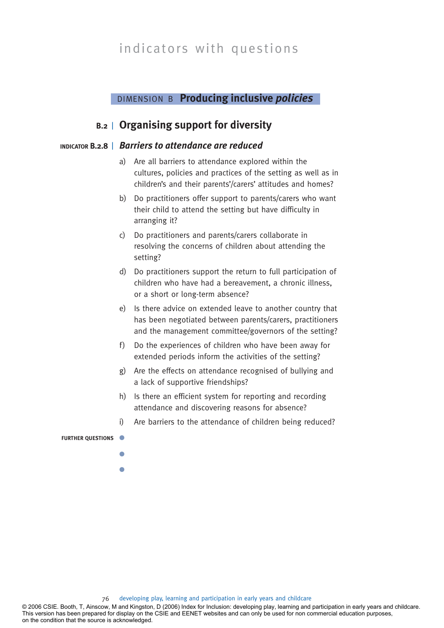#### DIMENSION B **Producing inclusive** *policies*

### **B.2** | **Organising support for diversity**

#### **INDICATOR B.2.8** | *Barriers to attendance are reduced*

- a) Are all barriers to attendance explored within the cultures, policies and practices of the setting as well as in children's and their parents'/carers' attitudes and homes?
- b) Do practitioners offer support to parents/carers who want their child to attend the setting but have difficulty in arranging it?
- c) Do practitioners and parents/carers collaborate in resolving the concerns of children about attending the setting?
- d) Do practitioners support the return to full participation of children who have had a bereavement, a chronic illness, or a short or long-term absence?
- e) Is there advice on extended leave to another country that has been negotiated between parents/carers, practitioners and the management committee/governors of the setting?
- f) Do the experiences of children who have been away for extended periods inform the activities of the setting?
- g) Are the effects on attendance recognised of bullying and a lack of supportive friendships?
- h) Is there an efficient system for reporting and recording attendance and discovering reasons for absence?
- i) Are barriers to the attendance of children being reduced?

**FURTHER QUESTIONS** 

**。** ●

<sup>© 2006</sup> CSIE. Booth, T, Ainscow, M and Kingston, D (2006) Index for Inclusion: developing play, learning and participation in early years and childcare. This version has been prepared for display on the CSIE and EENET websites and can only be used for non commercial education purposes, on the condition that the source is acknowledged.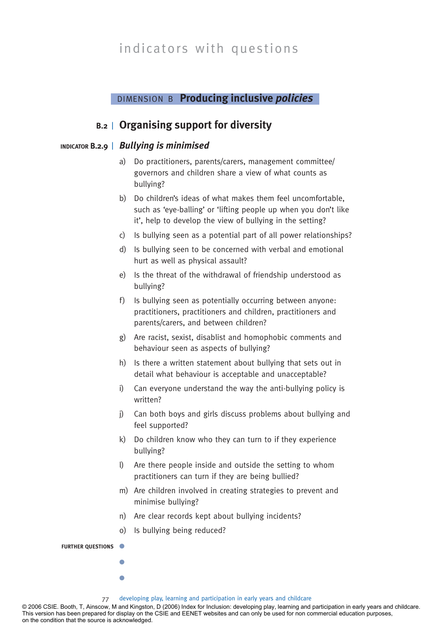### DIMENSION B **Producing inclusive** *policies*

### **B.2** | **Organising support for diversity**

#### **INDICATOR B.2.9** | *Bullying is minimised*

- a) Do practitioners, parents/carers, management committee/ governors and children share a view of what counts as bullying?
- b) Do children's ideas of what makes them feel uncomfortable, such as 'eye-balling' or 'lifting people up when you don't like it', help to develop the view of bullying in the setting?
- c) Is bullying seen as a potential part of all power relationships?
- d) Is bullying seen to be concerned with verbal and emotional hurt as well as physical assault?
- e) Is the threat of the withdrawal of friendship understood as bullying?
- f) Is bullying seen as potentially occurring between anyone: practitioners, practitioners and children, practitioners and parents/carers, and between children?
- g) Are racist, sexist, disablist and homophobic comments and behaviour seen as aspects of bullying?
- h) Is there a written statement about bullying that sets out in detail what behaviour is acceptable and unacceptable?
- i) Can everyone understand the way the anti-bullying policy is written?
- j) Can both boys and girls discuss problems about bullying and feel supported?
- k) Do children know who they can turn to if they experience bullying?
- l) Are there people inside and outside the setting to whom practitioners can turn if they are being bullied?
- m) Are children involved in creating strategies to prevent and minimise bullying?
- n) Are clear records kept about bullying incidents?
- o) Is bullying being reduced?

#### **FURTHER QUESTIONS**

●

**。** 

77 developing play, learning and participation in early years and childcare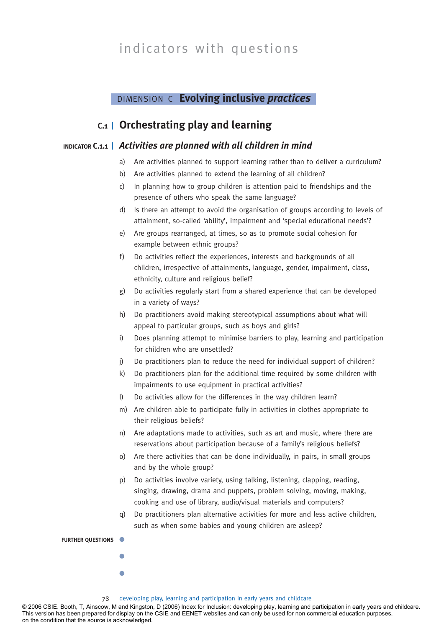### DIMENSION C **Evolving inclusive** *practices*

### **C.1** | **Orchestrating play and learning**

#### **INDICATOR C.1.1** | *Activities are planned with all children in mind*

- a) Are activities planned to support learning rather than to deliver a curriculum?
- b) Are activities planned to extend the learning of all children?
- c) In planning how to group children is attention paid to friendships and the presence of others who speak the same language?
- d) Is there an attempt to avoid the organisation of groups according to levels of attainment, so-called 'ability', impairment and 'special educational needs'?
- e) Are groups rearranged, at times, so as to promote social cohesion for example between ethnic groups?
- f) Do activities reflect the experiences, interests and backgrounds of all children, irrespective of attainments, language, gender, impairment, class, ethnicity, culture and religious belief?
- g) Do activities regularly start from a shared experience that can be developed in a variety of ways?
- h) Do practitioners avoid making stereotypical assumptions about what will appeal to particular groups, such as boys and girls?
- i) Does planning attempt to minimise barriers to play, learning and participation for children who are unsettled?
- j) Do practitioners plan to reduce the need for individual support of children?
- k) Do practitioners plan for the additional time required by some children with impairments to use equipment in practical activities?
- l) Do activities allow for the differences in the way children learn?
- m) Are children able to participate fully in activities in clothes appropriate to their religious beliefs?
- n) Are adaptations made to activities, such as art and music, where there are reservations about participation because of a family's religious beliefs?
- o) Are there activities that can be done individually, in pairs, in small groups and by the whole group?
- p) Do activities involve variety, using talking, listening, clapping, reading, singing, drawing, drama and puppets, problem solving, moving, making, cooking and use of library, audio/visual materials and computers?
- q) Do practitioners plan alternative activities for more and less active children, such as when some babies and young children are asleep?

**FURTHER QUESTIONS** 

- ●
- ●
- 78 developing play, learning and participation in early years and childcare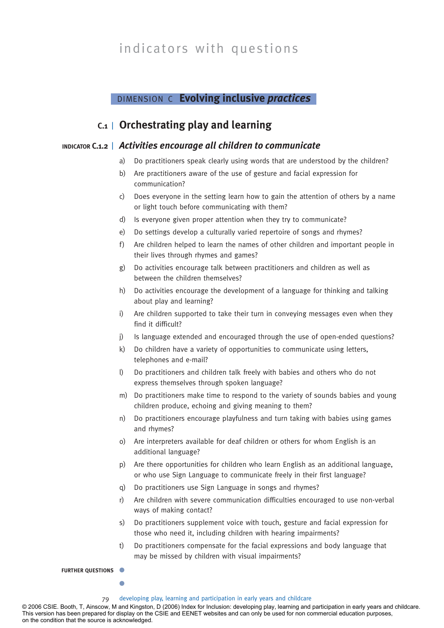### DIMENSION C **Evolving inclusive** *practices*

### **C.1** | **Orchestrating play and learning**

#### **INDICATOR C.1.2** | *Activities encourage all children to communicate*

- a) Do practitioners speak clearly using words that are understood by the children?
- b) Are practitioners aware of the use of gesture and facial expression for communication?
- c) Does everyone in the setting learn how to gain the attention of others by a name or light touch before communicating with them?
- d) Is everyone given proper attention when they try to communicate?
- e) Do settings develop a culturally varied repertoire of songs and rhymes?
- f) Are children helped to learn the names of other children and important people in their lives through rhymes and games?
- g) Do activities encourage talk between practitioners and children as well as between the children themselves?
- h) Do activities encourage the development of a language for thinking and talking about play and learning?
- i) Are children supported to take their turn in conveying messages even when they find it difficult?
- j) Is language extended and encouraged through the use of open-ended questions?
- k) Do children have a variety of opportunities to communicate using letters, telephones and e-mail?
- l) Do practitioners and children talk freely with babies and others who do not express themselves through spoken language?
- m) Do practitioners make time to respond to the variety of sounds babies and young children produce, echoing and giving meaning to them?
- n) Do practitioners encourage playfulness and turn taking with babies using games and rhymes?
- o) Are interpreters available for deaf children or others for whom English is an additional language?
- p) Are there opportunities for children who learn English as an additional language, or who use Sign Language to communicate freely in their first language?
- q) Do practitioners use Sign Language in songs and rhymes?
- r) Are children with severe communication difficulties encouraged to use non-verbal ways of making contact?
- s) Do practitioners supplement voice with touch, gesture and facial expression for those who need it, including children with hearing impairments?
- t) Do practitioners compensate for the facial expressions and body language that may be missed by children with visual impairments?

#### **FURTHER QUESTIONS**

**。** 

79 developing play, learning and participation in early years and childcare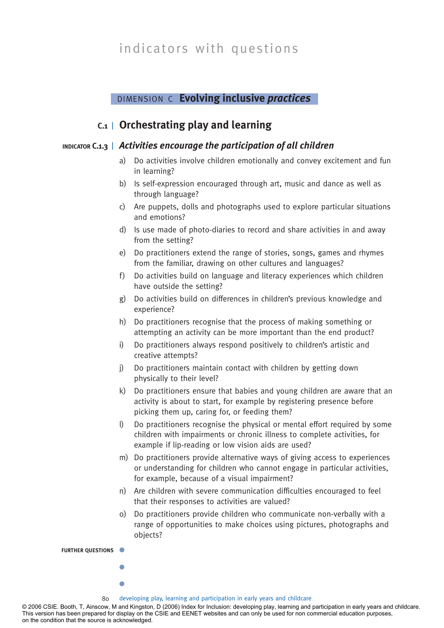### DIMENSION C **Evolving inclusive** *practices*

## **C.1** | **Orchestrating play and learning**

#### **INDICATOR C.1.3** | *Activities encourage the participation of all children*

- a) Do activities involve children emotionally and convey excitement and fun in learning?
- b) Is self-expression encouraged through art, music and dance as well as through language?
- c) Are puppets, dolls and photographs used to explore particular situations and emotions?
- d) Is use made of photo-diaries to record and share activities in and away from the setting?
- e) Do practitioners extend the range of stories, songs, games and rhymes from the familiar, drawing on other cultures and languages?
- f) Do activities build on language and literacy experiences which children have outside the setting?
- g) Do activities build on differences in children's previous knowledge and experience?
- h) Do practitioners recognise that the process of making something or attempting an activity can be more important than the end product?
- i) Do practitioners always respond positively to children's artistic and creative attempts?
- j) Do practitioners maintain contact with children by getting down physically to their level?
- k) Do practitioners ensure that babies and young children are aware that an activity is about to start, for example by registering presence before picking them up, caring for, or feeding them?
- l) Do practitioners recognise the physical or mental effort required by some children with impairments or chronic illness to complete activities, for example if lip-reading or low vision aids are used?
- m) Do practitioners provide alternative ways of giving access to experiences or understanding for children who cannot engage in particular activities, for example, because of a visual impairment?
- n) Are children with severe communication difficulties encouraged to feel that their responses to activities are valued?
- o) Do practitioners provide children who communicate non-verbally with a range of opportunities to make choices using pictures, photographs and objects?

**FURTHER QUESTIONS** 

●

**。** 

80 developing play, learning and participation in early years and childcare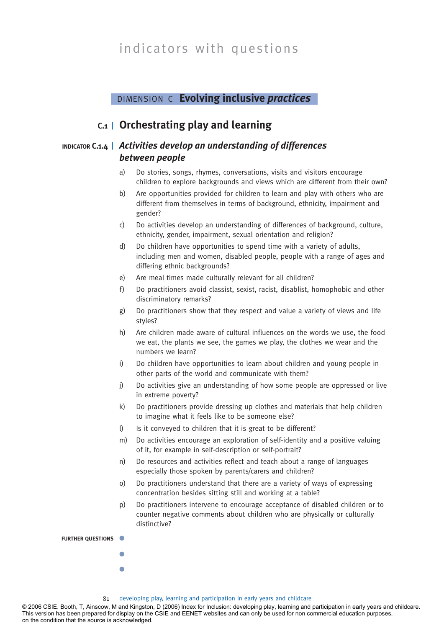### DIMENSION C **Evolving inclusive** *practices*

### **C.1** | **Orchestrating play and learning**

#### **INDICATOR C.1.4** | *Activities develop an understanding of differences between people*

- a) Do stories, songs, rhymes, conversations, visits and visitors encourage children to explore backgrounds and views which are different from their own?
- b) Are opportunities provided for children to learn and play with others who are different from themselves in terms of background, ethnicity, impairment and gender?
- c) Do activities develop an understanding of differences of background, culture, ethnicity, gender, impairment, sexual orientation and religion?
- d) Do children have opportunities to spend time with a variety of adults, including men and women, disabled people, people with a range of ages and differing ethnic backgrounds?
- e) Are meal times made culturally relevant for all children?
- f) Do practitioners avoid classist, sexist, racist, disablist, homophobic and other discriminatory remarks?
- g) Do practitioners show that they respect and value a variety of views and life styles?
- h) Are children made aware of cultural influences on the words we use, the food we eat, the plants we see, the games we play, the clothes we wear and the numbers we learn?
- i) Do children have opportunities to learn about children and young people in other parts of the world and communicate with them?
- j) Do activities give an understanding of how some people are oppressed or live in extreme poverty?
- k) Do practitioners provide dressing up clothes and materials that help children to imagine what it feels like to be someone else?
- l) Is it conveyed to children that it is great to be different?
- m) Do activities encourage an exploration of self-identity and a positive valuing of it, for example in self-description or self-portrait?
- n) Do resources and activities reflect and teach about a range of languages especially those spoken by parents/carers and children?
- o) Do practitioners understand that there are a variety of ways of expressing concentration besides sitting still and working at a table?
- p) Do practitioners intervene to encourage acceptance of disabled children or to counter negative comments about children who are physically or culturally distinctive?

**FURTHER QUESTIONS** 

- $\bullet$
- ●
- 81 developing play, learning and participation in early years and childcare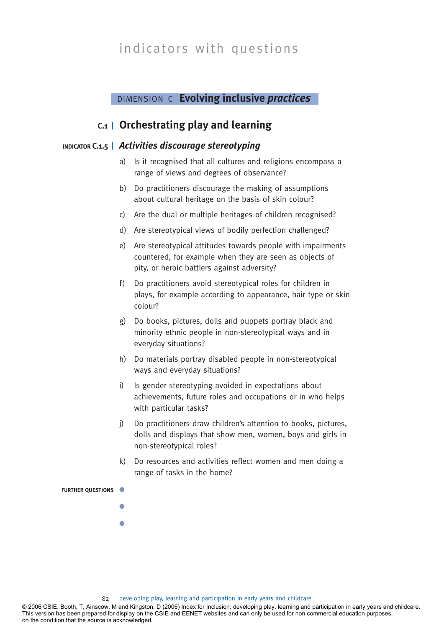### DIMENSION C **Evolving inclusive** *practices*

## **C.1** | **Orchestrating play and learning**

#### **INDICATOR C.1.5** | *Activities discourage stereotyping*

- a) Is it recognised that all cultures and religions encompass a range of views and degrees of observance?
- b) Do practitioners discourage the making of assumptions about cultural heritage on the basis of skin colour?
- c) Are the dual or multiple heritages of children recognised?
- d) Are stereotypical views of bodily perfection challenged?
- e) Are stereotypical attitudes towards people with impairments countered, for example when they are seen as objects of pity, or heroic battlers against adversity?
- f) Do practitioners avoid stereotypical roles for children in plays, for example according to appearance, hair type or skin colour?
- g) Do books, pictures, dolls and puppets portray black and minority ethnic people in non-stereotypical ways and in everyday situations?
- h) Do materials portray disabled people in non-stereotypical ways and everyday situations?
- i) Is gender stereotyping avoided in expectations about achievements, future roles and occupations or in who helps with particular tasks?
- j) Do practitioners draw children's attention to books, pictures, dolls and displays that show men, women, boys and girls in non-stereotypical roles?
- k) Do resources and activities reflect women and men doing a range of tasks in the home?

**FURTHER QUESTIONS** 

**。** 

**。** 

82 developing play, learning and participation in early years and childcare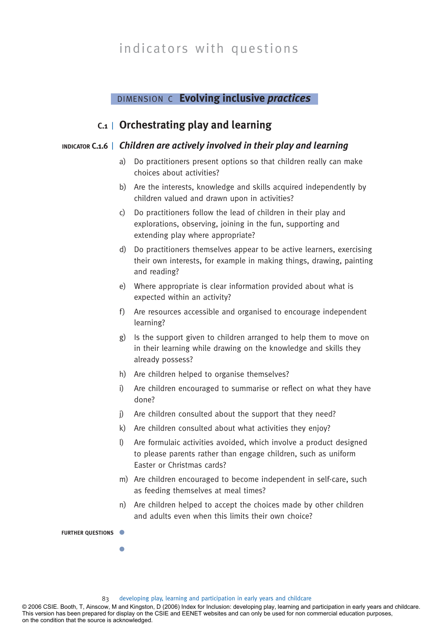### DIMENSION C **Evolving inclusive** *practices*

### **C.1** | **Orchestrating play and learning**

#### **INDICATOR C.1.6** | *Children are actively involved in their play and learning*

- a) Do practitioners present options so that children really can make choices about activities?
- b) Are the interests, knowledge and skills acquired independently by children valued and drawn upon in activities?
- c) Do practitioners follow the lead of children in their play and explorations, observing, joining in the fun, supporting and extending play where appropriate?
- d) Do practitioners themselves appear to be active learners, exercising their own interests, for example in making things, drawing, painting and reading?
- e) Where appropriate is clear information provided about what is expected within an activity?
- f) Are resources accessible and organised to encourage independent learning?
- g) Is the support given to children arranged to help them to move on in their learning while drawing on the knowledge and skills they already possess?
- h) Are children helped to organise themselves?
- i) Are children encouraged to summarise or reflect on what they have done?
- j) Are children consulted about the support that they need?
- k) Are children consulted about what activities they enjoy?
- l) Are formulaic activities avoided, which involve a product designed to please parents rather than engage children, such as uniform Easter or Christmas cards?
- m) Are children encouraged to become independent in self-care, such as feeding themselves at meal times?
- n) Are children helped to accept the choices made by other children and adults even when this limits their own choice?

**FURTHER QUESTIONS** 

**。** 

83 developing play, learning and participation in early years and childcare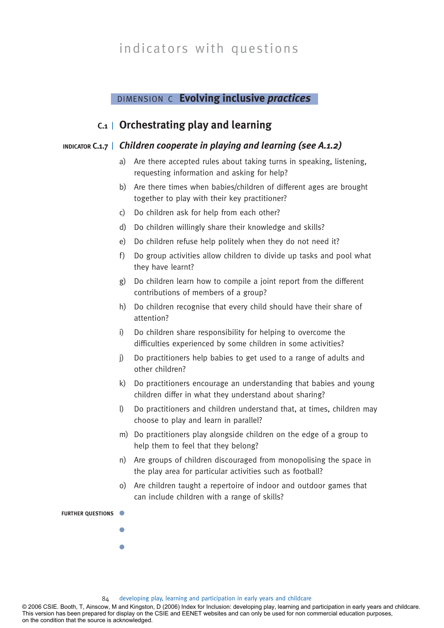### DIMENSION C **Evolving inclusive** *practices*

### **C.1** | **Orchestrating play and learning**

#### **INDICATOR C.1.7** | *Children cooperate in playing and learning (see A.1.2)*

- a) Are there accepted rules about taking turns in speaking, listening, requesting information and asking for help?
- b) Are there times when babies/children of different ages are brought together to play with their key practitioner?
- c) Do children ask for help from each other?
- d) Do children willingly share their knowledge and skills?
- e) Do children refuse help politely when they do not need it?
- f) Do group activities allow children to divide up tasks and pool what they have learnt?
- g) Do children learn how to compile a joint report from the different contributions of members of a group?
- h) Do children recognise that every child should have their share of attention?
- i) Do children share responsibility for helping to overcome the difficulties experienced by some children in some activities?
- j) Do practitioners help babies to get used to a range of adults and other children?
- k) Do practitioners encourage an understanding that babies and young children differ in what they understand about sharing?
- l) Do practitioners and children understand that, at times, children may choose to play and learn in parallel?
- m) Do practitioners play alongside children on the edge of a group to help them to feel that they belong?
- n) Are groups of children discouraged from monopolising the space in the play area for particular activities such as football?
- o) Are children taught a repertoire of indoor and outdoor games that can include children with a range of skills?

**FURTHER QUESTIONS** 

**。** 

**。** 

84 developing play, learning and participation in early years and childcare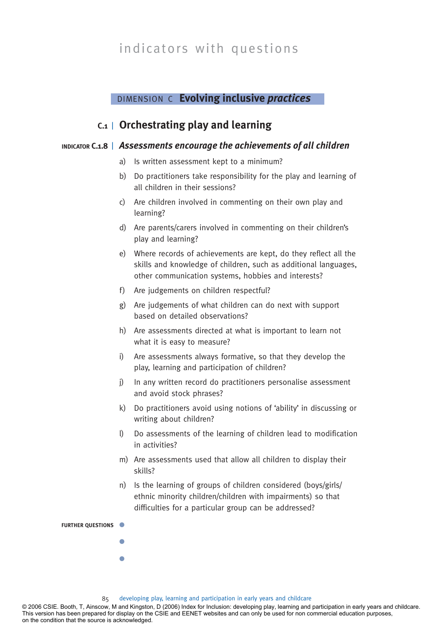### DIMENSION C **Evolving inclusive** *practices*

### **C.1** | **Orchestrating play and learning**

#### **INDICATOR C.1.8** | *Assessments encourage the achievements of all children*

- a) Is written assessment kept to a minimum?
- b) Do practitioners take responsibility for the play and learning of all children in their sessions?
- c) Are children involved in commenting on their own play and learning?
- d) Are parents/carers involved in commenting on their children's play and learning?
- e) Where records of achievements are kept, do they reflect all the skills and knowledge of children, such as additional languages, other communication systems, hobbies and interests?
- f) Are judgements on children respectful?
- g) Are judgements of what children can do next with support based on detailed observations?
- h) Are assessments directed at what is important to learn not what it is easy to measure?
- i) Are assessments always formative, so that they develop the play, learning and participation of children?
- j) In any written record do practitioners personalise assessment and avoid stock phrases?
- k) Do practitioners avoid using notions of 'ability' in discussing or writing about children?
- l) Do assessments of the learning of children lead to modification in activities?
- m) Are assessments used that allow all children to display their skills?
- n) Is the learning of groups of children considered (boys/girls/ ethnic minority children/children with impairments) so that difficulties for a particular group can be addressed?

**FURTHER QUESTIONS** 

●

●

85 developing play, learning and participation in early years and childcare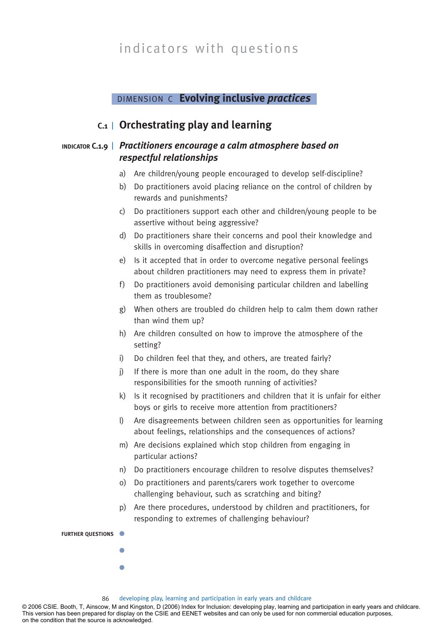## DIMENSION C **Evolving inclusive** *practices*

## **C.1** | **Orchestrating play and learning**

#### **INDICATOR C.1.9** | *Practitioners encourage a calm atmosphere based on respectful relationships*

- a) Are children/young people encouraged to develop self-discipline?
- b) Do practitioners avoid placing reliance on the control of children by rewards and punishments?
- c) Do practitioners support each other and children/young people to be assertive without being aggressive?
- d) Do practitioners share their concerns and pool their knowledge and skills in overcoming disaffection and disruption?
- e) Is it accepted that in order to overcome negative personal feelings about children practitioners may need to express them in private?
- f) Do practitioners avoid demonising particular children and labelling them as troublesome?
- g) When others are troubled do children help to calm them down rather than wind them up?
- h) Are children consulted on how to improve the atmosphere of the setting?
- i) Do children feel that they, and others, are treated fairly?
- j) If there is more than one adult in the room, do they share responsibilities for the smooth running of activities?
- k) Is it recognised by practitioners and children that it is unfair for either boys or girls to receive more attention from practitioners?
- l) Are disagreements between children seen as opportunities for learning about feelings, relationships and the consequences of actions?
- m) Are decisions explained which stop children from engaging in particular actions?
- n) Do practitioners encourage children to resolve disputes themselves?
- o) Do practitioners and parents/carers work together to overcome challenging behaviour, such as scratching and biting?
- p) Are there procedures, understood by children and practitioners, for responding to extremes of challenging behaviour?

**FURTHER QUESTIONS** 

**。** 

●

86 developing play, learning and participation in early years and childcare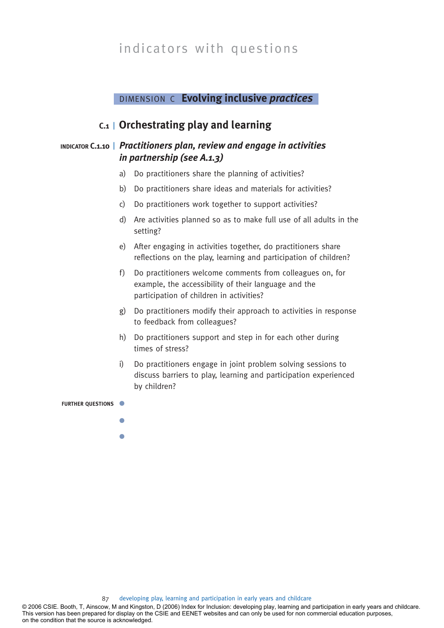#### DIMENSION C **Evolving inclusive** *practices*

### **C.1** | **Orchestrating play and learning**

#### **INDICATOR C.1.10** | *Practitioners plan, review and engage in activities in partnership (see A.1.3)*

- a) Do practitioners share the planning of activities?
- b) Do practitioners share ideas and materials for activities?
- c) Do practitioners work together to support activities?
- d) Are activities planned so as to make full use of all adults in the setting?
- e) After engaging in activities together, do practitioners share reflections on the play, learning and participation of children?
- f) Do practitioners welcome comments from colleagues on, for example, the accessibility of their language and the participation of children in activities?
- g) Do practitioners modify their approach to activities in response to feedback from colleagues?
- h) Do practitioners support and step in for each other during times of stress?
- i) Do practitioners engage in joint problem solving sessions to discuss barriers to play, learning and participation experienced by children?

#### **FURTHER QUESTIONS**

●

 $\bullet$ 

87 developing play, learning and participation in early years and childcare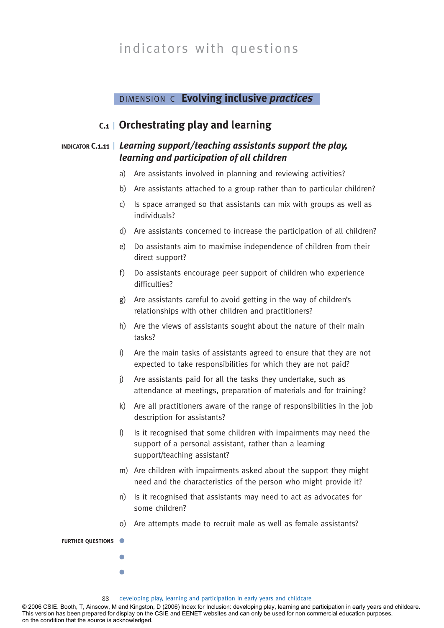### DIMENSION C **Evolving inclusive** *practices*

### **C.1** | **Orchestrating play and learning**

#### **INDICATOR C.1.11** | *Learning support/teaching assistants support the play, learning and participation of all children*

- a) Are assistants involved in planning and reviewing activities?
- b) Are assistants attached to a group rather than to particular children?
- c) Is space arranged so that assistants can mix with groups as well as individuals?
- d) Are assistants concerned to increase the participation of all children?
- e) Do assistants aim to maximise independence of children from their direct support?
- f) Do assistants encourage peer support of children who experience difficulties?
- g) Are assistants careful to avoid getting in the way of children's relationships with other children and practitioners?
- h) Are the views of assistants sought about the nature of their main tasks?
- i) Are the main tasks of assistants agreed to ensure that they are not expected to take responsibilities for which they are not paid?
- j) Are assistants paid for all the tasks they undertake, such as attendance at meetings, preparation of materials and for training?
- k) Are all practitioners aware of the range of responsibilities in the job description for assistants?
- l) Is it recognised that some children with impairments may need the support of a personal assistant, rather than a learning support/teaching assistant?
- m) Are children with impairments asked about the support they might need and the characteristics of the person who might provide it?
- n) Is it recognised that assistants may need to act as advocates for some children?
- o) Are attempts made to recruit male as well as female assistants?

#### **FURTHER QUESTIONS**

- **。**
- **。**
- 88 developing play, learning and participation in early years and childcare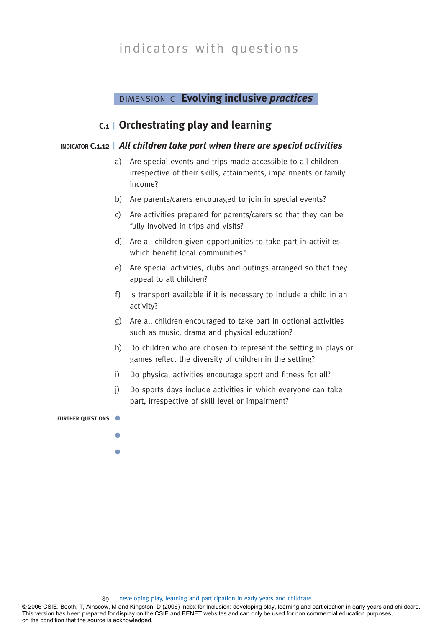### DIMENSION C **Evolving inclusive** *practices*

## **C.1** | **Orchestrating play and learning**

#### **INDICATOR C.1.12** | *All children take part when there are special activities*

- a) Are special events and trips made accessible to all children irrespective of their skills, attainments, impairments or family income?
- b) Are parents/carers encouraged to join in special events?
- c) Are activities prepared for parents/carers so that they can be fully involved in trips and visits?
- d) Are all children given opportunities to take part in activities which benefit local communities?
- e) Are special activities, clubs and outings arranged so that they appeal to all children?
- f) Is transport available if it is necessary to include a child in an activity?
- g) Are all children encouraged to take part in optional activities such as music, drama and physical education?
- h) Do children who are chosen to represent the setting in plays or games reflect the diversity of children in the setting?
- i) Do physical activities encourage sport and fitness for all?
- j) Do sports days include activities in which everyone can take part, irrespective of skill level or impairment?

**FURTHER OUESTIONS** 

●

●

<sup>© 2006</sup> CSIE. Booth, T, Ainscow, M and Kingston, D (2006) Index for Inclusion: developing play, learning and participation in early years and childcare. This version has been prepared for display on the CSIE and EENET websites and can only be used for non commercial education purposes, on the condition that the source is acknowledged.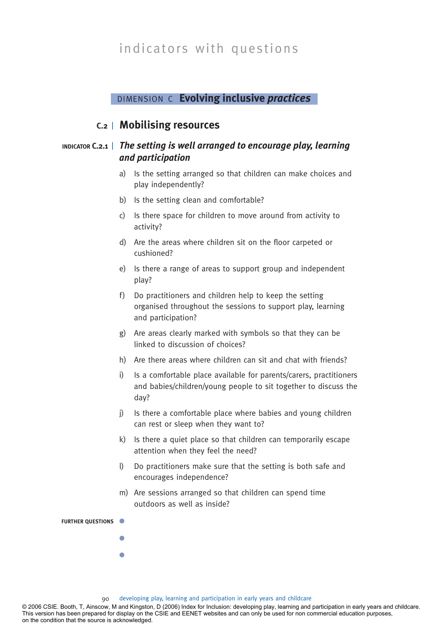### DIMENSION C **Evolving inclusive** *practices*

#### **C.2** | **Mobilising resources**

#### **INDICATOR C.2.1** | *The setting is well arranged to encourage play, learning and participation*

- a) Is the setting arranged so that children can make choices and play independently?
- b) Is the setting clean and comfortable?
- c) Is there space for children to move around from activity to activity?
- d) Are the areas where children sit on the floor carpeted or cushioned?
- e) Is there a range of areas to support group and independent play?
- f) Do practitioners and children help to keep the setting organised throughout the sessions to support play, learning and participation?
- g) Are areas clearly marked with symbols so that they can be linked to discussion of choices?
- h) Are there areas where children can sit and chat with friends?
- i) Is a comfortable place available for parents/carers, practitioners and babies/children/young people to sit together to discuss the day?
- j) Is there a comfortable place where babies and young children can rest or sleep when they want to?
- k) Is there a quiet place so that children can temporarily escape attention when they feel the need?
- l) Do practitioners make sure that the setting is both safe and encourages independence?
- m) Are sessions arranged so that children can spend time outdoors as well as inside?

**FURTHER QUESTIONS** 

**。** 

**。** 

90 developing play, learning and participation in early years and childcare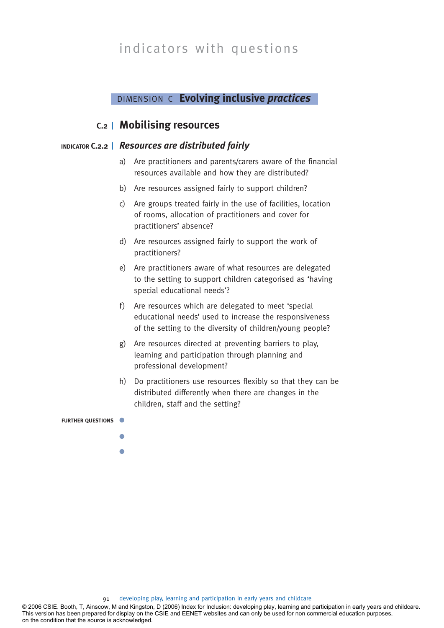### DIMENSION C **Evolving inclusive** *practices*

#### **C.2** | **Mobilising resources**

#### **INDICATOR C.2.2** | *Resources are distributed fairly*

- a) Are practitioners and parents/carers aware of the financial resources available and how they are distributed?
- b) Are resources assigned fairly to support children?
- c) Are groups treated fairly in the use of facilities, location of rooms, allocation of practitioners and cover for practitioners' absence?
- d) Are resources assigned fairly to support the work of practitioners?
- e) Are practitioners aware of what resources are delegated to the setting to support children categorised as 'having special educational needs'?
- f) Are resources which are delegated to meet 'special educational needs' used to increase the responsiveness of the setting to the diversity of children/young people?
- g) Are resources directed at preventing barriers to play, learning and participation through planning and professional development?
- h) Do practitioners use resources flexibly so that they can be distributed differently when there are changes in the children, staff and the setting?

**FURTHER QUESTIONS** 

● ●

91 developing play, learning and participation in early years and childcare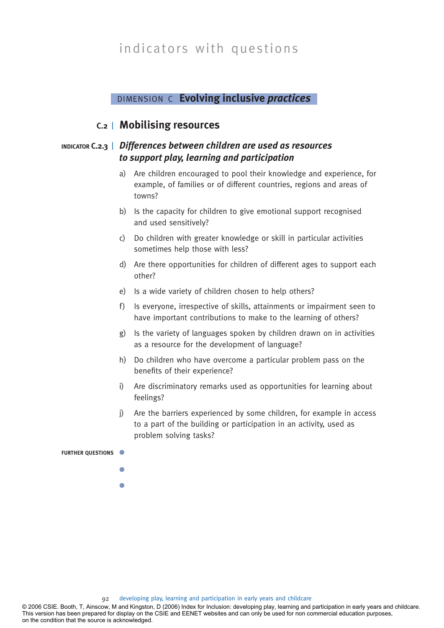#### DIMENSION C **Evolving inclusive** *practices*

#### **C.2** | **Mobilising resources**

#### **INDICATOR C.2.3** | *Differences between children are used as resources to support play, learning and participation*

- a) Are children encouraged to pool their knowledge and experience, for example, of families or of different countries, regions and areas of towns?
- b) Is the capacity for children to give emotional support recognised and used sensitively?
- c) Do children with greater knowledge or skill in particular activities sometimes help those with less?
- d) Are there opportunities for children of different ages to support each other?
- e) Is a wide variety of children chosen to help others?
- f) Is everyone, irrespective of skills, attainments or impairment seen to have important contributions to make to the learning of others?
- g) Is the variety of languages spoken by children drawn on in activities as a resource for the development of language?
- h) Do children who have overcome a particular problem pass on the benefits of their experience?
- i) Are discriminatory remarks used as opportunities for learning about feelings?
- j) Are the barriers experienced by some children, for example in access to a part of the building or participation in an activity, used as problem solving tasks?

**FURTHER QUESTIONS** 

● ●

92 developing play, learning and participation in early years and childcare

<sup>© 2006</sup> CSIE. Booth, T, Ainscow, M and Kingston, D (2006) Index for Inclusion: developing play, learning and participation in early years and childcare. This version has been prepared for display on the CSIE and EENET websites and can only be used for non commercial education purposes, on the condition that the source is acknowledged.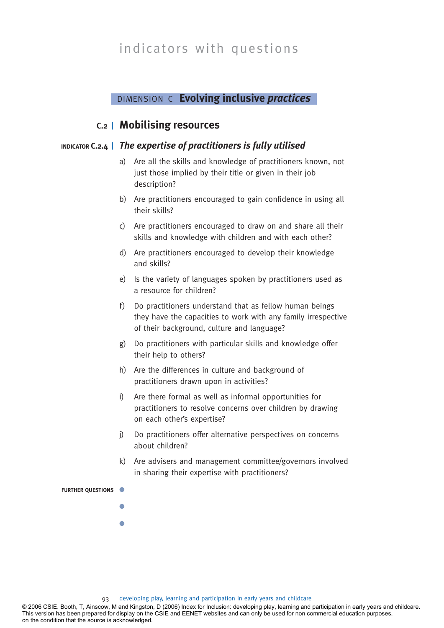#### DIMENSION C **Evolving inclusive** *practices*

#### **C.2** | **Mobilising resources**

#### **INDICATOR C.2.4** | *The expertise of practitioners is fully utilised*

- a) Are all the skills and knowledge of practitioners known, not just those implied by their title or given in their job description?
- b) Are practitioners encouraged to gain confidence in using all their skills?
- c) Are practitioners encouraged to draw on and share all their skills and knowledge with children and with each other?
- d) Are practitioners encouraged to develop their knowledge and skills?
- e) Is the variety of languages spoken by practitioners used as a resource for children?
- f) Do practitioners understand that as fellow human beings they have the capacities to work with any family irrespective of their background, culture and language?
- g) Do practitioners with particular skills and knowledge offer their help to others?
- h) Are the differences in culture and background of practitioners drawn upon in activities?
- i) Are there formal as well as informal opportunities for practitioners to resolve concerns over children by drawing on each other's expertise?
- j) Do practitioners offer alternative perspectives on concerns about children?
- k) Are advisers and management committee/governors involved in sharing their expertise with practitioners?

**FURTHER QUESTIONS** 

**。** 

**。** 

93 developing play, learning and participation in early years and childcare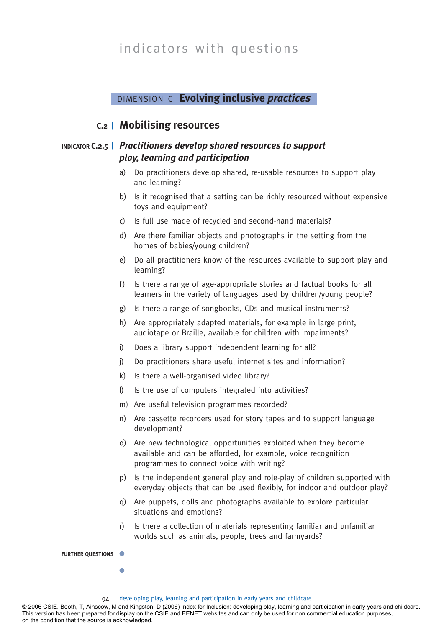### DIMENSION C **Evolving inclusive** *practices*

### **C.2** | **Mobilising resources**

#### **INDICATOR C.2.5** | *Practitioners develop shared resources to support play, learning and participation*

- a) Do practitioners develop shared, re-usable resources to support play and learning?
- b) Is it recognised that a setting can be richly resourced without expensive toys and equipment?
- c) Is full use made of recycled and second-hand materials?
- d) Are there familiar objects and photographs in the setting from the homes of babies/young children?
- e) Do all practitioners know of the resources available to support play and learning?
- f) Is there a range of age-appropriate stories and factual books for all learners in the variety of languages used by children/young people?
- g) Is there a range of songbooks, CDs and musical instruments?
- h) Are appropriately adapted materials, for example in large print, audiotape or Braille, available for children with impairments?
- i) Does a library support independent learning for all?
- j) Do practitioners share useful internet sites and information?
- k) Is there a well-organised video library?
- l) Is the use of computers integrated into activities?
- m) Are useful television programmes recorded?
- n) Are cassette recorders used for story tapes and to support language development?
- o) Are new technological opportunities exploited when they become available and can be afforded, for example, voice recognition programmes to connect voice with writing?
- p) Is the independent general play and role-play of children supported with everyday objects that can be used flexibly, for indoor and outdoor play?
- q) Are puppets, dolls and photographs available to explore particular situations and emotions?
- r) Is there a collection of materials representing familiar and unfamiliar worlds such as animals, people, trees and farmyards?

**FURTHER QUESTIONS** 

●

94 developing play, learning and participation in early years and childcare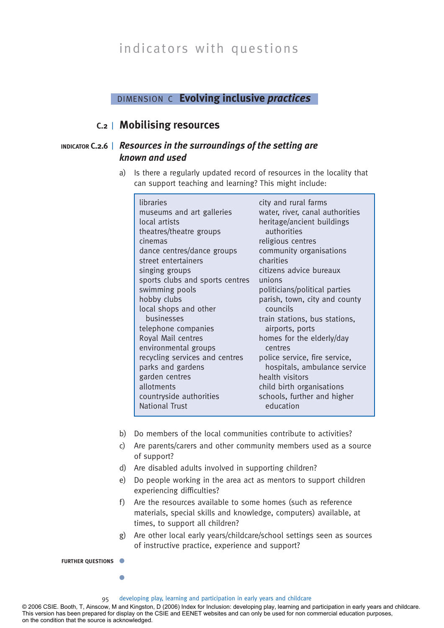#### DIMENSION C **Evolving inclusive** *practices*

#### **C.2** | **Mobilising resources**

#### **INDICATOR C.2.6** | *Resources in the surroundings of the setting are known and used*

a) Is there a regularly updated record of resources in the locality that can support teaching and learning? This might include:

- b) Do members of the local communities contribute to activities?
- c) Are parents/carers and other community members used as a source of support?
- d) Are disabled adults involved in supporting children?
- e) Do people working in the area act as mentors to support children experiencing difficulties?
- f) Are the resources available to some homes (such as reference materials, special skills and knowledge, computers) available, at times, to support all children?
- g) Are other local early years/childcare/school settings seen as sources of instructive practice, experience and support?

**FURTHER QUESTIONS** 

●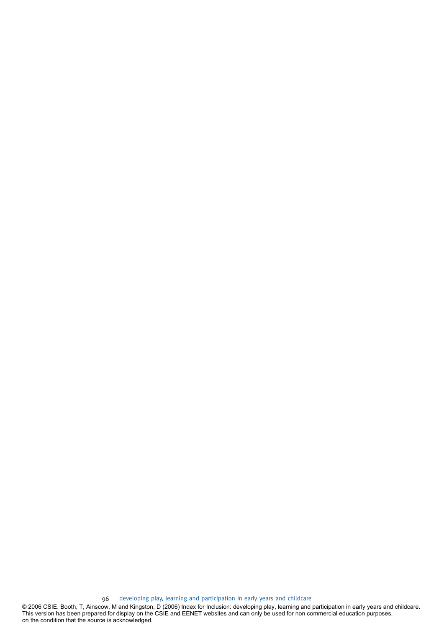96 developing play, learning and participation in early years and childcare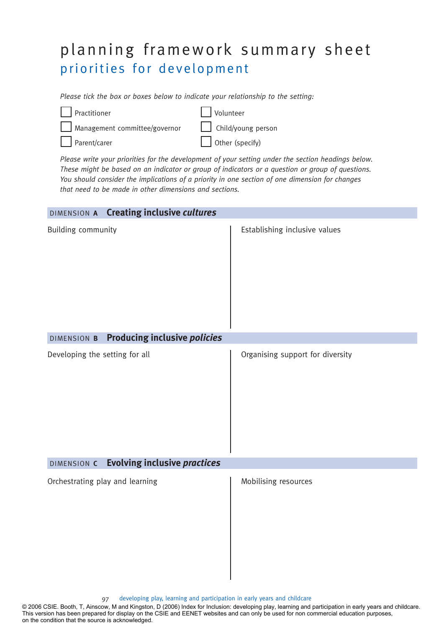# planning framework summary sheet priorities for development

*Please tick the box or boxes below to indicate your relationship to the setting:*

Practitioner **Volunteer** Volunteer Management committee/governor  $\Box$  Child/young person Parent/carer **Depart of Lands** Other (specify)

*Please write your priorities for the development of your setting under the section headings below. These might be based on an indicator or group of indicators or a question or group of questions. You should consider the implications of a priority in one section of one dimension for changes that need to be made in other dimensions and sections.*

| DIMENSION A Creating inclusive cultures            |                                  |
|----------------------------------------------------|----------------------------------|
| <b>Building community</b>                          | Establishing inclusive values    |
| <b>Producing inclusive policies</b><br>DIMENSION B |                                  |
| Developing the setting for all                     | Organising support for diversity |
| <b>Evolving inclusive practices</b><br>DIMENSION C |                                  |
| Orchestrating play and learning                    | Mobilising resources             |

97 developing play, learning and participation in early years and childcare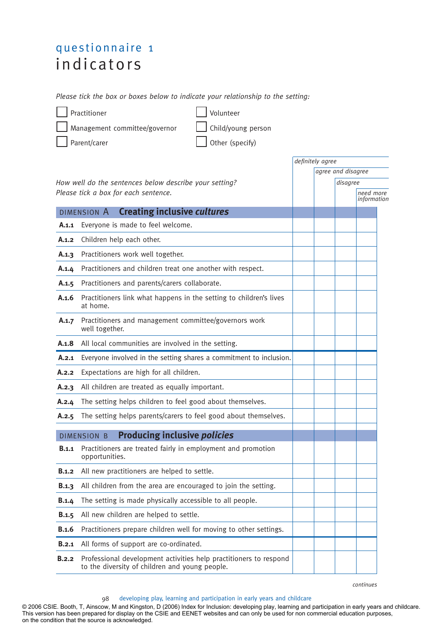# questionnaire 1 indicators

*Please tick the box or boxes below to indicate your relationship to the setting:*

| Practitioner                  | Volunteer          |
|-------------------------------|--------------------|
| Management committee/governor | Child/young person |
| Parent/carer                  | Other (specify)    |

|              |                                                                                                                     | definitely agree |                    |                          |
|--------------|---------------------------------------------------------------------------------------------------------------------|------------------|--------------------|--------------------------|
|              |                                                                                                                     |                  | agree and disagree |                          |
|              | How well do the sentences below describe your setting?                                                              |                  | disagree           |                          |
|              | Please tick a box for each sentence.                                                                                |                  |                    | need more<br>information |
|              | <b>Creating inclusive cultures</b><br>DIMENSION A                                                                   |                  |                    |                          |
| A.1.1        | Everyone is made to feel welcome.                                                                                   |                  |                    |                          |
| A.1.2        | Children help each other.                                                                                           |                  |                    |                          |
| A.1.3        | Practitioners work well together.                                                                                   |                  |                    |                          |
| A.1.4        | Practitioners and children treat one another with respect.                                                          |                  |                    |                          |
| A.1.5        | Practitioners and parents/carers collaborate.                                                                       |                  |                    |                          |
| A.1.6        | Practitioners link what happens in the setting to children's lives<br>at home.                                      |                  |                    |                          |
| A.1.7        | Practitioners and management committee/governors work<br>well together.                                             |                  |                    |                          |
| A.1.8        | All local communities are involved in the setting.                                                                  |                  |                    |                          |
| A.2.1        | Everyone involved in the setting shares a commitment to inclusion.                                                  |                  |                    |                          |
| A.2.2        | Expectations are high for all children.                                                                             |                  |                    |                          |
| A.2.3        | All children are treated as equally important.                                                                      |                  |                    |                          |
| A.2.4        | The setting helps children to feel good about themselves.                                                           |                  |                    |                          |
| A.2.5        | The setting helps parents/carers to feel good about themselves.                                                     |                  |                    |                          |
|              | <b>Producing inclusive policies</b><br><b>DIMENSION B</b>                                                           |                  |                    |                          |
| B.1.1        | Practitioners are treated fairly in employment and promotion<br>opportunities.                                      |                  |                    |                          |
| <b>B.1.2</b> | All new practitioners are helped to settle.                                                                         |                  |                    |                          |
|              | <b>B.1.3</b> All children from the area are encouraged to join the setting.                                         |                  |                    |                          |
| B.1.4        | The setting is made physically accessible to all people.                                                            |                  |                    |                          |
| <b>B.1.5</b> | All new children are helped to settle.                                                                              |                  |                    |                          |
| <b>B.1.6</b> | Practitioners prepare children well for moving to other settings.                                                   |                  |                    |                          |
| B.2.1        | All forms of support are co-ordinated.                                                                              |                  |                    |                          |
| B.2.2        | Professional development activities help practitioners to respond<br>to the diversity of children and young people. |                  |                    |                          |

*continues*

#### 98 developing play, learning and participation in early years and childcare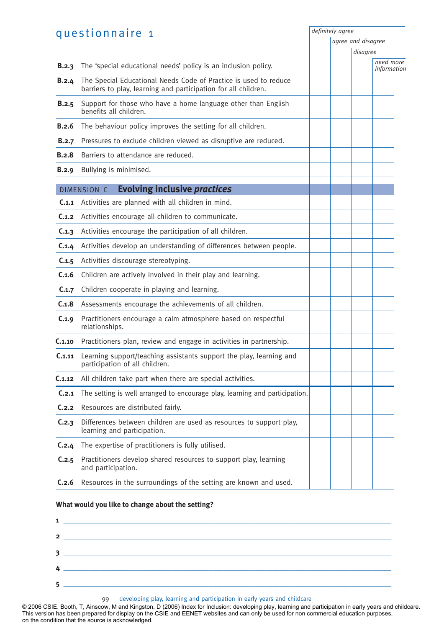|        | questionnaire 1                                                                                                                    | definitely agree   |          |                          |
|--------|------------------------------------------------------------------------------------------------------------------------------------|--------------------|----------|--------------------------|
|        |                                                                                                                                    | agree and disagree |          |                          |
|        |                                                                                                                                    |                    | disagree |                          |
| B.2.3  | The 'special educational needs' policy is an inclusion policy.                                                                     |                    |          | need more<br>information |
| B.2.4  | The Special Educational Needs Code of Practice is used to reduce<br>barriers to play, learning and participation for all children. |                    |          |                          |
| B.2.5  | Support for those who have a home language other than English<br>benefits all children.                                            |                    |          |                          |
| B.2.6  | The behaviour policy improves the setting for all children.                                                                        |                    |          |                          |
| B.2.7  | Pressures to exclude children viewed as disruptive are reduced.                                                                    |                    |          |                          |
| B.2.8  | Barriers to attendance are reduced.                                                                                                |                    |          |                          |
| B.2.9  | Bullying is minimised.                                                                                                             |                    |          |                          |
|        | <b>Evolving inclusive practices</b><br>DIMENSION C                                                                                 |                    |          |                          |
| C.1.1  | Activities are planned with all children in mind.                                                                                  |                    |          |                          |
| C.1.2  | Activities encourage all children to communicate.                                                                                  |                    |          |                          |
| C.1.3  | Activities encourage the participation of all children.                                                                            |                    |          |                          |
| C.1.4  | Activities develop an understanding of differences between people.                                                                 |                    |          |                          |
| C.1.5  | Activities discourage stereotyping.                                                                                                |                    |          |                          |
| C.1.6  | Children are actively involved in their play and learning.                                                                         |                    |          |                          |
| C.1.7  | Children cooperate in playing and learning.                                                                                        |                    |          |                          |
| C.1.8  | Assessments encourage the achievements of all children.                                                                            |                    |          |                          |
| C.1.9  | Practitioners encourage a calm atmosphere based on respectful<br>relationships.                                                    |                    |          |                          |
| C.1.10 | Practitioners plan, review and engage in activities in partnership.                                                                |                    |          |                          |
| C.1.11 | Learning support/teaching assistants support the play, learning and<br>participation of all children.                              |                    |          |                          |
| C.1.12 | All children take part when there are special activities.                                                                          |                    |          |                          |
| C.2.1  | The setting is well arranged to encourage play, learning and participation.                                                        |                    |          |                          |
| C.2.2  | Resources are distributed fairly.                                                                                                  |                    |          |                          |
| C.2.3  | Differences between children are used as resources to support play,<br>learning and participation.                                 |                    |          |                          |
| C.2.4  | The expertise of practitioners is fully utilised.                                                                                  |                    |          |                          |
| C.2.5  | Practitioners develop shared resources to support play, learning<br>and participation.                                             |                    |          |                          |
| C.2.6  | Resources in the surroundings of the setting are known and used.                                                                   |                    |          |                          |
|        |                                                                                                                                    |                    |          |                          |

#### **What would you like to change about the setting?**

| $\overline{\mathbf{2}}$ $\overline{\mathbf{2}}$ $\overline{\mathbf{3}}$ $\overline{\mathbf{4}}$ $\overline{\mathbf{5}}$ $\overline{\mathbf{6}}$ $\overline{\mathbf{6}}$ $\overline{\mathbf{6}}$ $\overline{\mathbf{6}}$ $\overline{\mathbf{6}}$ $\overline{\mathbf{6}}$ $\overline{\mathbf{6}}$ $\overline{\mathbf{6}}$ $\overline{\mathbf{6}}$ $\overline{\mathbf{6}}$ $\overline{\mathbf{6}}$ $\overline{\mathbf{6}}$ $\overline{\mathbf{6}}$ $\overline{\$ |
|---------------------------------------------------------------------------------------------------------------------------------------------------------------------------------------------------------------------------------------------------------------------------------------------------------------------------------------------------------------------------------------------------------------------------------------------------------------|
| $\begin{tabular}{c} {\bf 3} & \begin{tabular}{@{}c@{}} \multicolumn{3}{c} {\bf 3} & \multicolumn{3}{c} {\bf 3} & \multicolumn{3}{c} {\bf 3} & \multicolumn{3}{c} {\bf 3} & \multicolumn{3}{c} {\bf 3} & \multicolumn{3}{c} {\bf 3} & \multicolumn{3}{c} {\bf 3} & \multicolumn{3}{c} {\bf 3} & \multicolumn{3}{c} {\bf 3} & \multicolumn{3}{c} {\bf 3} & \multicolumn{3}{c} {\bf 3} & \multicolumn{3}{c} {\bf 3} & \multicolumn{3}{c} {\bf 3}$                |
|                                                                                                                                                                                                                                                                                                                                                                                                                                                               |
| $\overline{5}$                                                                                                                                                                                                                                                                                                                                                                                                                                                |

#### 99 developing play, learning and participation in early years and childcare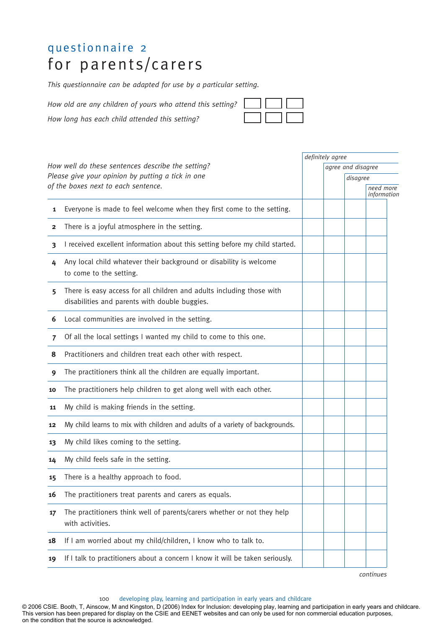# questionnaire 2 for parents/carers

*This questionnaire can be adapted for use by a particular setting.*

*How old are any children of yours who attend this setting? How long has each child attended this setting?*

|    |                                                                                                                        | definitely agree |                    |                          |
|----|------------------------------------------------------------------------------------------------------------------------|------------------|--------------------|--------------------------|
|    | How well do these sentences describe the setting?                                                                      |                  | agree and disagree |                          |
|    | Please give your opinion by putting a tick in one                                                                      |                  | disagree           |                          |
|    | of the boxes next to each sentence.                                                                                    |                  |                    | need more<br>information |
| 1  | Everyone is made to feel welcome when they first come to the setting.                                                  |                  |                    |                          |
| 2  | There is a joyful atmosphere in the setting.                                                                           |                  |                    |                          |
| 3  | I received excellent information about this setting before my child started.                                           |                  |                    |                          |
| 4  | Any local child whatever their background or disability is welcome<br>to come to the setting.                          |                  |                    |                          |
| 5  | There is easy access for all children and adults including those with<br>disabilities and parents with double buggies. |                  |                    |                          |
| 6  | Local communities are involved in the setting.                                                                         |                  |                    |                          |
| 7  | Of all the local settings I wanted my child to come to this one.                                                       |                  |                    |                          |
| 8  | Practitioners and children treat each other with respect.                                                              |                  |                    |                          |
| 9  | The practitioners think all the children are equally important.                                                        |                  |                    |                          |
| 10 | The practitioners help children to get along well with each other.                                                     |                  |                    |                          |
| 11 | My child is making friends in the setting.                                                                             |                  |                    |                          |
| 12 | My child learns to mix with children and adults of a variety of backgrounds.                                           |                  |                    |                          |
| 13 | My child likes coming to the setting.                                                                                  |                  |                    |                          |
| 14 | My child feels safe in the setting.                                                                                    |                  |                    |                          |
| 15 | There is a healthy approach to food.                                                                                   |                  |                    |                          |
| 16 | The practitioners treat parents and carers as equals.                                                                  |                  |                    |                          |
| 17 | The practitioners think well of parents/carers whether or not they help<br>with activities.                            |                  |                    |                          |
| 18 | If I am worried about my child/children, I know who to talk to.                                                        |                  |                    |                          |
| 19 | If I talk to practitioners about a concern I know it will be taken seriously.                                          |                  |                    |                          |

*continues*

#### 100 developing play, learning and participation in early years and childcare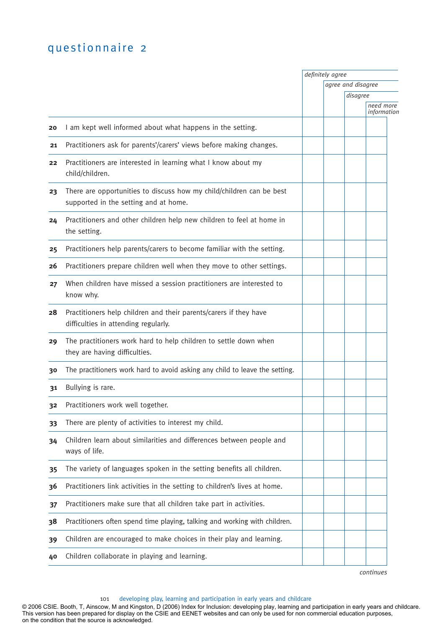## questionnaire 2

|    |                                                                                                               | definitely agree |  |                    |                          |
|----|---------------------------------------------------------------------------------------------------------------|------------------|--|--------------------|--------------------------|
|    |                                                                                                               |                  |  | agree and disagree |                          |
|    |                                                                                                               |                  |  | disagree           |                          |
|    |                                                                                                               |                  |  |                    | need more<br>information |
|    |                                                                                                               |                  |  |                    |                          |
| 20 | I am kept well informed about what happens in the setting.                                                    |                  |  |                    |                          |
| 21 | Practitioners ask for parents'/carers' views before making changes.                                           |                  |  |                    |                          |
| 22 | Practitioners are interested in learning what I know about my<br>child/children.                              |                  |  |                    |                          |
| 23 | There are opportunities to discuss how my child/children can be best<br>supported in the setting and at home. |                  |  |                    |                          |
| 24 | Practitioners and other children help new children to feel at home in<br>the setting.                         |                  |  |                    |                          |
| 25 | Practitioners help parents/carers to become familiar with the setting.                                        |                  |  |                    |                          |
| 26 | Practitioners prepare children well when they move to other settings.                                         |                  |  |                    |                          |
| 27 | When children have missed a session practitioners are interested to<br>know why.                              |                  |  |                    |                          |
| 28 | Practitioners help children and their parents/carers if they have<br>difficulties in attending regularly.     |                  |  |                    |                          |
| 29 | The practitioners work hard to help children to settle down when<br>they are having difficulties.             |                  |  |                    |                          |
| 30 | The practitioners work hard to avoid asking any child to leave the setting.                                   |                  |  |                    |                          |
| 31 | Bullying is rare.                                                                                             |                  |  |                    |                          |
|    | Practitioners work well together.                                                                             |                  |  |                    |                          |
| 33 | There are plenty of activities to interest my child.                                                          |                  |  |                    |                          |
| 34 | Children learn about similarities and differences between people and<br>ways of life.                         |                  |  |                    |                          |
| 35 | The variety of languages spoken in the setting benefits all children.                                         |                  |  |                    |                          |
| 36 | Practitioners link activities in the setting to children's lives at home.                                     |                  |  |                    |                          |
| 37 | Practitioners make sure that all children take part in activities.                                            |                  |  |                    |                          |
| 38 | Practitioners often spend time playing, talking and working with children.                                    |                  |  |                    |                          |
| 39 | Children are encouraged to make choices in their play and learning.                                           |                  |  |                    |                          |
| 40 | Children collaborate in playing and learning.                                                                 |                  |  |                    |                          |

*continues*

#### 101 developing play, learning and participation in early years and childcare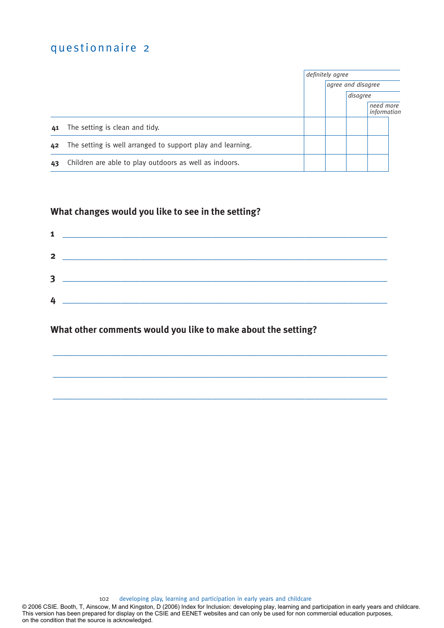## questionnaire 2

|    |                                                            | definitely agree |                    |                          |  |
|----|------------------------------------------------------------|------------------|--------------------|--------------------------|--|
|    |                                                            |                  | agree and disagree |                          |  |
|    |                                                            |                  | disagree           |                          |  |
|    |                                                            |                  |                    | need more<br>information |  |
| 41 | The setting is clean and tidy.                             |                  |                    |                          |  |
| 42 | The setting is well arranged to support play and learning. |                  |                    |                          |  |
| 43 | Children are able to play outdoors as well as indoors.     |                  |                    |                          |  |

#### **What changes would you like to see in the setting?**

| $\mathbf{1}$   | <u> 1989 - Johann John Stein, mars an deus Frankryk (</u>                                                              |
|----------------|------------------------------------------------------------------------------------------------------------------------|
|                |                                                                                                                        |
| $\overline{2}$ | <u> 1980 - Jan Barnett, fransk politiker (d. 1980)</u>                                                                 |
|                |                                                                                                                        |
| $\mathbf{3}$   |                                                                                                                        |
|                |                                                                                                                        |
|                |                                                                                                                        |
| 4              | <u> 1980 - Johann Barn, mars ann an t-Amhain ann an t-Amhain an t-Amhain an t-Amhain an t-Amhain an t-Amhain an t-</u> |

\_\_\_\_\_\_\_\_\_\_\_\_\_\_\_\_\_\_\_\_\_\_\_\_\_\_\_\_\_\_\_\_\_\_\_\_\_\_\_\_\_\_\_\_\_\_\_\_\_\_\_\_\_\_\_\_\_\_\_\_\_\_\_\_\_\_\_\_\_

\_\_\_\_\_\_\_\_\_\_\_\_\_\_\_\_\_\_\_\_\_\_\_\_\_\_\_\_\_\_\_\_\_\_\_\_\_\_\_\_\_\_\_\_\_\_\_\_\_\_\_\_\_\_\_\_\_\_\_\_\_\_\_\_\_\_\_\_\_

\_\_\_\_\_\_\_\_\_\_\_\_\_\_\_\_\_\_\_\_\_\_\_\_\_\_\_\_\_\_\_\_\_\_\_\_\_\_\_\_\_\_\_\_\_\_\_\_\_\_\_\_\_\_\_\_\_\_\_\_\_\_\_\_\_\_\_\_\_

#### **What other comments would you like to make about the setting?**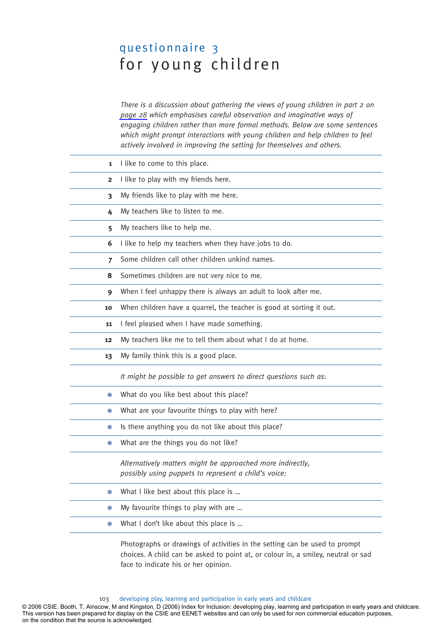# questionnaire 3 for young children

*There is a discussion about gathering the views of young children in part 2 on [page 28](#page-31-0) which emphasises careful observation and imaginative ways of engaging children rather than more formal methods. Below are some sentences which might prompt interactions with young children and help children to feel actively involved in improving the setting for themselves and others.*

| $\mathbf{1}$   | I like to come to this place.                                                                                      |
|----------------|--------------------------------------------------------------------------------------------------------------------|
| $\overline{2}$ | I like to play with my friends here.                                                                               |
| 3              | My friends like to play with me here.                                                                              |
| 4              | My teachers like to listen to me.                                                                                  |
| 5              | My teachers like to help me.                                                                                       |
| 6              | I like to help my teachers when they have jobs to do.                                                              |
| $\overline{7}$ | Some children call other children unkind names.                                                                    |
| 8              | Sometimes children are not very nice to me.                                                                        |
| 9              | When I feel unhappy there is always an adult to look after me.                                                     |
| 10             | When children have a quarrel, the teacher is good at sorting it out.                                               |
| 11             | I feel pleased when I have made something.                                                                         |
| 12             | My teachers like me to tell them about what I do at home.                                                          |
| 13             | My family think this is a good place.                                                                              |
|                | It might be possible to get answers to direct questions such as:                                                   |
| $\bullet$      | What do you like best about this place?                                                                            |
| $\bullet$      | What are your favourite things to play with here?                                                                  |
| $\bullet$      | Is there anything you do not like about this place?                                                                |
| $\bullet$      |                                                                                                                    |
|                | What are the things you do not like?                                                                               |
|                | Alternatively matters might be approached more indirectly,<br>possibly using puppets to represent a child's voice: |
|                | What I like best about this place is                                                                               |
| $\bullet$      | My favourite things to play with are                                                                               |
|                | What I don't like about this place is                                                                              |

Photographs or drawings of activities in the setting can be used to prompt choices. A child can be asked to point at, or colour in, a smiley, neutral or sad face to indicate his or her opinion.

103 developing play, learning and participation in early years and childcare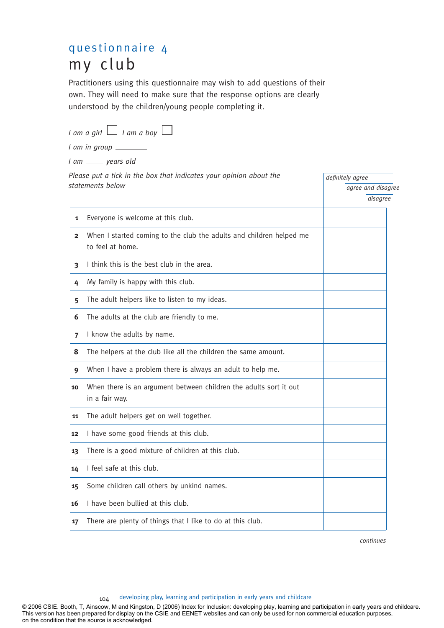# questionnaire 4 my club

 $I$  am a girl  $\Box$   $I$  am a boy  $\Box$ 

Practitioners using this questionnaire may wish to add questions of their own. They will need to make sure that the response options are clearly understood by the children/young people completing it.

|                                                                                        | I am in group _______                                                                   |                  |  |                                |
|----------------------------------------------------------------------------------------|-----------------------------------------------------------------------------------------|------------------|--|--------------------------------|
|                                                                                        | I am _____ years old                                                                    |                  |  |                                |
| Please put a tick in the box that indicates your opinion about the<br>statements below |                                                                                         | definitely agree |  |                                |
|                                                                                        |                                                                                         |                  |  | agree and disagree<br>disagree |
|                                                                                        |                                                                                         |                  |  |                                |
| 1                                                                                      | Everyone is welcome at this club.                                                       |                  |  |                                |
| $\mathbf{2}$                                                                           | When I started coming to the club the adults and children helped me<br>to feel at home. |                  |  |                                |
| 3                                                                                      | I think this is the best club in the area.                                              |                  |  |                                |
| 4                                                                                      | My family is happy with this club.                                                      |                  |  |                                |
| 5                                                                                      | The adult helpers like to listen to my ideas.                                           |                  |  |                                |
| 6                                                                                      | The adults at the club are friendly to me.                                              |                  |  |                                |
| 7                                                                                      | I know the adults by name.                                                              |                  |  |                                |
| 8                                                                                      | The helpers at the club like all the children the same amount.                          |                  |  |                                |
| 9                                                                                      | When I have a problem there is always an adult to help me.                              |                  |  |                                |
| 10                                                                                     | When there is an argument between children the adults sort it out<br>in a fair way.     |                  |  |                                |
| 11                                                                                     | The adult helpers get on well together.                                                 |                  |  |                                |
| 12                                                                                     | I have some good friends at this club.                                                  |                  |  |                                |
| 13                                                                                     | There is a good mixture of children at this club.                                       |                  |  |                                |
| 14                                                                                     | I feel safe at this club.                                                               |                  |  |                                |
| 15                                                                                     | Some children call others by unkind names.                                              |                  |  |                                |
| 16                                                                                     | I have been bullied at this club.                                                       |                  |  |                                |
| 17                                                                                     | There are plenty of things that I like to do at this club.                              |                  |  |                                |
|                                                                                        |                                                                                         |                  |  |                                |

*continues*

#### 104 developing play, learning and participation in early years and childcare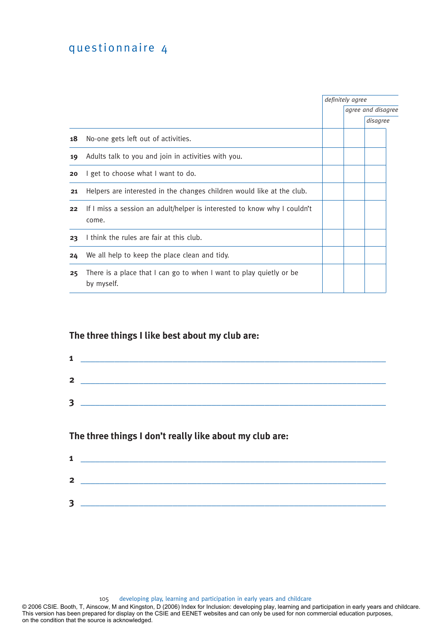## questionnaire 4

|    |                                                                                   | definitely agree |                    |          |
|----|-----------------------------------------------------------------------------------|------------------|--------------------|----------|
|    |                                                                                   |                  | agree and disagree |          |
|    |                                                                                   |                  |                    | disagree |
| 18 | No-one gets left out of activities.                                               |                  |                    |          |
| 19 | Adults talk to you and join in activities with you.                               |                  |                    |          |
| 20 | I get to choose what I want to do.                                                |                  |                    |          |
| 21 | Helpers are interested in the changes children would like at the club.            |                  |                    |          |
| 22 | If I miss a session an adult/helper is interested to know why I couldn't<br>come. |                  |                    |          |
| 23 | I think the rules are fair at this club.                                          |                  |                    |          |
| 24 | We all help to keep the place clean and tidy.                                     |                  |                    |          |
| 25 | There is a place that I can go to when I want to play quietly or be<br>by myself. |                  |                    |          |

### **The three things I like best about my club are:**

| 1 |  |
|---|--|
|   |  |
| 2 |  |
|   |  |
| 3 |  |
|   |  |

### **The three things I don't really like about my club are:**

| 1            |  |
|--------------|--|
|              |  |
| $\mathbf{2}$ |  |
|              |  |
| 3            |  |
|              |  |

105 developing play, learning and participation in early years and childcare

<sup>© 2006</sup> CSIE. Booth, T, Ainscow, M and Kingston, D (2006) Index for Inclusion: developing play, learning and participation in early years and childcare. This version has been prepared for display on the CSIE and EENET websites and can only be used for non commercial education purposes, on the condition that the source is acknowledged.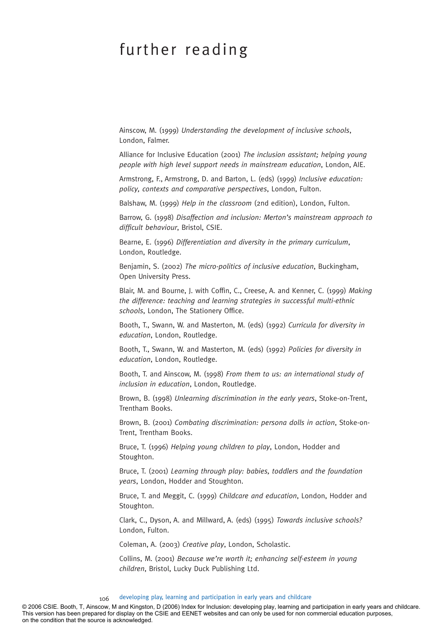# further reading

Ainscow, M. (1999) *Understanding the development of inclusive schools*, London, Falmer.

Alliance for Inclusive Education (2001) *The inclusion assistant; helping young people with high level support needs in mainstream education*, London, AIE.

Armstrong, F., Armstrong, D. and Barton, L. (eds) (1999) *Inclusive education: policy, contexts and comparative perspectives*, London, Fulton.

Balshaw, M. (1999) *Help in the classroom* (2nd edition), London, Fulton.

Barrow, G. (1998) *Disaffection and inclusion: Merton's mainstream approach to difficult behaviour*, Bristol, CSIE.

Bearne, E. (1996) *Differentiation and diversity in the primary curriculum*, London, Routledge.

Benjamin, S. (2002) *The micro-politics of inclusive education*, Buckingham, Open University Press.

Blair, M. and Bourne, J. with Coffin, C., Creese, A. and Kenner, C. (1999) *Making the difference: teaching and learning strategies in successful multi-ethnic schools*, London, The Stationery Office.

Booth, T., Swann, W. and Masterton, M. (eds) (1992) *Curricula for diversity in education*, London, Routledge.

Booth, T., Swann, W. and Masterton, M. (eds) (1992) *Policies for diversity in education*, London, Routledge.

Booth, T. and Ainscow, M. (1998) *From them to us: an international study of inclusion in education*, London, Routledge.

Brown, B. (1998) *Unlearning discrimination in the early years*, Stoke-on-Trent, Trentham Books.

Brown, B. (2001) *Combating discrimination: persona dolls in action*, Stoke-on-Trent, Trentham Books.

Bruce, T. (1996) *Helping young children to play*, London, Hodder and Stoughton.

Bruce, T. (2001) *Learning through play: babies, toddlers and the foundation years*, London, Hodder and Stoughton.

Bruce, T. and Meggit, C. (1999) *Childcare and education*, London, Hodder and Stoughton.

Clark, C., Dyson, A. and Millward, A. (eds) (1995) *Towards inclusive schools?* London, Fulton.

Coleman, A. (2003) *Creative play*, London, Scholastic.

Collins, M. (2001) *Because we're worth it; enhancing self-esteem in young children*, Bristol, Lucky Duck Publishing Ltd.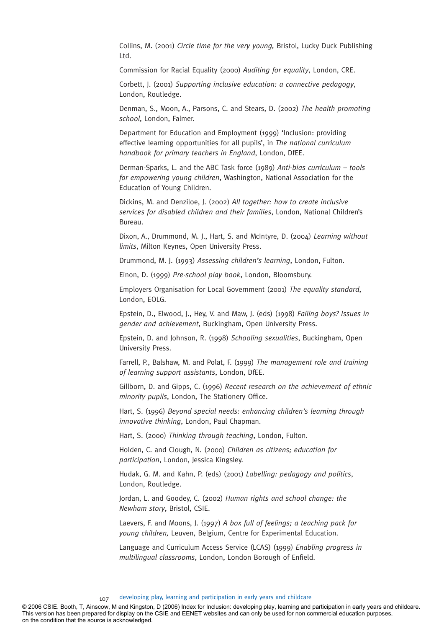Collins, M. (2001) *Circle time for the very young,* Bristol, Lucky Duck Publishing Ltd.

Commission for Racial Equality (2000) *Auditing for equality*, London, CRE.

Corbett, J. (2001) *Supporting inclusive education: a connective pedagogy*, London, Routledge.

Denman, S., Moon, A., Parsons, C. and Stears, D. (2002) *The health promoting school*, London, Falmer.

Department for Education and Employment (1999) 'Inclusion: providing effective learning opportunities for all pupils', in *The national curriculum handbook for primary teachers in England*, London, DfEE.

Derman-Sparks, L. and the ABC Task force (1989) *Anti-bias curriculum – tools for empowering young children*, Washington, National Association for the Education of Young Children.

Dickins, M. and Denziloe, J. (2002) *All together: how to create inclusive services for disabled children and their families*, London, National Children's Bureau.

Dixon, A., Drummond, M. J., Hart, S. and McIntyre, D. (2004) *Learning without limits*, Milton Keynes, Open University Press.

Drummond, M. J. (1993) *Assessing children's learning*, London, Fulton.

Einon, D. (1999) *Pre-school play book*, London, Bloomsbury.

Employers Organisation for Local Government (2001) *The equality standard*, London, EOLG.

Epstein, D., Elwood, J., Hey, V. and Maw, J. (eds) (1998) *Failing boys? Issues in gender and achievement*, Buckingham, Open University Press.

Epstein, D. and Johnson, R. (1998) *Schooling sexualities*, Buckingham, Open University Press.

Farrell, P., Balshaw, M. and Polat, F. (1999) *The management role and training of learning support assistants*, London, DfEE.

Gillborn, D. and Gipps, C. (1996) *Recent research on the achievement of ethnic minority pupils*, London, The Stationery Office.

Hart, S. (1996) *Beyond special needs: enhancing children's learning through innovative thinking*, London, Paul Chapman.

Hart, S. (2000) *Thinking through teaching*, London, Fulton.

Holden, C. and Clough, N. (2000) *Children as citizens; education for participation*, London, Jessica Kingsley.

Hudak, G. M. and Kahn, P. (eds) (2001) *Labelling: pedagogy and politics*, London, Routledge.

Jordan, L. and Goodey, C. (2002) *Human rights and school change: the Newham story*, Bristol, CSIE.

Laevers, F. and Moons, J. (1997) *A box full of feelings; a teaching pack for young children,* Leuven, Belgium, Centre for Experimental Education.

Language and Curriculum Access Service (LCAS) (1999) *Enabling progress in multilingual classrooms*, London, London Borough of Enfield.

#### 107 developing play, learning and participation in early years and childcare

© 2006 CSIE. Booth, T, Ainscow, M and Kingston, D (2006) Index for Inclusion: developing play, learning and participation in early years and childcare. This version has been prepared for display on the CSIE and EENET websites and can only be used for non commercial education purposes, on the condition that the source is acknowledged.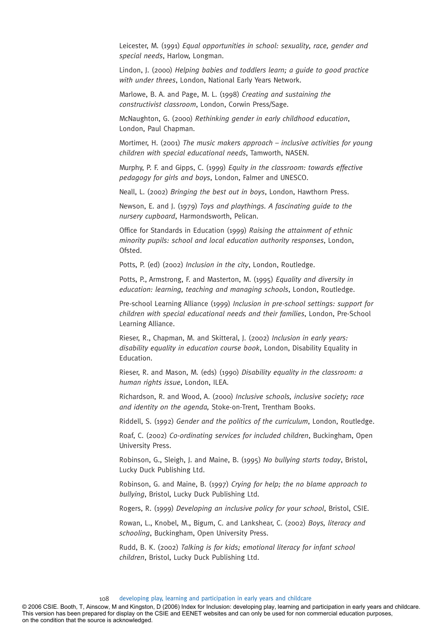Leicester, M. (1991) *Equal opportunities in school: sexuality, race, gender and special needs*, Harlow, Longman.

Lindon, J. (2000) *Helping babies and toddlers learn; a guide to good practice with under threes*, London, National Early Years Network.

Marlowe, B. A. and Page, M. L. (1998) *Creating and sustaining the constructivist classroom*, London, Corwin Press/Sage.

McNaughton, G. (2000) *Rethinking gender in early childhood education*, London, Paul Chapman.

Mortimer, H. (2001) *The music makers approach – inclusive activities for young children with special educational needs*, Tamworth, NASEN.

Murphy, P. F. and Gipps, C. (1999) *Equity in the classroom: towards effective pedagogy for girls and boys*, London, Falmer and UNESCO.

Neall, L. (2002) *Bringing the best out in boys*, London, Hawthorn Press.

Newson, E. and J. (1979) *Toys and playthings. A fascinating guide to the nursery cupboard*, Harmondsworth, Pelican.

Office for Standards in Education (1999) *Raising the attainment of ethnic minority pupils: school and local education authority responses*, London, Ofsted.

Potts, P. (ed) (2002) *Inclusion in the city*, London, Routledge.

Potts, P., Armstrong, F. and Masterton, M. (1995) *Equality and diversity in education: learning, teaching and managing schools*, London, Routledge.

Pre-school Learning Alliance (1999) *Inclusion in pre-school settings: support for children with special educational needs and their families*, London, Pre-School Learning Alliance.

Rieser, R., Chapman, M. and Skitteral, J. (2002) *Inclusion in early years: disability equality in education course book*, London, Disability Equality in Education.

Rieser, R. and Mason, M. (eds) (1990) *Disability equality in the classroom: a human rights issue*, London, ILEA.

Richardson, R. and Wood, A. (2000) *Inclusive schools, inclusive society; race and identity on the agenda,* Stoke-on-Trent*,* Trentham Books.

Riddell, S. (1992) *Gender and the politics of the curriculum*, London, Routledge.

Roaf, C. (2002) *Co-ordinating services for included children*, Buckingham, Open University Press.

Robinson, G., Sleigh, J. and Maine, B. (1995) *No bullying starts today*, Bristol, Lucky Duck Publishing Ltd.

Robinson, G. and Maine, B. (1997) *Crying for help; the no blame approach to bullying*, Bristol, Lucky Duck Publishing Ltd.

Rogers, R. (1999) *Developing an inclusive policy for your school*, Bristol, CSIE.

Rowan, L., Knobel, M., Bigum, C. and Lankshear, C. (2002) *Boys, literacy and schooling*, Buckingham, Open University Press.

Rudd, B. K. (2002) *Talking is for kids; emotional literacy for infant school children*, Bristol, Lucky Duck Publishing Ltd.

© 2006 CSIE. Booth, T, Ainscow, M and Kingston, D (2006) Index for Inclusion: developing play, learning and participation in early years and childcare. This version has been prepared for display on the CSIE and EENET websites and can only be used for non commercial education purposes, on the condition that the source is acknowledged.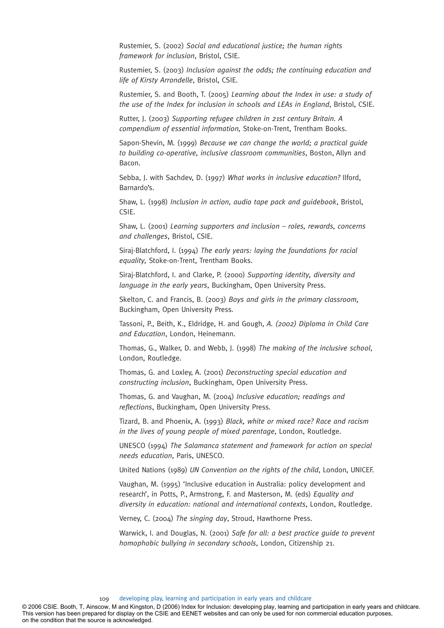Rustemier, S. (2002) *Social and educational justice; the human rights framework for inclusion*, Bristol, CSIE.

Rustemier, S. (2003) *Inclusion against the odds; the continuing education and life of Kirsty Arrondelle*, Bristol, CSIE.

Rustemier, S. and Booth, T. (2005) *Learning about the Index in use: a study of the use of the Index for inclusion in schools and LEAs in England*, Bristol, CSIE.

Rutter, J. (2003) *Supporting refugee children in 21st century Britain. A compendium of essential information,* Stoke-on-Trent, Trentham Books.

Sapon-Shevin, M. (1999) *Because we can change the world; a practical guide to building co-operative, inclusive classroom communities*, Boston, Allyn and Bacon.

Sebba, J. with Sachdev, D. (1997) *What works in inclusive education?* Ilford, Barnardo's.

Shaw, L. (1998) *Inclusion in action, audio tape pack and guidebook*, Bristol, CSIE.

Shaw, L. (2001) *Learning supporters and inclusion – roles, rewards, concerns and challenges*, Bristol, CSIE.

Siraj-Blatchford, I. (1994) *The early years: laying the foundations for racial equality,* Stoke-on-Trent, Trentham Books.

Siraj-Blatchford, I. and Clarke, P. (2000) *Supporting identity, diversity and language in the early years*, Buckingham, Open University Press.

Skelton, C. and Francis, B. (2003) *Boys and girls in the primary classroom,* Buckingham, Open University Press*.*

Tassoni, P., Beith, K., Eldridge, H. and Gough, *A. (2002) Diploma in Child Care and Education*, London, Heinemann.

Thomas, G., Walker, D. and Webb, J. (1998) *The making of the inclusive school*, London, Routledge.

Thomas, G. and Loxley, A. (2001) *Deconstructing special education and constructing inclusion*, Buckingham, Open University Press.

Thomas, G. and Vaughan, M. (2004) *Inclusive education; readings and reflections*, Buckingham, Open University Press.

Tizard, B. and Phoenix, A. (1993) *Black, white or mixed race? Race and racism in the lives of young people of mixed parentage*, London, Routledge.

UNESCO (1994) *The Salamanca statement and framework for action on special needs education*, Paris, UNESCO.

United Nations (1989) *UN Convention on the rights of the child*, London, UNICEF.

Vaughan, M. (1995) 'Inclusive education in Australia: policy development and research', in Potts, P., Armstrong, F. and Masterson, M. (eds) *Equality and diversity in education: national and international contexts*, London, Routledge.

Verney, C. (2004) *The singing day*, Stroud, Hawthorne Press.

Warwick, I. and Douglas, N. (2001) *Safe for all: a best practice guide to prevent homophobic bullying in secondary schools*, London, Citizenship 21.